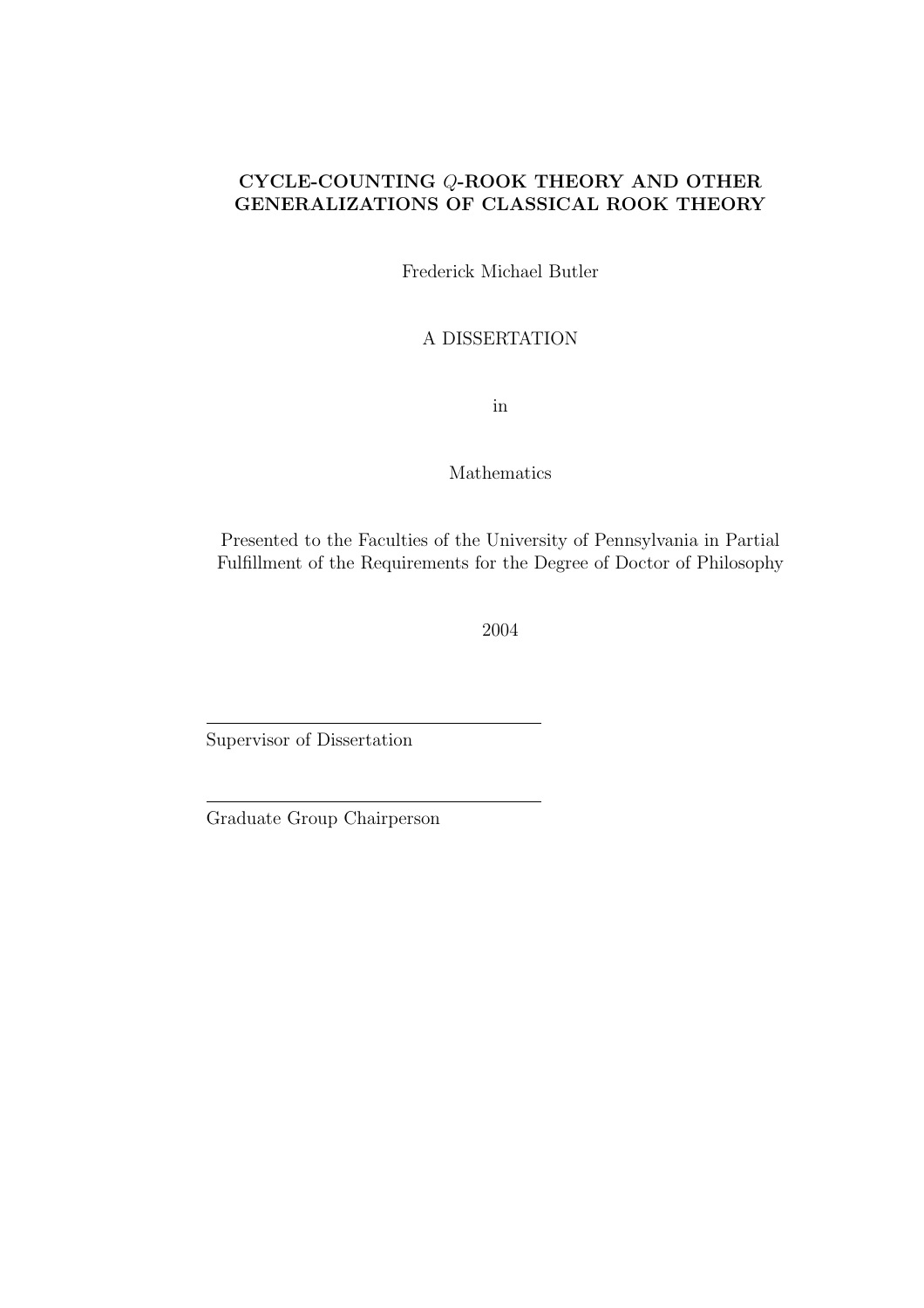### CYCLE-COUNTING Q-ROOK THEORY AND OTHER GENERALIZATIONS OF CLASSICAL ROOK THEORY

Frederick Michael Butler

A DISSERTATION

in

Mathematics

Presented to the Faculties of the University of Pennsylvania in Partial Fulfillment of the Requirements for the Degree of Doctor of Philosophy

2004

Supervisor of Dissertation

Graduate Group Chairperson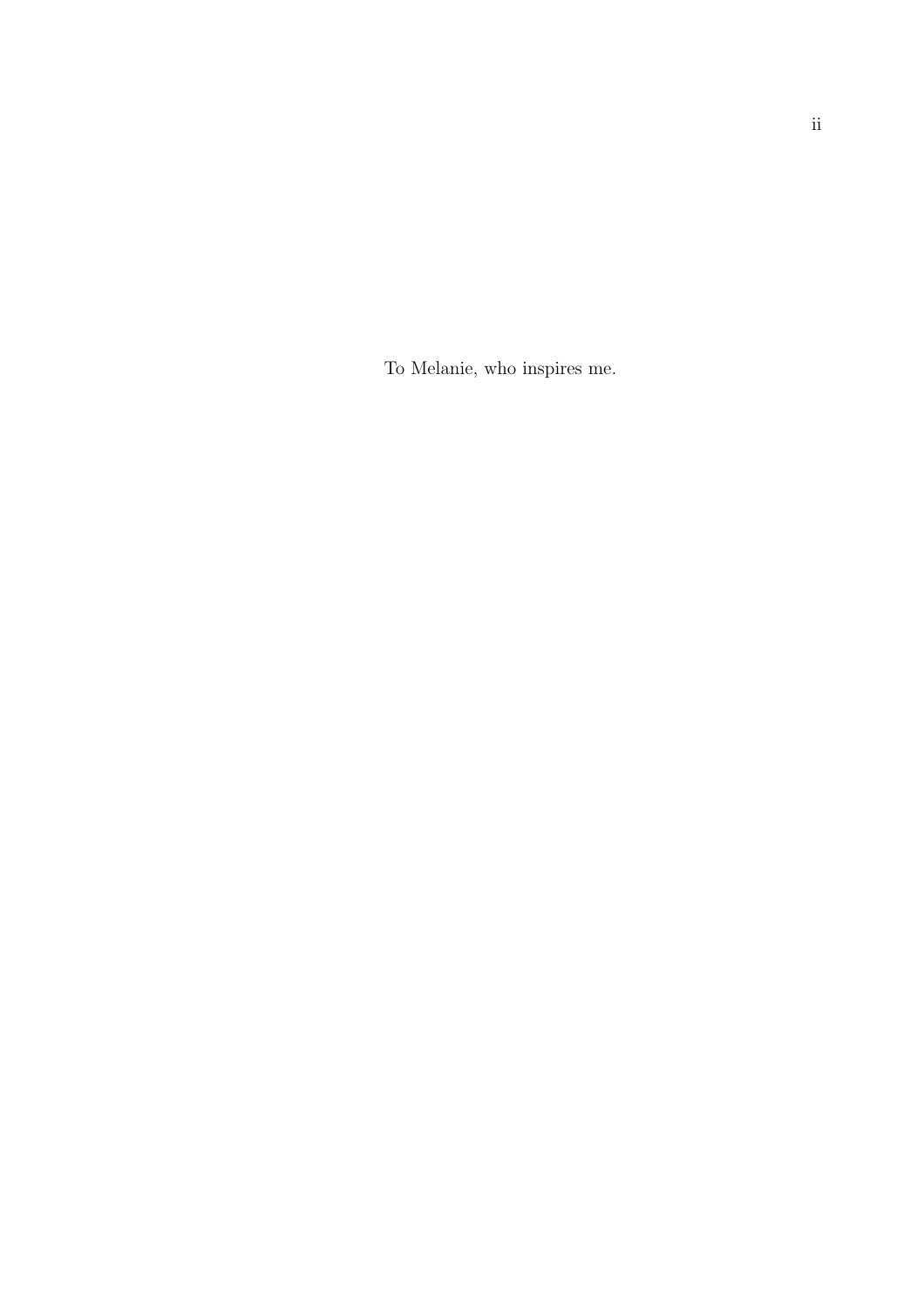To Melanie, who inspires me.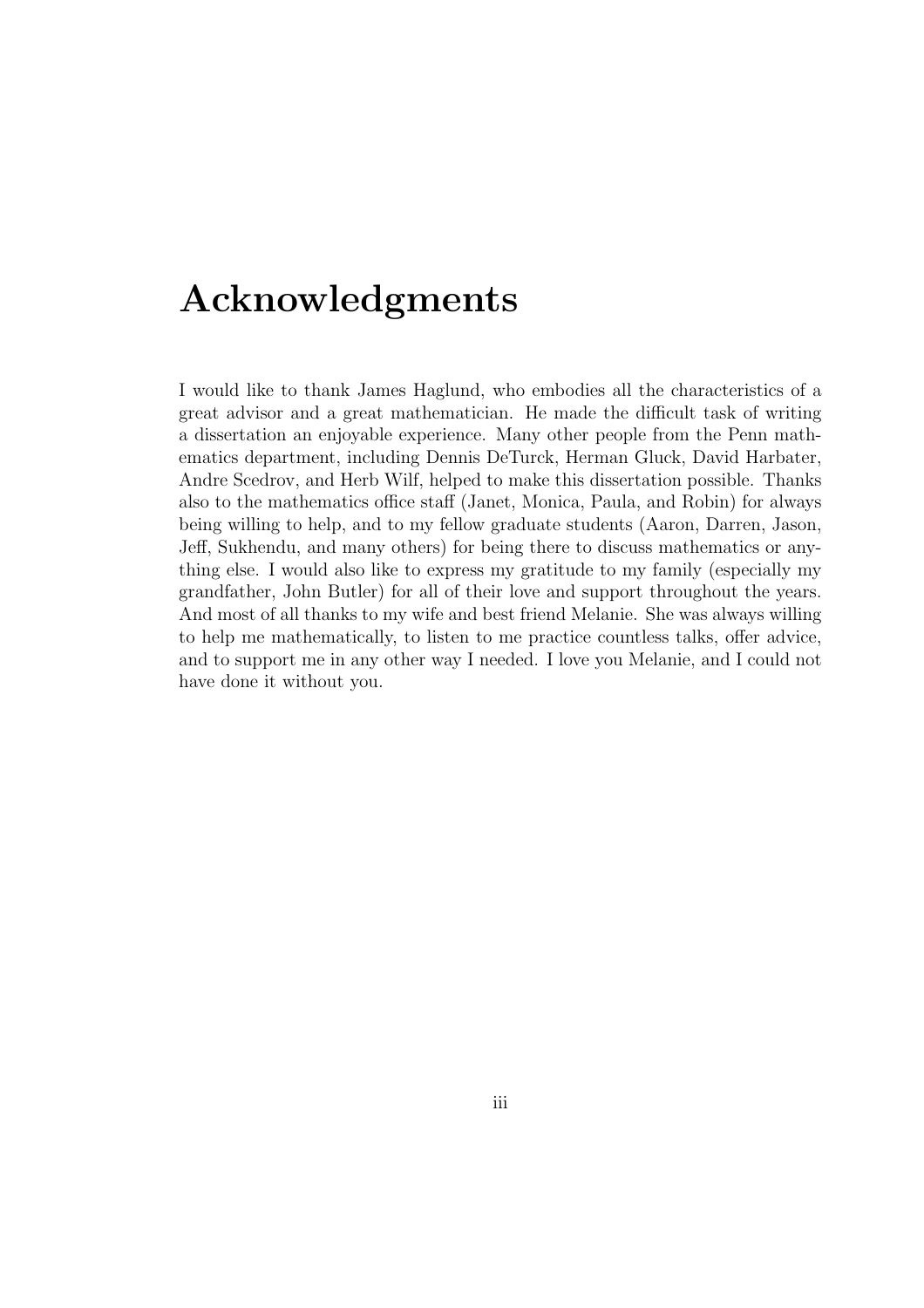## Acknowledgments

I would like to thank James Haglund, who embodies all the characteristics of a great advisor and a great mathematician. He made the difficult task of writing a dissertation an enjoyable experience. Many other people from the Penn mathematics department, including Dennis DeTurck, Herman Gluck, David Harbater, Andre Scedrov, and Herb Wilf, helped to make this dissertation possible. Thanks also to the mathematics office staff (Janet, Monica, Paula, and Robin) for always being willing to help, and to my fellow graduate students (Aaron, Darren, Jason, Jeff, Sukhendu, and many others) for being there to discuss mathematics or anything else. I would also like to express my gratitude to my family (especially my grandfather, John Butler) for all of their love and support throughout the years. And most of all thanks to my wife and best friend Melanie. She was always willing to help me mathematically, to listen to me practice countless talks, offer advice, and to support me in any other way I needed. I love you Melanie, and I could not have done it without you.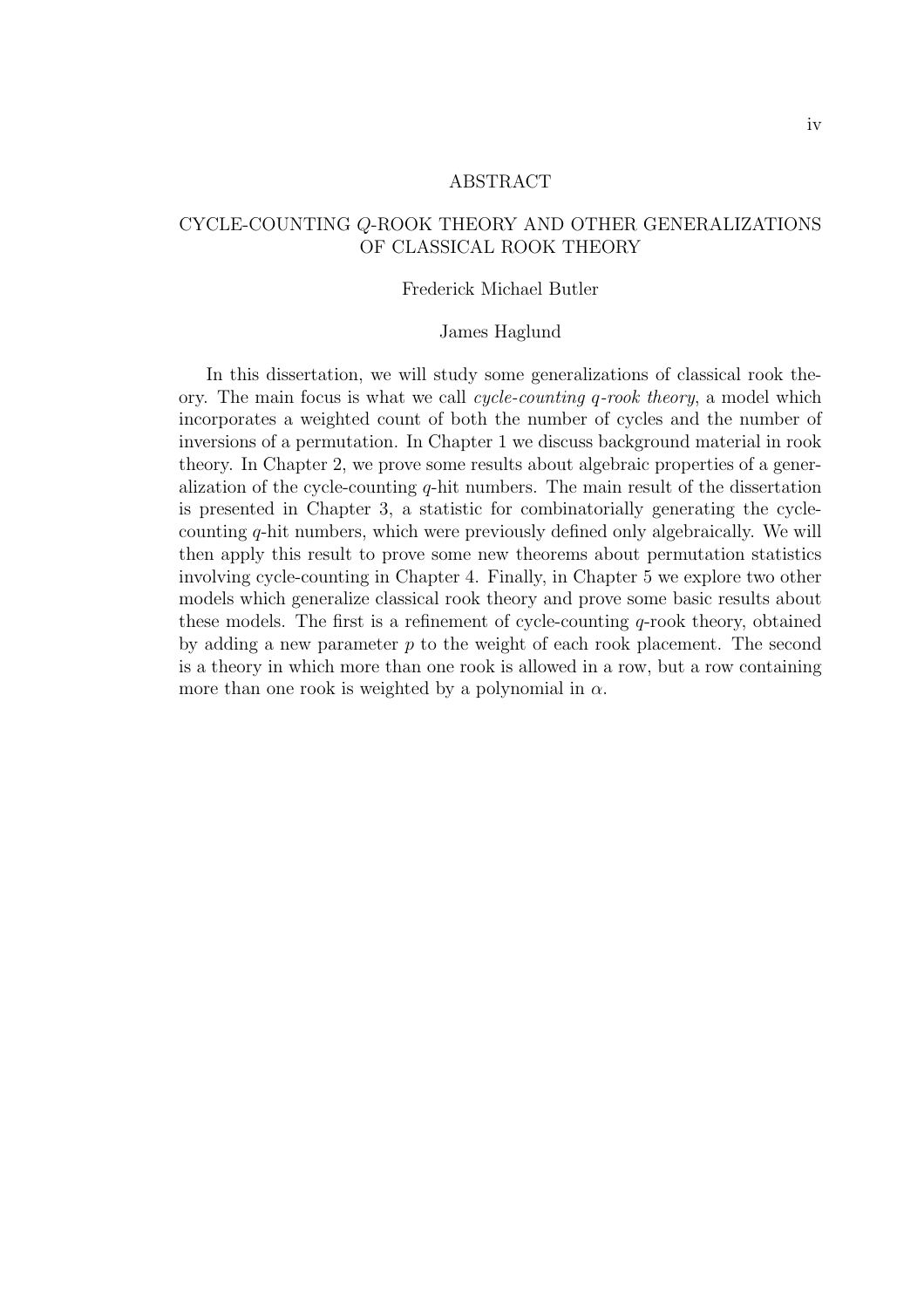#### ABSTRACT

#### CYCLE-COUNTING Q-ROOK THEORY AND OTHER GENERALIZATIONS OF CLASSICAL ROOK THEORY

#### Frederick Michael Butler

#### James Haglund

In this dissertation, we will study some generalizations of classical rook theory. The main focus is what we call cycle-counting q-rook theory, a model which incorporates a weighted count of both the number of cycles and the number of inversions of a permutation. In Chapter 1 we discuss background material in rook theory. In Chapter 2, we prove some results about algebraic properties of a generalization of the cycle-counting  $q$ -hit numbers. The main result of the dissertation is presented in Chapter 3, a statistic for combinatorially generating the cyclecounting q-hit numbers, which were previously defined only algebraically. We will then apply this result to prove some new theorems about permutation statistics involving cycle-counting in Chapter 4. Finally, in Chapter 5 we explore two other models which generalize classical rook theory and prove some basic results about these models. The first is a refinement of cycle-counting  $q$ -rook theory, obtained by adding a new parameter  $p$  to the weight of each rook placement. The second is a theory in which more than one rook is allowed in a row, but a row containing more than one rook is weighted by a polynomial in  $\alpha$ .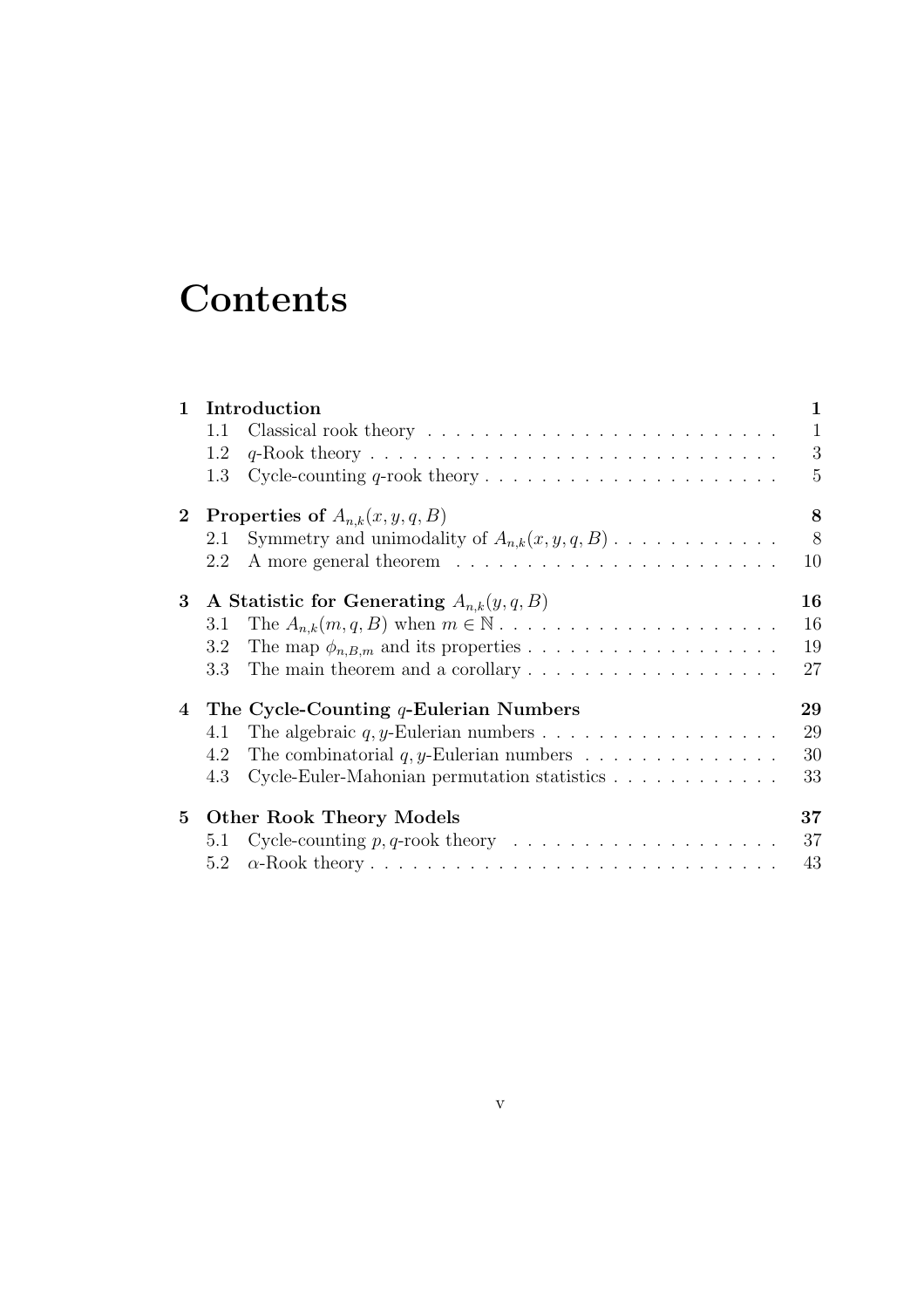## **Contents**

| $\mathbf{1}$    |         | Introduction                                                           | $\mathbf{1}$ |
|-----------------|---------|------------------------------------------------------------------------|--------------|
|                 | 1.1     |                                                                        | $\mathbf{1}$ |
|                 | 1.2     |                                                                        | 3            |
|                 | 1.3     |                                                                        | 5            |
| 2 <sub>1</sub>  |         | Properties of $A_{n,k}(x, y, q, B)$                                    | 8            |
|                 | 2.1     | Symmetry and unimodality of $A_{n,k}(x, y, q, B)$                      | 8            |
|                 | 2.2     |                                                                        | 10           |
| $3\phantom{.0}$ |         | A Statistic for Generating $A_{n,k}(y,q,B)$                            | 16           |
|                 | 3.1     |                                                                        | 16           |
|                 | 3.2     |                                                                        | 19           |
|                 | $3.3\,$ | The main theorem and a corollary $\dots \dots \dots \dots \dots \dots$ | 27           |
|                 |         | 4 The Cycle-Counting $q$ -Eulerian Numbers                             | 29           |
|                 | 4.1     |                                                                        | 29           |
|                 | 4.2     | The combinatorial $q, y$ -Eulerian numbers                             | 30           |
|                 | 4.3     | Cycle-Euler-Mahonian permutation statistics                            | 33           |
| $5^{\circ}$     |         | <b>Other Rook Theory Models</b>                                        | $37\,$       |
|                 | 5.1     |                                                                        | 37           |
|                 | 5.2     |                                                                        | 43           |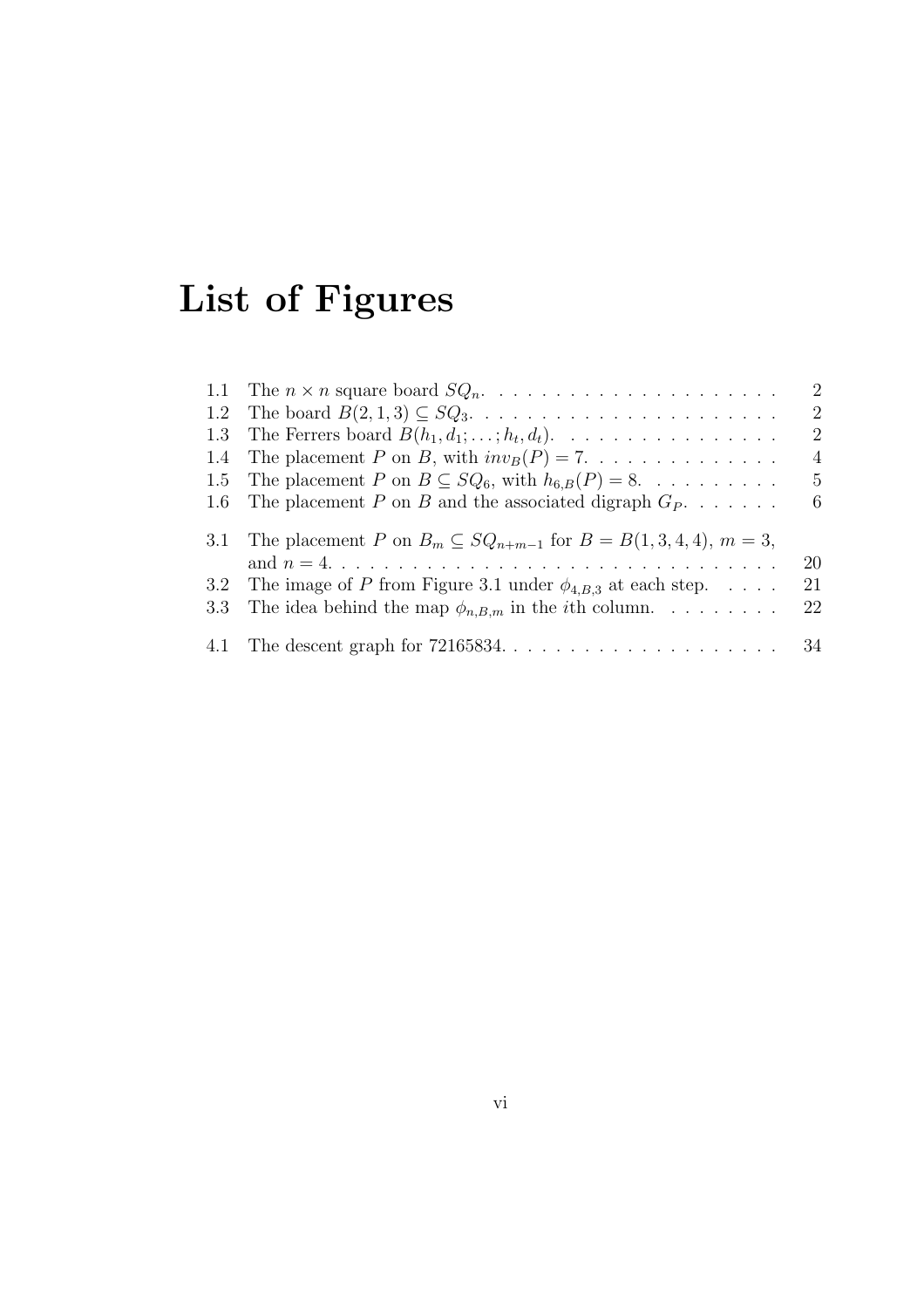# List of Figures

|                                                                                                  | $\overline{2}$ |
|--------------------------------------------------------------------------------------------------|----------------|
|                                                                                                  | $\overline{2}$ |
| 1.3 The Ferrers board $B(h_1, d_1; \ldots; h_t, d_t)$ .                                          | $\overline{2}$ |
| 1.4 The placement P on B, with $inv_B(P) = 7$                                                    | $\overline{4}$ |
| 1.5 The placement P on $B \subseteq SQ_6$ , with $h_{6,B}(P) = 8$ .                              | 5              |
| 1.6 The placement P on B and the associated digraph $G_P$                                        | -6             |
| 3.1 The placement P on $B_m \subseteq SQ_{n+m-1}$ for $B = B(1,3,4,4), m = 3$ ,                  |                |
| and $n = 4. \ldots \ldots \ldots \ldots \ldots \ldots \ldots \ldots \ldots \ldots \ldots \ldots$ | 20             |
| 3.2 The image of P from Figure 3.1 under $\phi_{4,B,3}$ at each step.                            | 21             |
| 3.3 The idea behind the map $\phi_{n,B,m}$ in the <i>i</i> th column.                            | 22             |
|                                                                                                  |                |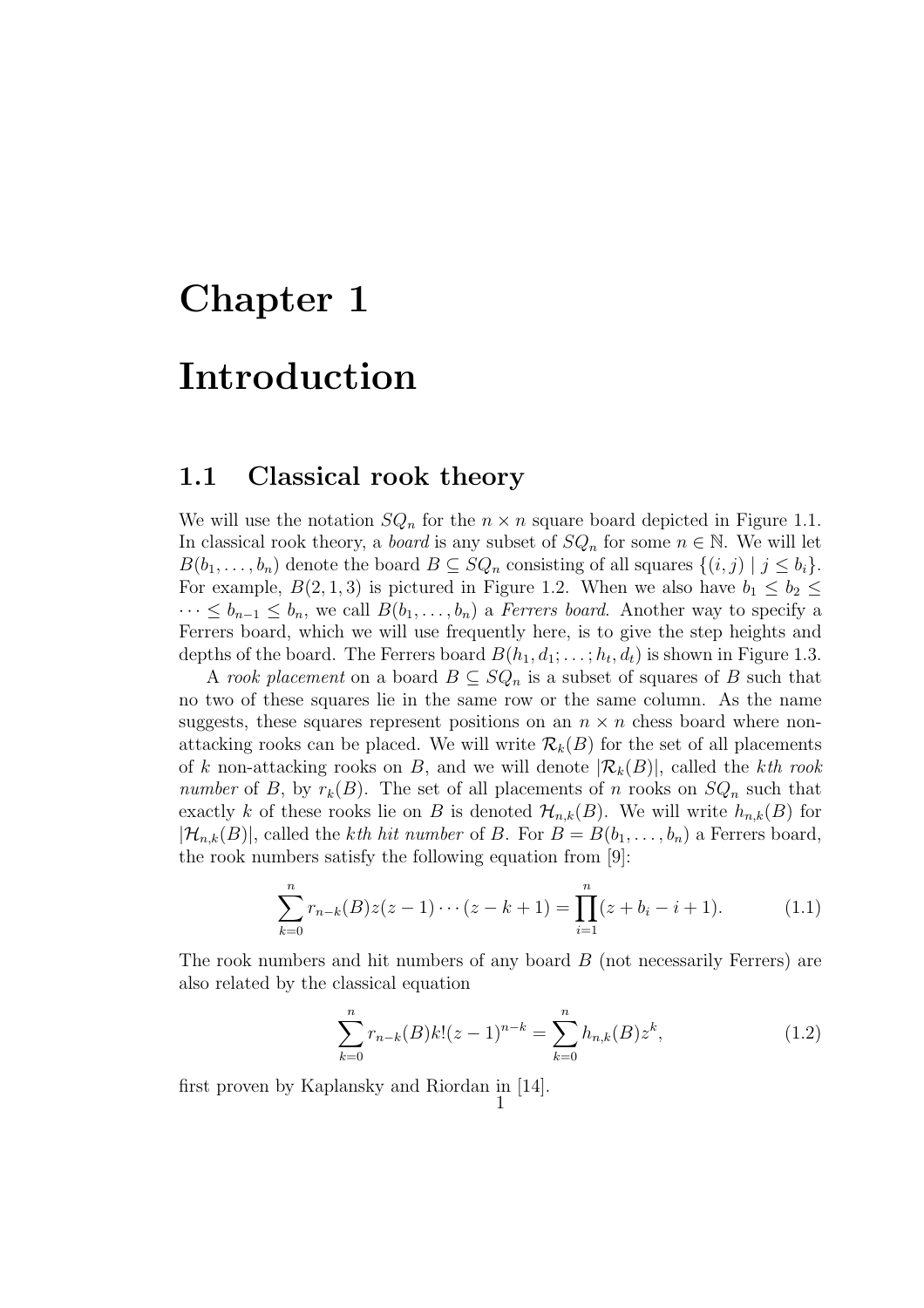# Chapter 1 Introduction

### 1.1 Classical rook theory

We will use the notation  $SQ_n$  for the  $n \times n$  square board depicted in Figure 1.1. In classical rook theory, a *board* is any subset of  $SQ_n$  for some  $n \in \mathbb{N}$ . We will let  $B(b_1, \ldots, b_n)$  denote the board  $B \subseteq SQ_n$  consisting of all squares  $\{(i, j) \mid j \leq b_i\}.$ For example,  $B(2,1,3)$  is pictured in Figure 1.2. When we also have  $b_1 \leq b_2 \leq$  $\cdots \leq b_{n-1} \leq b_n$ , we call  $B(b_1, \ldots, b_n)$  a *Ferrers board*. Another way to specify a Ferrers board, which we will use frequently here, is to give the step heights and depths of the board. The Ferrers board  $B(h_1, d_1; \ldots; h_t, d_t)$  is shown in Figure 1.3.

A rook placement on a board  $B \subseteq SQ_n$  is a subset of squares of B such that no two of these squares lie in the same row or the same column. As the name suggests, these squares represent positions on an  $n \times n$  chess board where nonattacking rooks can be placed. We will write  $\mathcal{R}_k(B)$  for the set of all placements of k non-attacking rooks on B, and we will denote  $|\mathcal{R}_k(B)|$ , called the kth rook number of B, by  $r_k(B)$ . The set of all placements of n rooks on  $SQ_n$  such that exactly k of these rooks lie on B is denoted  $\mathcal{H}_{n,k}(B)$ . We will write  $h_{n,k}(B)$  for  $|\mathcal{H}_{n,k}(B)|$ , called the kth hit number of B. For  $B=B(b_1,\ldots,b_n)$  a Ferrers board, the rook numbers satisfy the following equation from [9]:

$$
\sum_{k=0}^{n} r_{n-k}(B)z(z-1)\cdots(z-k+1) = \prod_{i=1}^{n} (z+b_i-i+1).
$$
 (1.1)

The rook numbers and hit numbers of any board B (not necessarily Ferrers) are also related by the classical equation

$$
\sum_{k=0}^{n} r_{n-k}(B)k!(z-1)^{n-k} = \sum_{k=0}^{n} h_{n,k}(B)z^{k},
$$
\n(1.2)

first proven by Kaplansky and Riordan in [14]. 1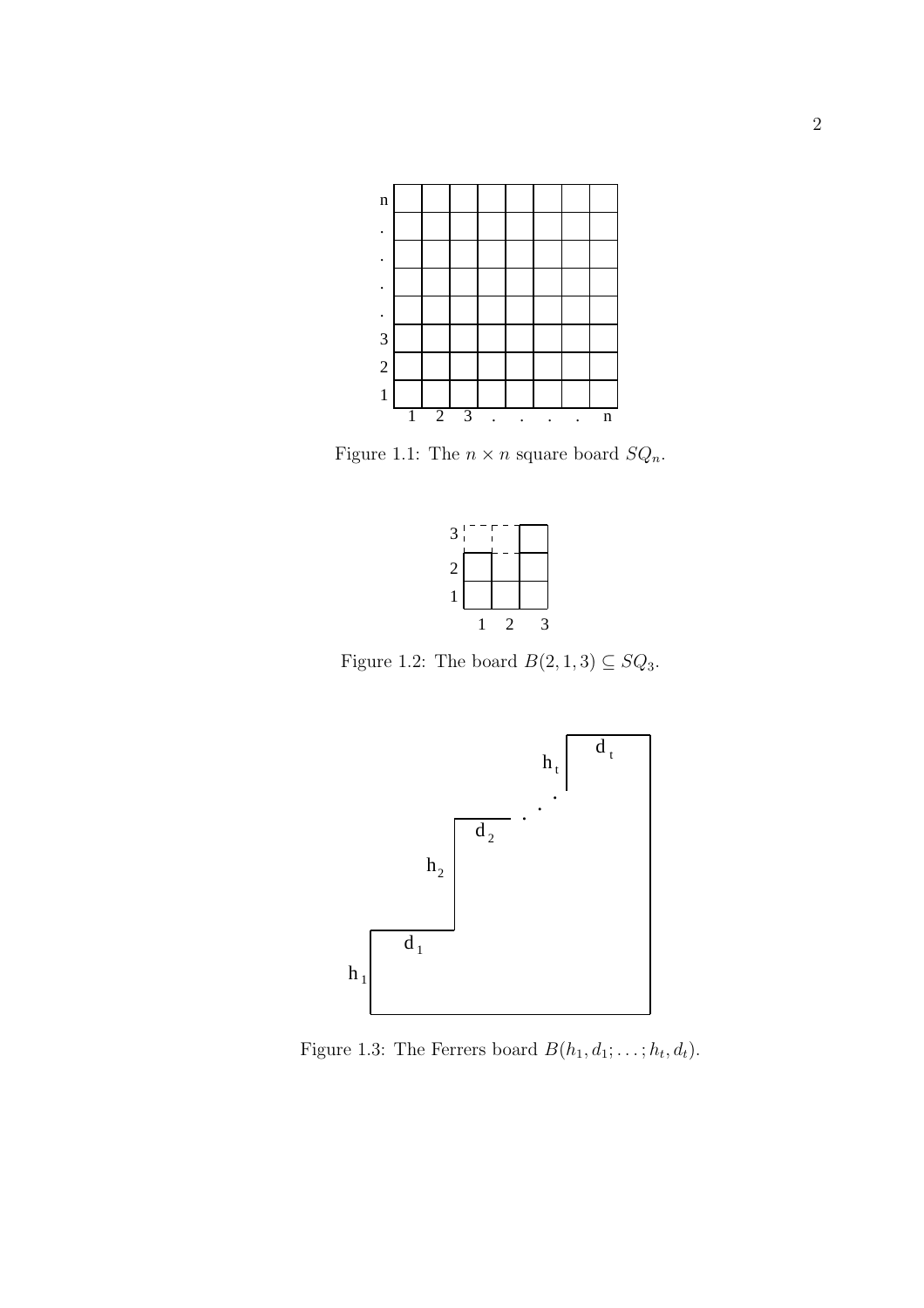

Figure 1.1: The  $n \times n$  square board  $SQ_n$ .



Figure 1.2: The board  $B(2, 1, 3) \subseteq SQ_3$ .



Figure 1.3: The Ferrers board  $B(h_1, d_1; \ldots; h_t, d_t)$ .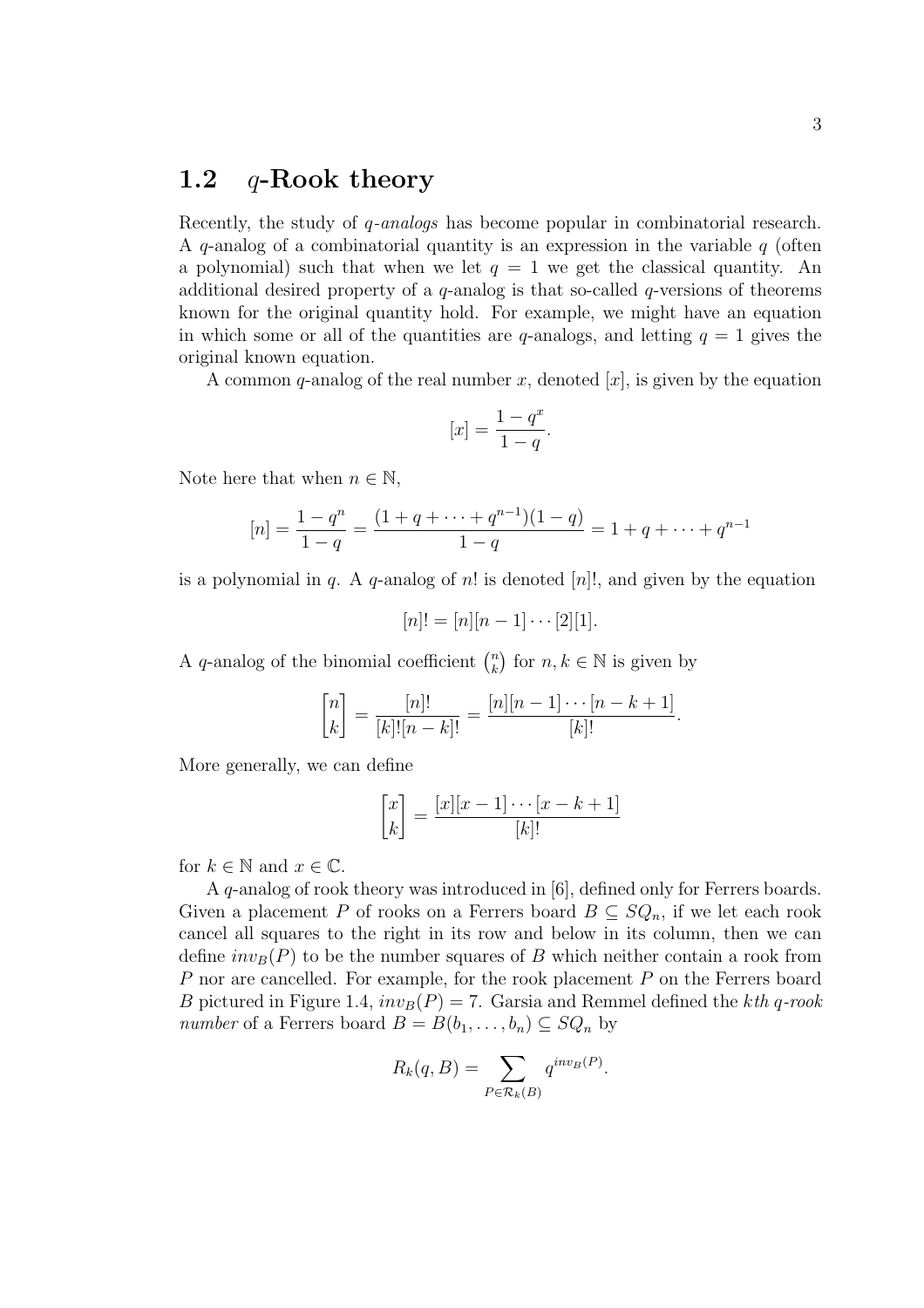### 1.2  $q$ -Rook theory

Recently, the study of q-analogs has become popular in combinatorial research. A q-analog of a combinatorial quantity is an expression in the variable  $q$  (often a polynomial) such that when we let  $q = 1$  we get the classical quantity. An additional desired property of a  $q$ -analog is that so-called  $q$ -versions of theorems known for the original quantity hold. For example, we might have an equation in which some or all of the quantities are q-analogs, and letting  $q = 1$  gives the original known equation.

A common q-analog of the real number x, denoted  $[x]$ , is given by the equation

$$
[x] = \frac{1 - q^x}{1 - q}.
$$

Note here that when  $n \in \mathbb{N}$ ,

$$
[n] = \frac{1 - q^n}{1 - q} = \frac{(1 + q + \dots + q^{n-1})(1 - q)}{1 - q} = 1 + q + \dots + q^{n-1}
$$

is a polynomial in q. A q-analog of n! is denoted  $[n]$ !, and given by the equation

$$
[n]! = [n][n-1] \cdots [2][1].
$$

A q-analog of the binomial coefficient  $\binom{n}{k}$ k ¢ for  $n, k \in \mathbb{N}$  is given by

$$
\binom{n}{k} = \frac{[n]!}{[k]! [n-k]!} = \frac{[n][n-1] \cdots [n-k+1]}{[k]!}.
$$

More generally, we can define

$$
\begin{bmatrix} x \\ k \end{bmatrix} = \frac{[x][x-1]\cdots[x-k+1]}{[k]!}
$$

for  $k \in \mathbb{N}$  and  $x \in \mathbb{C}$ .

A q-analog of rook theory was introduced in [6], defined only for Ferrers boards. Given a placement P of rooks on a Ferrers board  $B \subseteq SQ_n$ , if we let each rook cancel all squares to the right in its row and below in its column, then we can define  $inv_B(P)$  to be the number squares of B which neither contain a rook from P nor are cancelled. For example, for the rook placement P on the Ferrers board B pictured in Figure 1.4,  $inv_B(P) = 7$ . Garsia and Remmel defined the kth q-rook number of a Ferrers board  $B = B(b_1, \ldots, b_n) \subseteq SQ_n$  by

$$
R_k(q, B) = \sum_{P \in \mathcal{R}_k(B)} q^{inv_B(P)}.
$$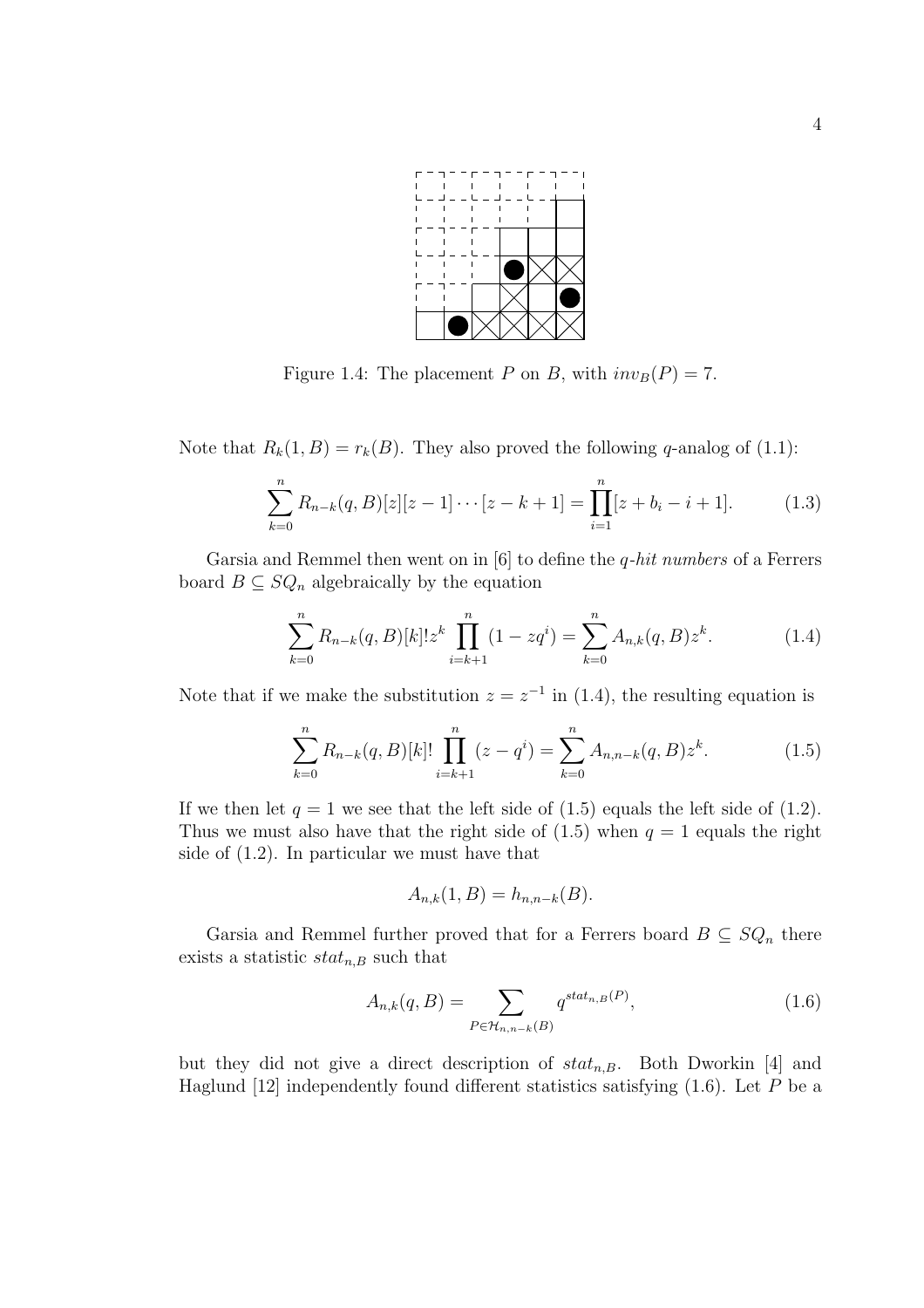

Figure 1.4: The placement P on B, with  $inv_B(P) = 7$ .

Note that  $R_k(1, B) = r_k(B)$ . They also proved the following q-analog of (1.1):

$$
\sum_{k=0}^{n} R_{n-k}(q, B)[z][z-1] \cdots [z-k+1] = \prod_{i=1}^{n} [z+b_i-i+1]. \tag{1.3}
$$

Garsia and Remmel then went on in  $[6]$  to define the *q-hit numbers* of a Ferrers board  $B \subseteq SQ_n$  algebraically by the equation

$$
\sum_{k=0}^{n} R_{n-k}(q, B)[k]! z^k \prod_{i=k+1}^{n} (1 - zq^i) = \sum_{k=0}^{n} A_{n,k}(q, B) z^k.
$$
 (1.4)

Note that if we make the substitution  $z = z^{-1}$  in (1.4), the resulting equation is

$$
\sum_{k=0}^{n} R_{n-k}(q, B)[k]! \prod_{i=k+1}^{n} (z - q^{i}) = \sum_{k=0}^{n} A_{n,n-k}(q, B) z^{k}.
$$
 (1.5)

If we then let  $q = 1$  we see that the left side of (1.5) equals the left side of (1.2). Thus we must also have that the right side of  $(1.5)$  when  $q = 1$  equals the right side of (1.2). In particular we must have that

$$
A_{n,k}(1,B) = h_{n,n-k}(B).
$$

Garsia and Remmel further proved that for a Ferrers board  $B \subseteq SQ_n$  there exists a statistic  $stat_{n,B}$  such that

$$
A_{n,k}(q,B) = \sum_{P \in \mathcal{H}_{n,n-k}(B)} q^{stat_{n,B}(P)},\tag{1.6}
$$

but they did not give a direct description of  $stat_{n,B}$ . Both Dworkin [4] and Haglund  $[12]$  independently found different statistics satisfying  $(1.6)$ . Let P be a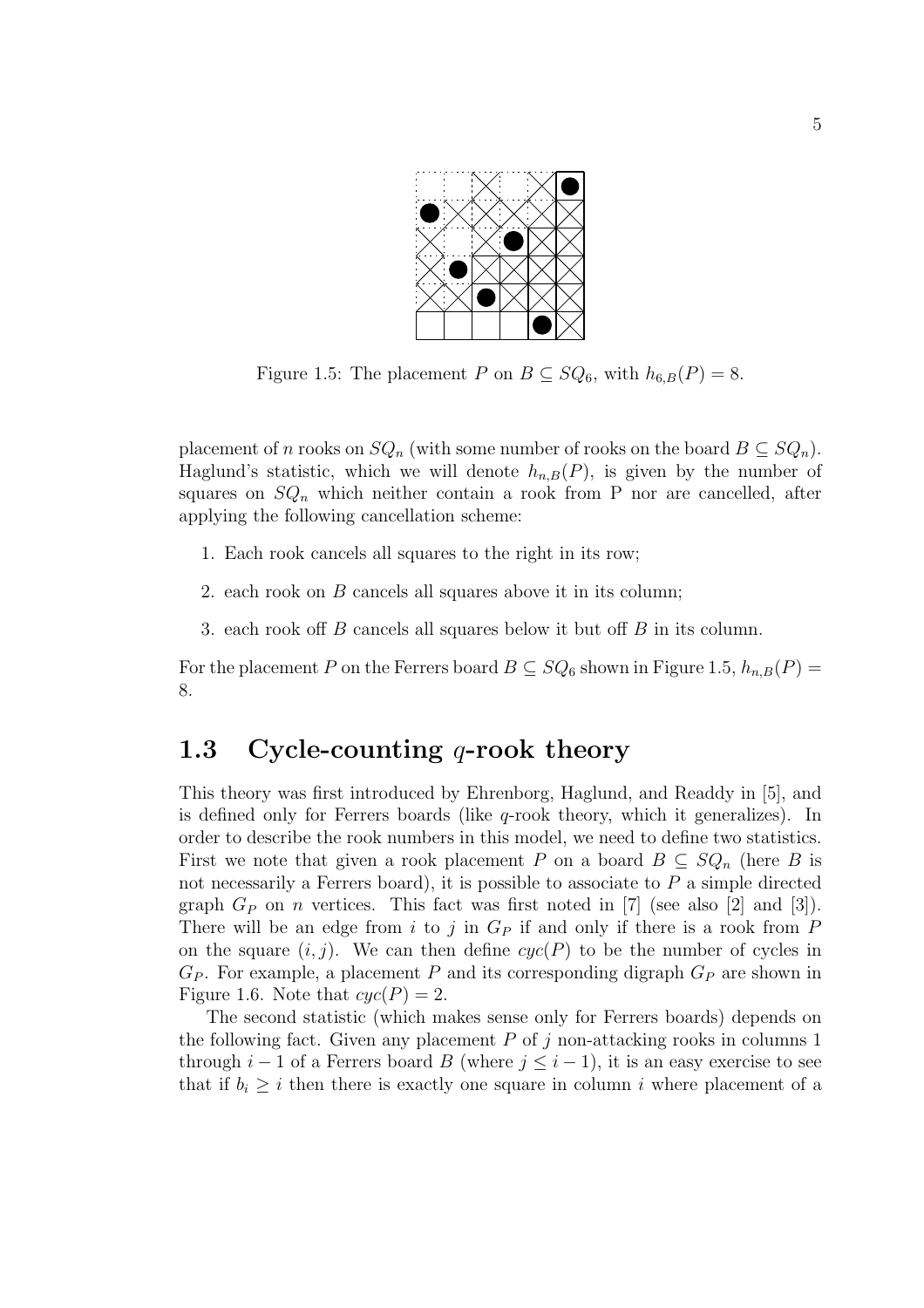

Figure 1.5: The placement P on  $B \subseteq SQ_6$ , with  $h_{6,B}(P) = 8$ .

placement of n rooks on  $SQ_n$  (with some number of rooks on the board  $B \subseteq SQ_n$ ). Haglund's statistic, which we will denote  $h_{n,B}(P)$ , is given by the number of squares on  $SQ_n$  which neither contain a rook from P nor are cancelled, after applying the following cancellation scheme:

- 1. Each rook cancels all squares to the right in its row;
- 2. each rook on B cancels all squares above it in its column;
- 3. each rook off B cancels all squares below it but off B in its column.

For the placement P on the Ferrers board  $B \subseteq SQ_6$  shown in Figure 1.5,  $h_{n,B}(P) =$ 8.

### 1.3 Cycle-counting  $q$ -rook theory

This theory was first introduced by Ehrenborg, Haglund, and Readdy in [5], and is defined only for Ferrers boards (like  $q$ -rook theory, which it generalizes). In order to describe the rook numbers in this model, we need to define two statistics. First we note that given a rook placement P on a board  $B \subseteq SQ_n$  (here B is not necessarily a Ferrers board), it is possible to associate to  $P$  a simple directed graph  $G_P$  on *n* vertices. This fact was first noted in [7] (see also [2] and [3]). There will be an edge from i to j in  $G_P$  if and only if there is a rook from P on the square  $(i, j)$ . We can then define  $cyc(P)$  to be the number of cycles in  $G_P$ . For example, a placement P and its corresponding digraph  $G_P$  are shown in Figure 1.6. Note that  $cyc(P) = 2$ .

The second statistic (which makes sense only for Ferrers boards) depends on the following fact. Given any placement  $P$  of  $j$  non-attacking rooks in columns 1 through  $i - 1$  of a Ferrers board B (where  $j \leq i - 1$ ), it is an easy exercise to see that if  $b_i \geq i$  then there is exactly one square in column i where placement of a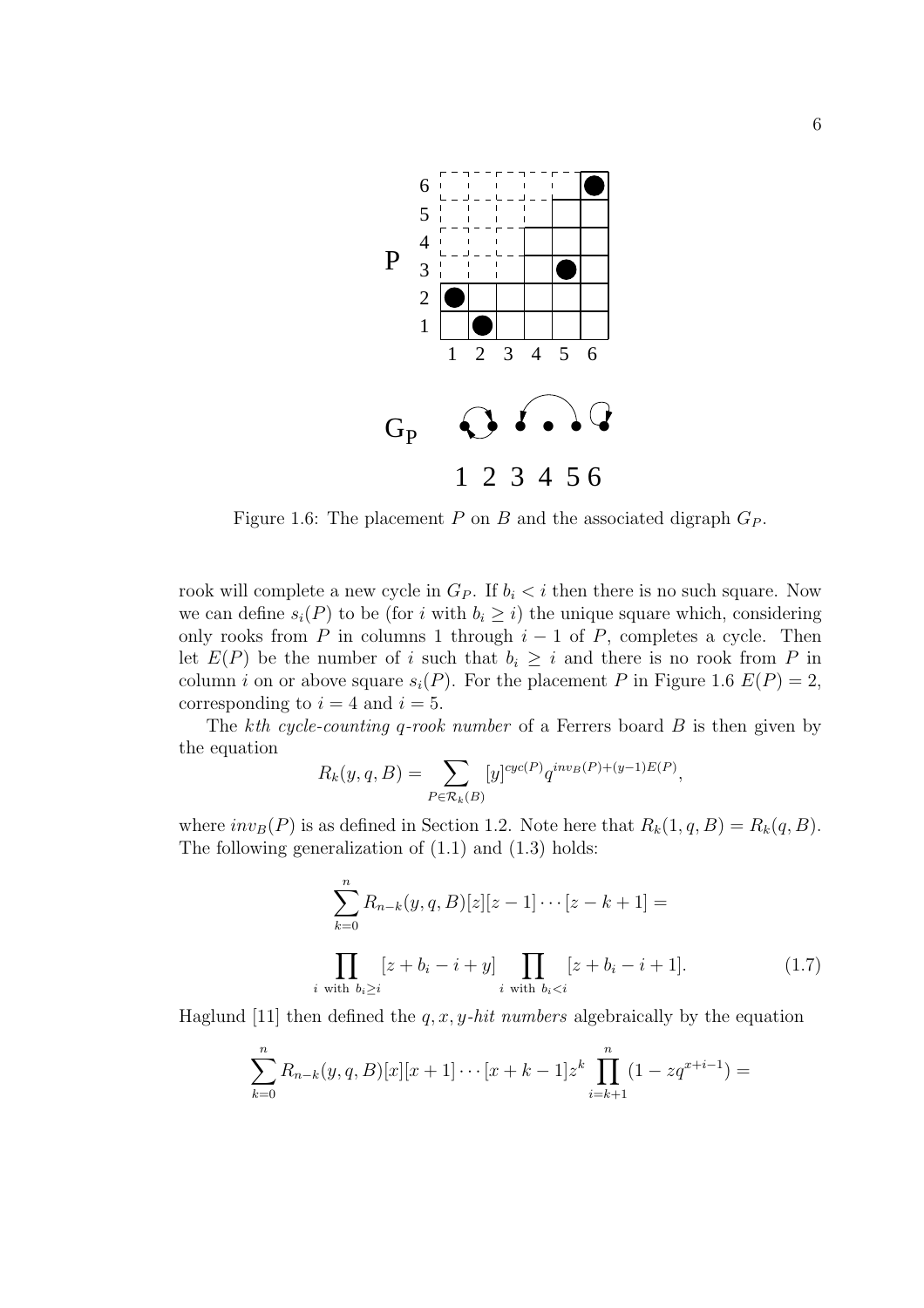

Figure 1.6: The placement P on B and the associated digraph  $G_P$ .

rook will complete a new cycle in  $G_P$ . If  $b_i < i$  then there is no such square. Now we can define  $s_i(P)$  to be (for i with  $b_i \geq i$ ) the unique square which, considering only rooks from P in columns 1 through  $i - 1$  of P, completes a cycle. Then let  $E(P)$  be the number of i such that  $b_i \geq i$  and there is no rook from P in column i on or above square  $s_i(P)$ . For the placement P in Figure 1.6  $E(P) = 2$ , corresponding to  $i = 4$  and  $i = 5$ .

The kth cycle-counting q-rook number of a Ferrers board  $B$  is then given by the equation

$$
R_k(y, q, B) = \sum_{P \in \mathcal{R}_k(B)} [y]^{cyc(P)} q^{inv_B(P) + (y-1)E(P)},
$$

where  $inv_B(P)$  is as defined in Section 1.2. Note here that  $R_k(1, q, B) = R_k(q, B)$ . The following generalization of (1.1) and (1.3) holds:

$$
\sum_{k=0}^{n} R_{n-k}(y, q, B)[z][z-1] \cdots [z-k+1] =
$$
\n
$$
\prod_{i \text{ with } b_i \ge i} [z+b_i-i+y] \prod_{i \text{ with } b_i < i} [z+b_i-i+1]. \tag{1.7}
$$

Haglund [11] then defined the q, x, y-hit numbers algebraically by the equation

$$
\sum_{k=0}^{n} R_{n-k}(y, q, B)[x][x+1] \cdots [x+k-1]z^{k} \prod_{i=k+1}^{n} (1 - zq^{x+i-1}) =
$$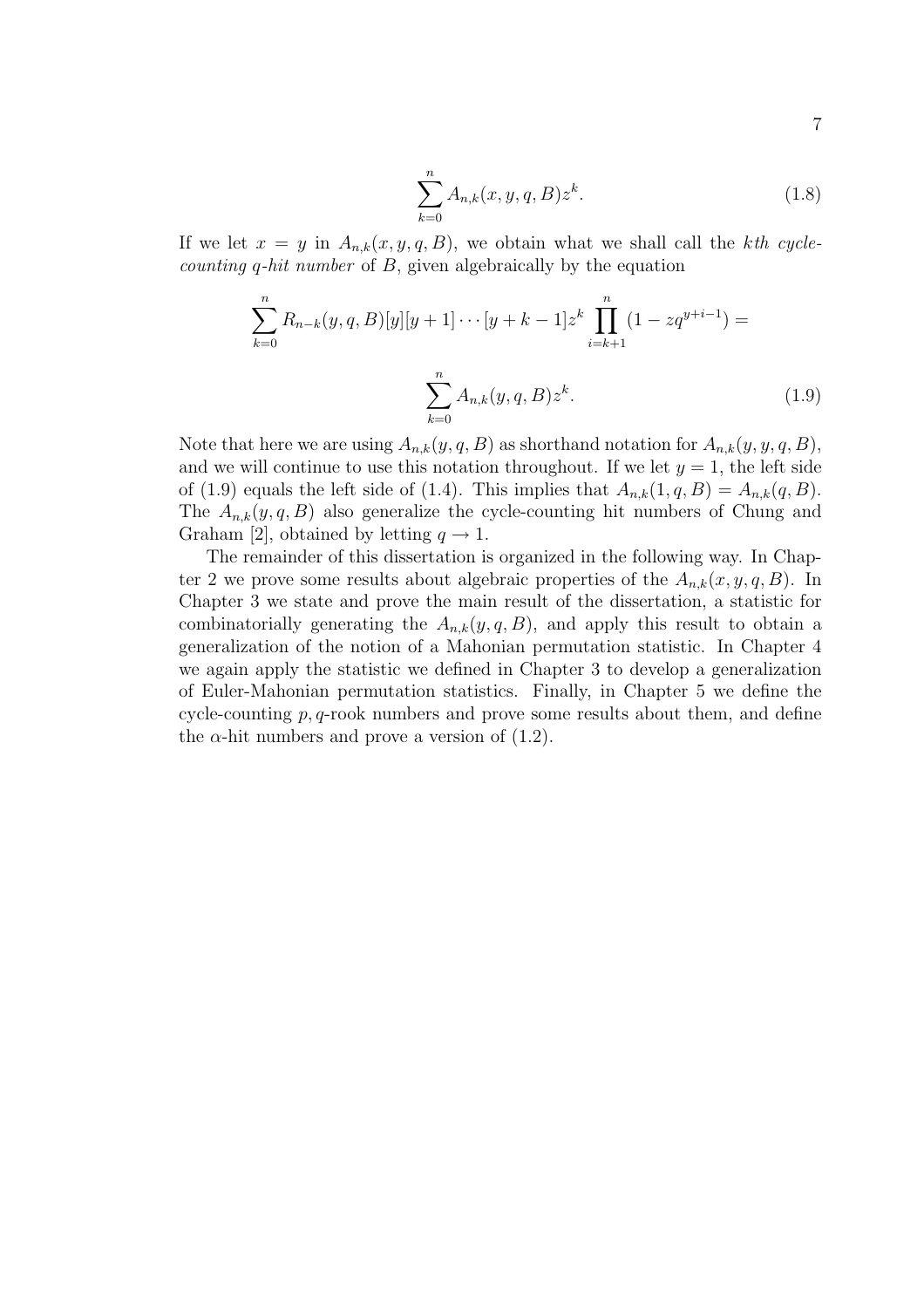$$
\sum_{k=0}^{n} A_{n,k}(x, y, q, B) z^{k}.
$$
 (1.8)

If we let  $x = y$  in  $A_{n,k}(x, y, q, B)$ , we obtain what we shall call the kth cyclecounting q-hit number of B, given algebraically by the equation

$$
\sum_{k=0}^{n} R_{n-k}(y, q, B)[y][y+1] \cdots [y+k-1]z^{k} \prod_{i=k+1}^{n} (1 - zq^{y+i-1}) =
$$

$$
\sum_{k=0}^{n} A_{n,k}(y, q, B)z^{k}.
$$
(1.9)

Note that here we are using  $A_{n,k}(y, q, B)$  as shorthand notation for  $A_{n,k}(y, y, q, B)$ , and we will continue to use this notation throughout. If we let  $y = 1$ , the left side of (1.9) equals the left side of (1.4). This implies that  $A_{n,k}(1,q, B) = A_{n,k}(q, B)$ . The  $A_{n,k}(y, q, B)$  also generalize the cycle-counting hit numbers of Chung and Graham [2], obtained by letting  $q \to 1$ .

The remainder of this dissertation is organized in the following way. In Chapter 2 we prove some results about algebraic properties of the  $A_{n,k}(x, y, q, B)$ . In Chapter 3 we state and prove the main result of the dissertation, a statistic for combinatorially generating the  $A_{n,k}(y, q, B)$ , and apply this result to obtain a generalization of the notion of a Mahonian permutation statistic. In Chapter 4 we again apply the statistic we defined in Chapter 3 to develop a generalization of Euler-Mahonian permutation statistics. Finally, in Chapter 5 we define the cycle-counting  $p, q$ -rook numbers and prove some results about them, and define the  $\alpha$ -hit numbers and prove a version of (1.2).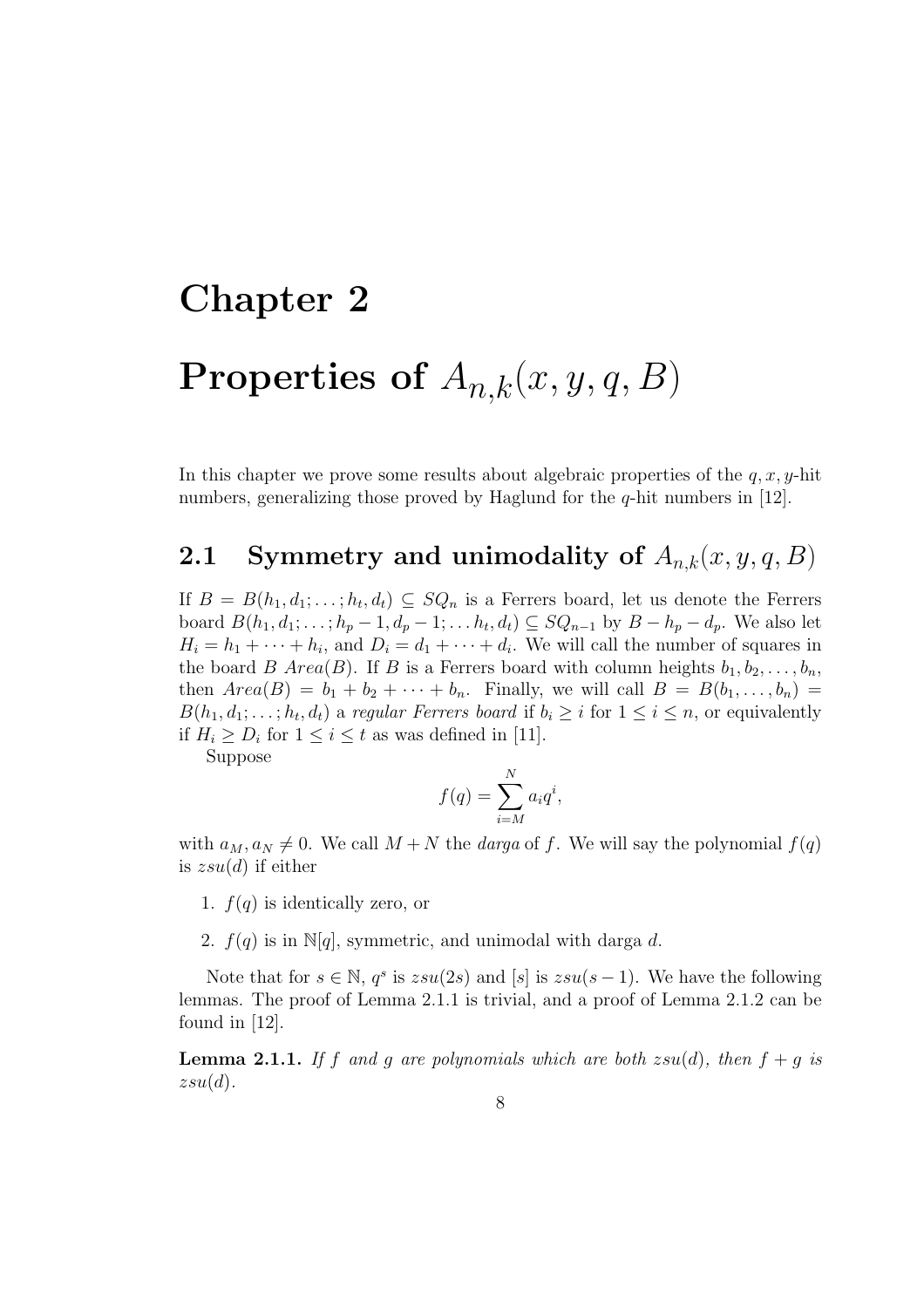# Chapter 2 Properties of  $A_{n,k}(x, y, q, B)$

In this chapter we prove some results about algebraic properties of the  $q, x, y$ -hit numbers, generalizing those proved by Haglund for the *q*-hit numbers in [12].

### **2.1** Symmetry and unimodality of  $A_{n,k}(x, y, q, B)$

If  $B = B(h_1, d_1; \ldots; h_t, d_t) \subseteq SQ_n$  is a Ferrers board, let us denote the Ferrers board  $B(h_1, d_1; \ldots; h_p-1, d_p-1; \ldots, h_t, d_t) \subseteq SQ_{n-1}$  by  $B-h_p-d_p$ . We also let  $H_i = h_1 + \cdots + h_i$ , and  $D_i = d_1 + \cdots + d_i$ . We will call the number of squares in the board B Area(B). If B is a Ferrers board with column heights  $b_1, b_2, \ldots, b_n$ , then  $Area(B) = b_1 + b_2 + \cdots + b_n$ . Finally, we will call  $B = B(b_1, \ldots, b_n)$  $B(h_1, d_1; \ldots; h_t, d_t)$  a regular Ferrers board if  $b_i \geq i$  for  $1 \leq i \leq n$ , or equivalently if  $H_i \ge D_i$  for  $1 \le i \le t$  as was defined in [11].

Suppose

$$
f(q) = \sum_{i=M}^{N} a_i q^i,
$$

with  $a_M, a_N \neq 0$ . We call  $M + N$  the *darga* of f. We will say the polynomial  $f(q)$ is  $zsu(d)$  if either

- 1.  $f(q)$  is identically zero, or
- 2.  $f(q)$  is in N[q], symmetric, and unimodal with darga d.

Note that for  $s \in \mathbb{N}$ ,  $q^s$  is  $zsu(2s)$  and  $[s]$  is  $zsu(s-1)$ . We have the following lemmas. The proof of Lemma 2.1.1 is trivial, and a proof of Lemma 2.1.2 can be found in [12].

**Lemma 2.1.1.** If f and g are polynomials which are both  $zsu(d)$ , then  $f + g$  is  $zsu(d).$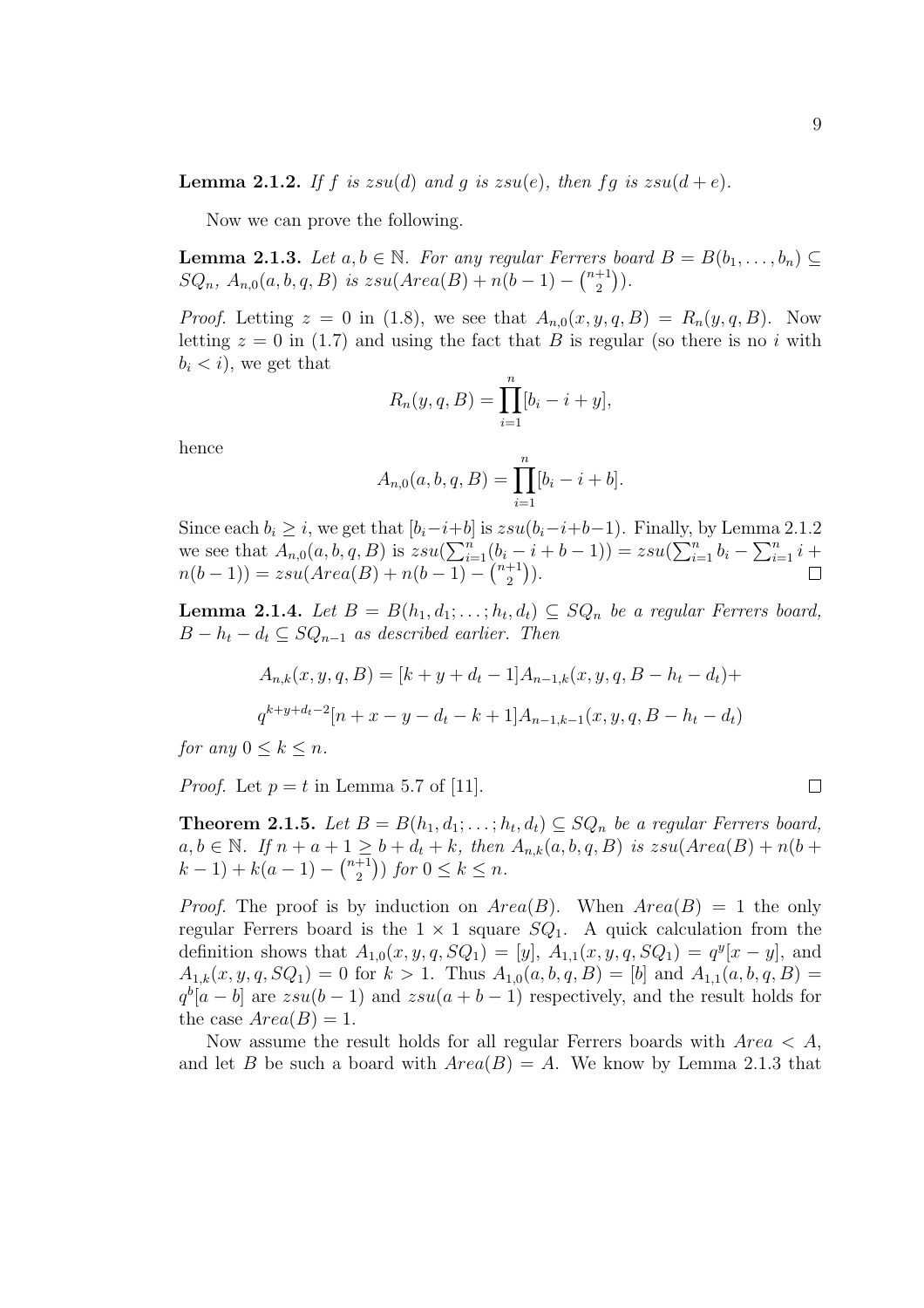Now we can prove the following.

**Lemma 2.1.3.** Let  $a, b \in \mathbb{N}$ . For any regular Ferrers board  $B = B(b_1, \ldots, b_n) \subseteq$  $SQ_n$ ,  $A_{n,0}(a, b, q, B)$  is  $zsu(Area(B) + n(b-1) - {n+1 \choose 2}$  $\binom{+1}{2}$ ).

*Proof.* Letting  $z = 0$  in (1.8), we see that  $A_{n,0}(x, y, q, B) = R_n(y, q, B)$ . Now letting  $z = 0$  in (1.7) and using the fact that B is regular (so there is no i with  $b_i < i$ , we get that

$$
R_n(y, q, B) = \prod_{i=1}^n [b_i - i + y],
$$

hence

$$
A_{n,0}(a, b, q, B) = \prod_{i=1}^{n} [b_i - i + b].
$$

Since each  $b_i \geq i$ , we get that  $[b_i-i+b]$  is  $zsu(b_i-i+b-1)$ . Finally, by Lemma 2.1.2 since each  $v_i \geq i$ , we get that  $[v_i - i + o]$ <br>we see that  $A_{n,0}(a, b, q, B)$  is  $zsu(\sum_{i=1}^n a_i)$  $\sum_{i=1}^{n} (b_i - i + b - 1) = zsu($ цу,  $\sum_{n=1}^{\infty}$  $\sum_{i=1}^{n} b_i$ ина $\sum^n$  $\sum_{i=1}^{n} i +$  $n(b-1)) = zsu(Area(B) + n(b-1) \binom{0_i -}{}_{n+1}$ 2  $\frac{1}{\sqrt{2}}$ ).

**Lemma 2.1.4.** Let  $B = B(h_1, d_1; \ldots; h_t, d_t) \subseteq SQ_n$  be a regular Ferrers board,  $B - h_t - d_t \subseteq SQ_{n-1}$  as described earlier. Then

$$
A_{n,k}(x, y, q, B) = [k + y + d_t - 1]A_{n-1,k}(x, y, q, B - h_t - d_t) +
$$
  

$$
q^{k+y+d_t-2}[n + x - y - d_t - k + 1]A_{n-1,k-1}(x, y, q, B - h_t - d_t)
$$

for any  $0 \leq k \leq n$ .

*Proof.* Let  $p = t$  in Lemma 5.7 of [11].

**Theorem 2.1.5.** Let  $B = B(h_1, d_1; \ldots; h_t, d_t) \subseteq SQ_n$  be a regular Ferrers board,  $a, b \in \mathbb{N}$ . If  $n + a + 1 \geq b + d_t + k$ , then  $A_{n,k}(a, b, q, B)$  is  $zsu(Area(B) + n(b +$  $(k-1) + k(a-1) \frac{1}{n+1}$ 2  $\mathbf{v}^{\prime}$ ) for  $0 \leq k \leq n$ .

*Proof.* The proof is by induction on  $Area(B)$ . When  $Area(B) = 1$  the only regular Ferrers board is the  $1 \times 1$  square  $SQ_1$ . A quick calculation from the definition shows that  $A_{1,0}(x, y, q, SQ_1) = [y]$ ,  $A_{1,1}(x, y, q, SQ_1) = q^y[x - y]$ , and  $A_{1,k}(x, y, q, SQ_1) = 0$  for  $k > 1$ . Thus  $A_{1,0}(a, b, q, B) = [b]$  and  $A_{1,1}(a, b, q, B) =$  $q^b[a-b]$  are  $zsu(b-1)$  and  $zsu(a+b-1)$  respectively, and the result holds for the case  $Area(B) = 1$ .

Now assume the result holds for all regular Ferrers boards with  $Area < A$ , and let B be such a board with  $Area(B) = A$ . We know by Lemma 2.1.3 that

$$
\qquad \qquad \Box
$$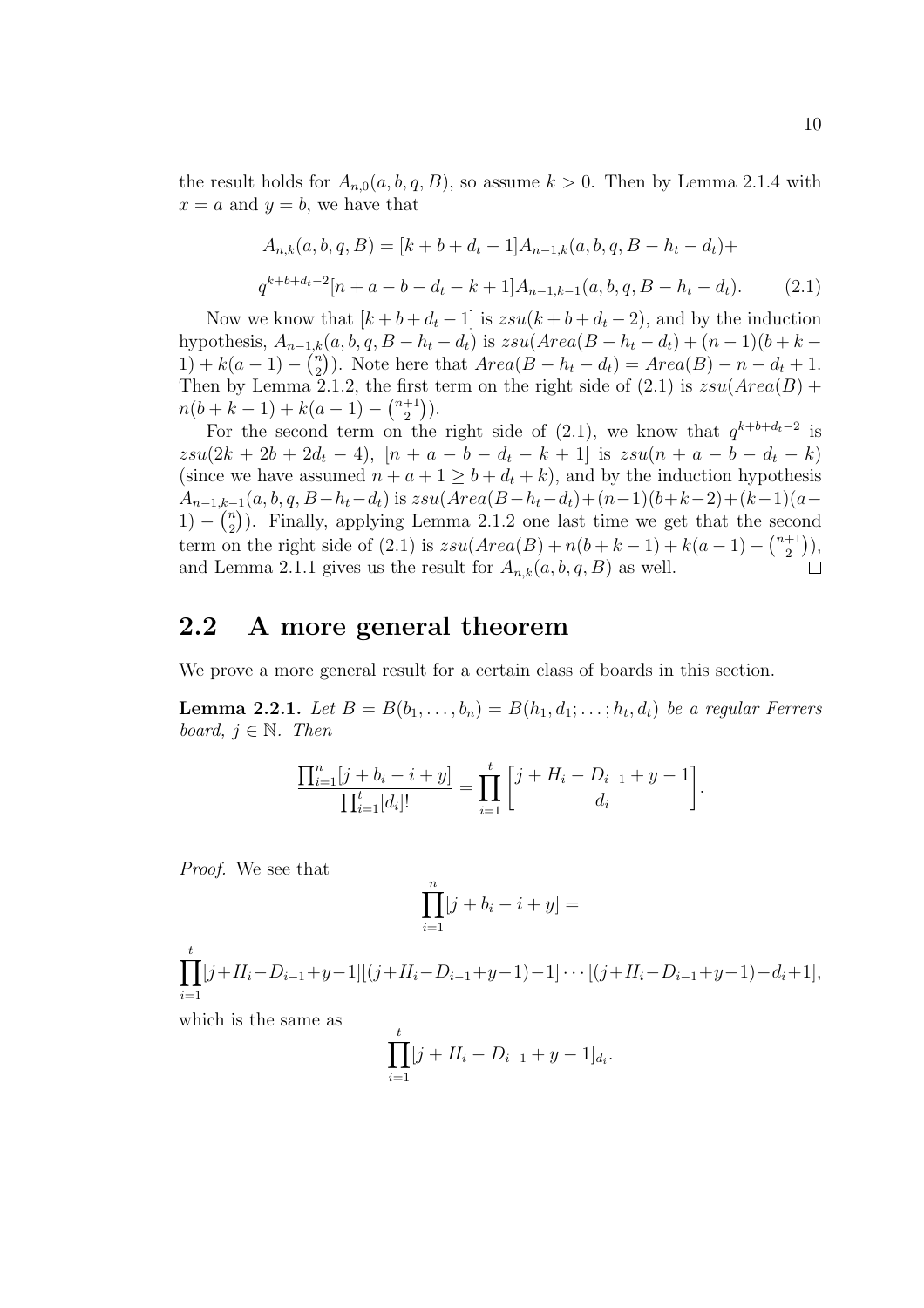the result holds for  $A_{n,0}(a, b, q, B)$ , so assume  $k > 0$ . Then by Lemma 2.1.4 with  $x = a$  and  $y = b$ , we have that

$$
A_{n,k}(a,b,q,B) = [k+b+d_t-1]A_{n-1,k}(a,b,q,B-h_t-d_t)+
$$
  

$$
q^{k+b+d_t-2}[n+a-b-d_t-k+1]A_{n-1,k-1}(a,b,q,B-h_t-d_t).
$$
 (2.1)

Now we know that  $[k + b + d_t - 1]$  is  $zsu(k + b + d_t - 2)$ , and by the induction hypothesis,  $A_{n-1,k}(a, b, q, B - h_t - d_t)$  is  $zsu(Area(B - h_t - d_t) + (n-1)(b + k 1) + k(a-1) - \binom{n}{2}$  $\binom{n}{2}$ ). Note here that  $Area(B-h_t-d_t) = Area(B) - n - d_t + 1$ . Then by Lemma 2.1.2, the first term on the right side of  $(2.1)$  is  $zsu(Area(B) +$  $n(b+k-1) + k(a-1) - \binom{n+1}{2}$  $\binom{+1}{2}$ .

For the second term on the right side of  $(2.1)$ , we know that  $q^{k+b+d_t-2}$  is  $zsu(2k+2b+2d_t-4), [n+a-b-d_t-k+1]$  is  $zsu(n+a-b-d_t-k)$ (since we have assumed  $n + a + 1 \geq b + d_t + k$ ), and by the induction hypothesis  $A_{n-1,k-1}(a, b, q, B-h_t-d_t)$  is  $zsu(Area(B-h_t-d_t)+(n-1)(b+k-2)+(k-1)(a-t)$ 1) –  $\binom{n}{2}$ <sup>n</sup>). Finally, applying Lemma 2.1.2 one last time we get that the second term on the right side of (2.1) is  $zsu(Area(B) + n(b + k - 1) + k(a - 1) - {n+1 \choose 2}$  $_{2}^{+1}$ )), and Lemma 2.1.1 gives us the result for  $\overrightarrow{A}_{n,k}(a, b, q, B)$  as well.  $\Box$ 

### 2.2 A more general theorem

We prove a more general result for a certain class of boards in this section.

**Lemma 2.2.1.** Let  $B = B(b_1, \ldots, b_n) = B(h_1, d_1; \ldots; h_t, d_t)$  be a regular Ferrers board,  $j \in \mathbb{N}$ . Then

$$
\frac{\prod_{i=1}^{n} [j + b_i - i + y]}{\prod_{i=1}^{t} [d_i]!} = \prod_{i=1}^{t} \begin{bmatrix} j + H_i - D_{i-1} + y - 1 \\ d_i \end{bmatrix}.
$$

Proof. We see that

$$
\prod_{i=1}^n [j+b_i-i+y] =
$$

 $\frac{t}{\sqrt{1-t}}$  $i=1$  $[j+H_i-D_{i-1}+y-1][(j+H_i-D_{i-1}+y-1)-1] \cdots [(j+H_i-D_{i-1}+y-1)-d_i+1],$ 

which is the same as

$$
\prod_{i=1}^{t} [j + H_i - D_{i-1} + y - 1]_{d_i}.
$$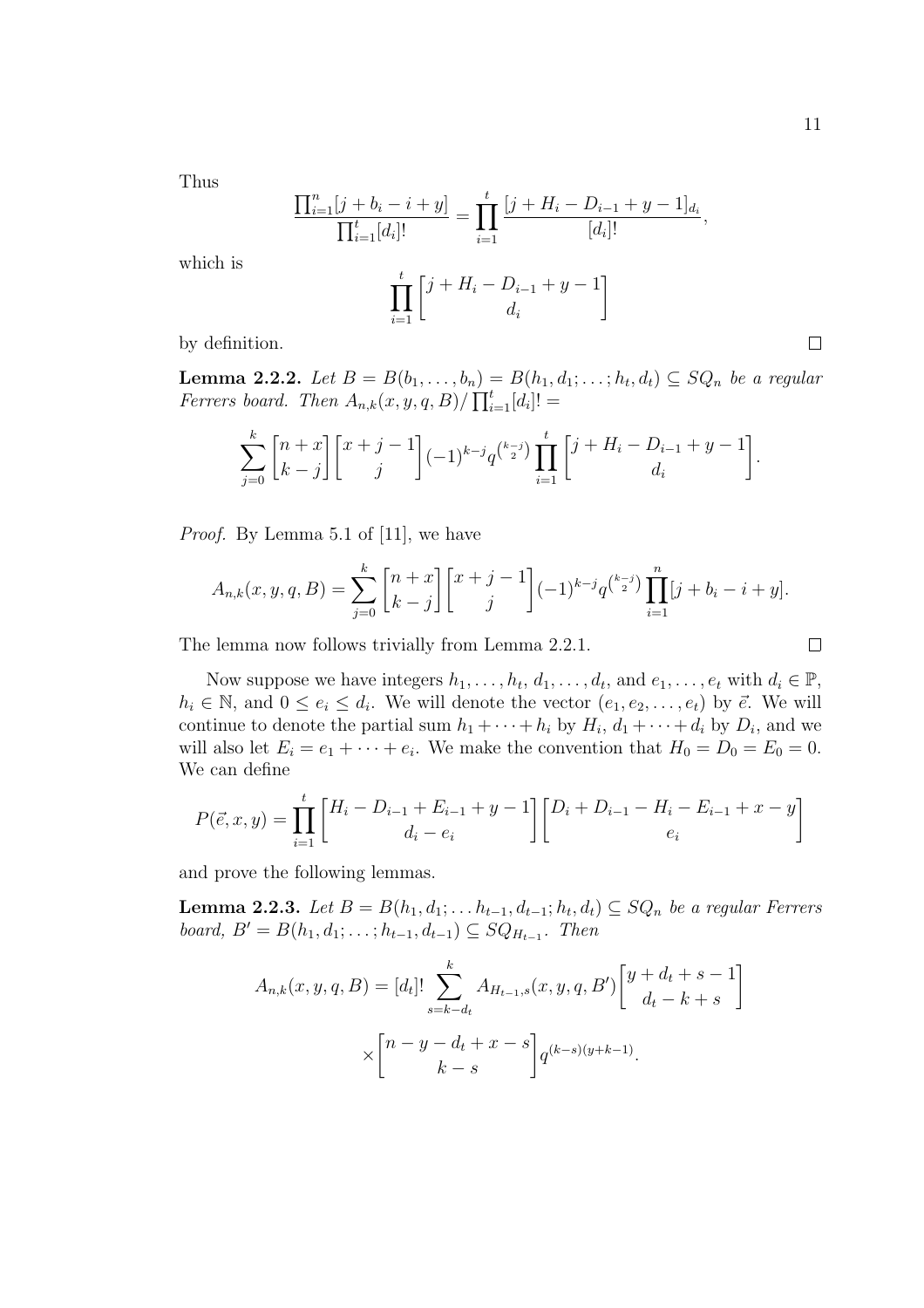$\Box$ 

Thus

which is

$$
\frac{\prod_{i=1}^{n} [j + b_i - i + y]}{\prod_{i=1}^{t} [d_i]!} = \prod_{i=1}^{t} \frac{[j + H_i - D_{i-1} + y - 1]_{d_i}}{[d_i]!},
$$
\n
$$
\prod_{i=1}^{t} \left[ \frac{j + H_i - D_{i-1} + y - 1}{d_i} \right]
$$

by definition.

**Lemma 2.2.2.** Let  $B = B(b_1, \ldots, b_n) = B(h_1, d_1; \ldots; h_t, d_t) \subseteq SQ_n$  be a regular **Lemma 2.2.2.** Let  $D = D(0_1, \ldots, 0_n)$  for  $\text{Per}$  board. Then  $A_{n,k}(x, y, q, B) / \prod_{i=1}^{t}$  $_{i=1}^{t}[d_{i}]!=$ 

$$
\sum_{j=0}^{k} {n+x \brack k-j} {x+j-1 \brack j} (-1)^{k-j} q^{{k-j} \choose 2} \prod_{i=1}^{t} {j+H_i-D_{i-1}+y-1 \brack d_i}.
$$

Proof. By Lemma 5.1 of [11], we have

$$
A_{n,k}(x,y,q,B) = \sum_{j=0}^{k} {n+x \brack k-j} {x+j-1 \brack j} (-1)^{k-j} q^{\binom{k-j}{2}} \prod_{i=1}^{n} [j+b_i-i+y].
$$

The lemma now follows trivially from Lemma 2.2.1.

Now suppose we have integers 
$$
h_1, \ldots, h_t, d_1, \ldots, d_t
$$
, and  $e_1, \ldots, e_t$  with  $d_i \in \mathbb{P}$ ,  $h_i \in \mathbb{N}$ , and  $0 \le e_i \le d_i$ . We will denote the vector  $(e_1, e_2, \ldots, e_t)$  by  $\vec{e}$ . We will continue to denote the partial sum  $h_1 + \cdots + h_i$  by  $H_i, d_1 + \cdots + d_i$  by  $D_i$ , and we will also let  $E_i = e_1 + \cdots + e_i$ . We make the convention that  $H_0 = D_0 = E_0 = 0$ . We can define

$$
P(\vec{e}, x, y) = \prod_{i=1}^{t} \begin{bmatrix} H_i - D_{i-1} + E_{i-1} + y - 1 \\ d_i - e_i \end{bmatrix} \begin{bmatrix} D_i + D_{i-1} - H_i - E_{i-1} + x - y \\ e_i \end{bmatrix}
$$

and prove the following lemmas.

**Lemma 2.2.3.** Let  $B = B(h_1, d_1; \ldots h_{t-1}, d_{t-1}; h_t, d_t) \subseteq SQ_n$  be a regular Ferrers *board*,  $B' = B(h_1, d_1; \ldots; h_{t-1}, d_{t-1}) \subseteq SQ_{H_{t-1}}$ . Then

$$
A_{n,k}(x, y, q, B) = [d_t]! \sum_{s=k-d_t}^{k} A_{H_{t-1}, s}(x, y, q, B') \begin{bmatrix} y + d_t + s - 1 \\ d_t - k + s \end{bmatrix}
$$

$$
\times \begin{bmatrix} n - y - d_t + x - s \\ k - s \end{bmatrix} q^{(k-s)(y+k-1)}.
$$

$$
\Box
$$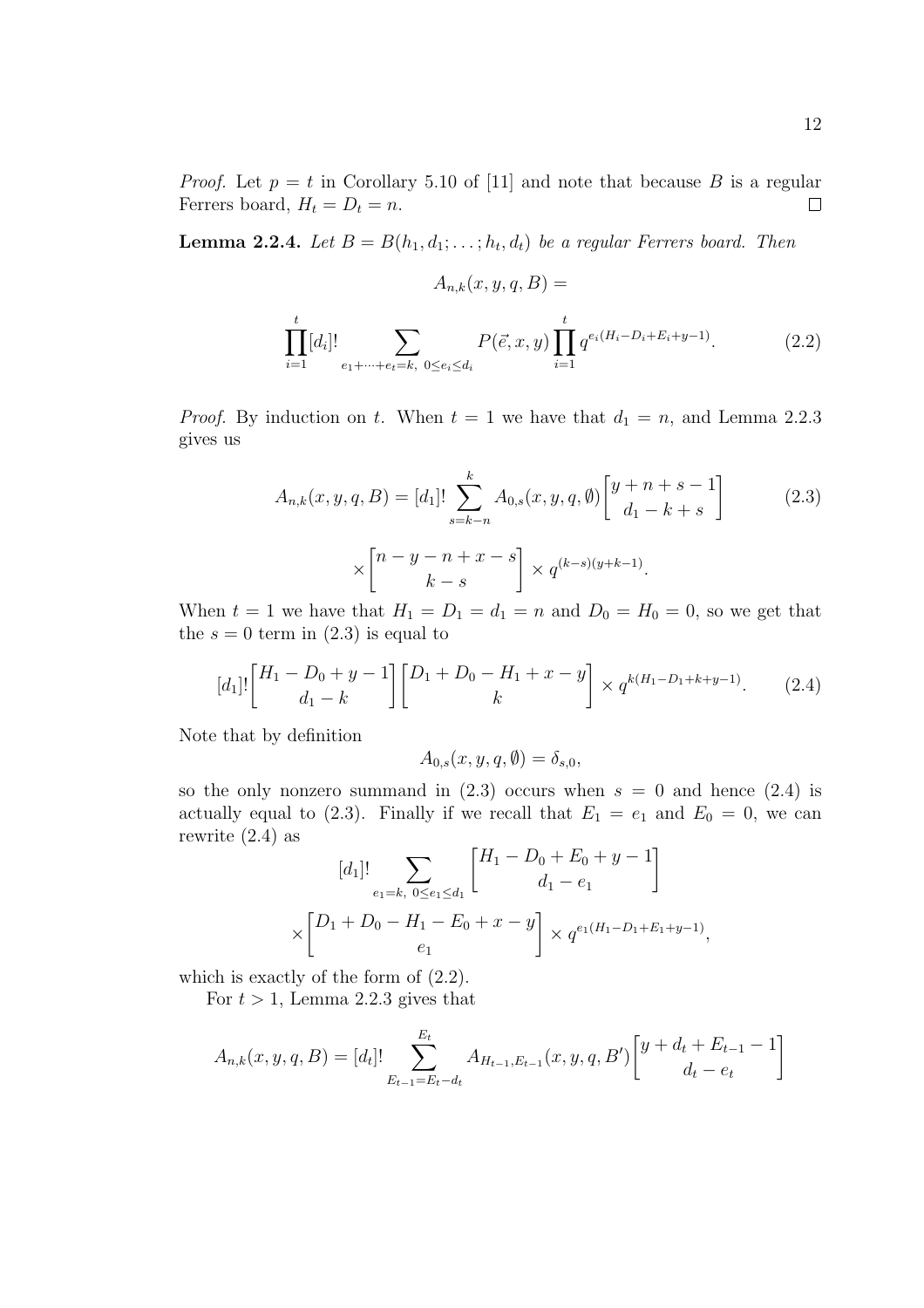$A_{n,k}(x, y, q, B) =$ 

**Lemma 2.2.4.** Let  $B = B(h_1, d_1; \ldots; h_t, d_t)$  be a regular Ferrers board. Then

$$
\prod_{i=1}^{t} [d_i]! \sum_{e_1 + \dots + e_t = k, 0 \le e_i \le d_i} P(\vec{e}, x, y) \prod_{i=1}^{t} q^{e_i(H_i - D_i + E_i + y - 1)}.
$$
 (2.2)

*Proof.* By induction on t. When  $t = 1$  we have that  $d_1 = n$ , and Lemma 2.2.3 gives us

$$
A_{n,k}(x, y, q, B) = [d_1]! \sum_{s=k-n}^{k} A_{0,s}(x, y, q, \emptyset) \begin{bmatrix} y+n+s-1\\d_1-k+s \end{bmatrix}
$$
 (2.3)  

$$
\times \begin{bmatrix} n-y-n+x-s\\k-s \end{bmatrix} \times q^{(k-s)(y+k-1)}.
$$

When  $t = 1$  we have that  $H_1 = D_1 = d_1 = n$  and  $D_0 = H_0 = 0$ , so we get that the  $s = 0$  term in  $(2.3)$  is equal to

$$
[d_1]!\begin{bmatrix} H_1 - D_0 + y - 1 \ d_1 - k \end{bmatrix} \begin{bmatrix} D_1 + D_0 - H_1 + x - y \ k \end{bmatrix} \times q^{k(H_1 - D_1 + k + y - 1)}.
$$
 (2.4)

Note that by definition

$$
A_{0,s}(x,y,q,\emptyset) = \delta_{s,0},
$$

so the only nonzero summand in  $(2.3)$  occurs when  $s = 0$  and hence  $(2.4)$  is actually equal to (2.3). Finally if we recall that  $E_1 = e_1$  and  $E_0 = 0$ , we can rewrite  $(2.4)$  as ·  $\overline{a}$ 

$$
[d_1]! \sum_{e_1 = k, 0 \le e_1 \le d_1} \begin{bmatrix} H_1 - D_0 + E_0 + y - 1 \\ d_1 - e_1 \end{bmatrix}
$$

$$
\times \begin{bmatrix} D_1 + D_0 - H_1 - E_0 + x - y \\ e_1 \end{bmatrix} \times q^{e_1(H_1 - D_1 + E_1 + y - 1)}
$$

,

which is exactly of the form of (2.2).

For  $t > 1$ , Lemma 2.2.3 gives that

$$
A_{n,k}(x,y,q,B) = [d_t]! \sum_{E_{t-1}=E_t-d_t}^{E_t} A_{H_{t-1},E_{t-1}}(x,y,q,B') \begin{bmatrix} y+d_t+E_{t-1}-1 \ d_t-e_t \end{bmatrix}
$$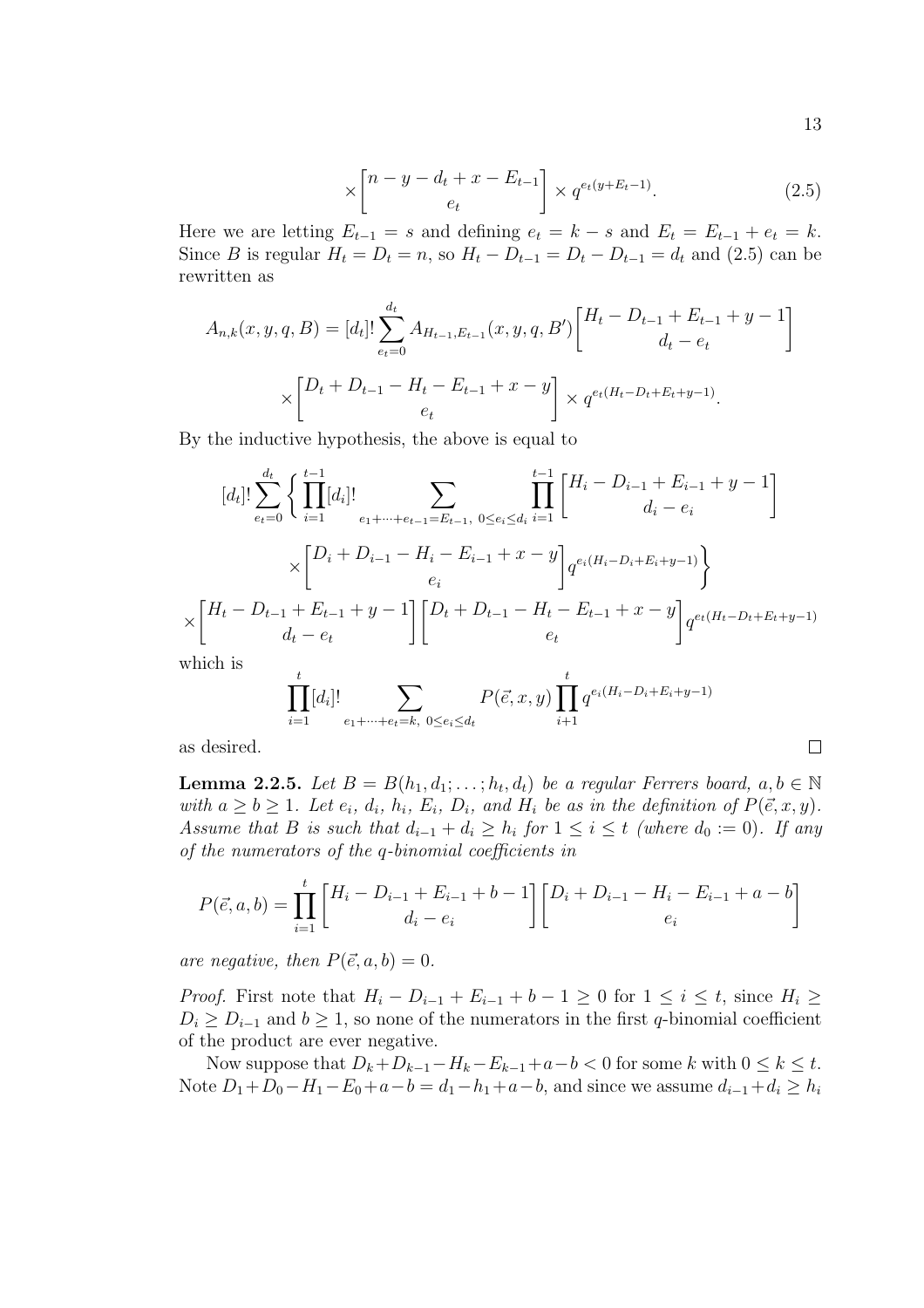$$
\times \begin{bmatrix} n - y - d_t + x - E_{t-1} \\ e_t \end{bmatrix} \times q^{e_t(y + E_t - 1)}.
$$
 (2.5)

Here we are letting  $E_{t-1} = s$  and defining  $e_t = k - s$  and  $E_t = E_{t-1} + e_t = k$ . Since B is regular  $H_t = D_t = n$ , so  $H_t - D_{t-1} = D_t - D_{t-1} = d_t$  and (2.5) can be rewritten as

$$
A_{n,k}(x, y, q, B) = [d_t]! \sum_{e_t=0}^{d_t} A_{H_{t-1}, E_{t-1}}(x, y, q, B') \begin{bmatrix} H_t - D_{t-1} + E_{t-1} + y - 1 \ d_t - e_t \end{bmatrix}
$$

$$
\times \begin{bmatrix} D_t + D_{t-1} - H_t - E_{t-1} + x - y \ e_t \end{bmatrix} \times q^{e_t(H_t - D_t + E_t + y - 1)}.
$$

By the inductive hypothesis, the above is equal to

$$
[d_t]! \sum_{e_t=0}^{d_t} \left\{ \prod_{i=1}^{t-1} [d_i]! \sum_{e_1 + \dots + e_{t-1} = E_{t-1}, 0 \le e_i \le d_i} \prod_{i=1}^{t-1} \left[ H_i - D_{i-1} + E_{i-1} + y - 1 \right] \right. \\
\times \left\lbrack D_i + D_{i-1} - H_i - E_{i-1} + x - y \right\rbrack e_i^{e_i(H_i - D_i + E_i + y - 1)}\n \times \left\lbrack H_t - D_{t-1} + E_{t-1} + y - 1 \right\rbrack \left\lbrack D_t + D_{t-1} - H_t - E_{t-1} + x - y \right\rbrack e_t^{e_t(H_t - D_t + E_t + y - 1)}\n \text{which is}
$$

$$
\prod_{i=1}^{t} [d_i]! \sum_{e_1 + \dots + e_t = k, 0 \le e_i \le d_t} P(\vec{e}, x, y) \prod_{i=1}^{t} q^{e_i(H_i - D_i + E_i + y - 1)}
$$

as desired.

**Lemma 2.2.5.** Let  $B = B(h_1, d_1; \ldots; h_t, d_t)$  be a regular Ferrers board,  $a, b \in \mathbb{N}$ with  $a \ge b \ge 1$ . Let  $e_i$ ,  $d_i$ ,  $h_i$ ,  $E_i$ ,  $D_i$ , and  $H_i$  be as in the definition of  $P(\vec{e}, x, y)$ . Assume that B is such that  $d_{i-1} + d_i \ge h_i$  for  $1 \le i \le t$  (where  $d_0 := 0$ ). If any of the numerators of the q-binomial coefficients in

$$
P(\vec{e}, a, b) = \prod_{i=1}^{t} \begin{bmatrix} H_i - D_{i-1} + E_{i-1} + b - 1 \\ d_i - e_i \end{bmatrix} \begin{bmatrix} D_i + D_{i-1} - H_i - E_{i-1} + a - b \\ e_i \end{bmatrix}
$$

are negative, then  $P(\vec{e}, a, b) = 0$ .

*Proof.* First note that  $H_i - D_{i-1} + E_{i-1} + b - 1 \geq 0$  for  $1 \leq i \leq t$ , since  $H_i \geq$  $D_i \geq D_{i-1}$  and  $b \geq 1$ , so none of the numerators in the first q-binomial coefficient of the product are ever negative.

Now suppose that  $D_k+D_{k-1}-H_k-E_{k-1}+a-b<0$  for some k with  $0\leq k\leq t$ . Note  $D_1 + D_0 - H_1 - E_0 + a - b = d_1 - h_1 + a - b$ , and since we assume  $d_{i-1} + d_i \ge h_i$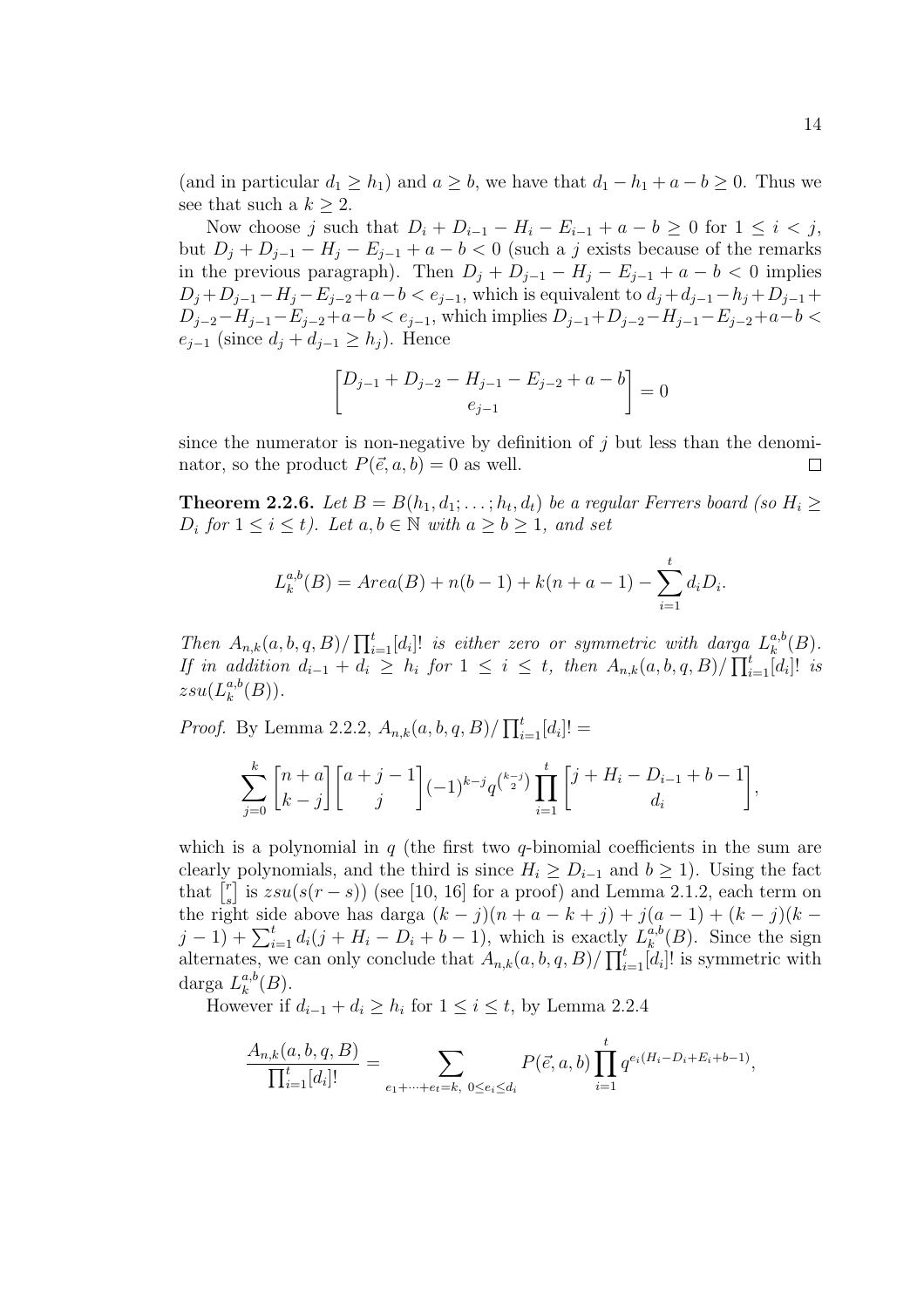(and in particular  $d_1 \geq h_1$ ) and  $a \geq b$ , we have that  $d_1 - h_1 + a - b \geq 0$ . Thus we see that such a  $k \geq 2$ .

Now choose j such that  $D_i + D_{i-1} - H_i - E_{i-1} + a - b \geq 0$  for  $1 \leq i \leq j$ , but  $D_j + D_{j-1} - H_j - E_{j-1} + a - b < 0$  (such a j exists because of the remarks in the previous paragraph). Then  $D_j + D_{j-1} - H_j - E_{j-1} + a - b < 0$  implies  $D_j + D_{j-1} - H_j - E_{j-2} + a - b < e_{j-1}$ , which is equivalent to  $d_j + d_{j-1} - h_j + D_{j-1} +$  $D_{j-2}-H_{j-1}-E_{j-2}+a-b < e_{j-1}$ , which implies  $D_{j-1}+D_{j-2}-H_{j-1}-E_{j-2}+a-b <$  $e_{i-1}$  (since  $d_i + d_{i-1} \geq h_i$ ). Hence

$$
\[D_{j-1} + D_{j-2} - H_{j-1} - E_{j-2} + a - b\] = 0
$$

since the numerator is non-negative by definition of  $j$  but less than the denominator, so the product  $P(\vec{e}, a, b) = 0$  as well.  $\Box$ 

**Theorem 2.2.6.** Let  $B = B(h_1, d_1; \ldots; h_t, d_t)$  be a regular Ferrers board (so  $H_i \geq$  $D_i$  for  $1 \leq i \leq t$ ). Let  $a, b \in \mathbb{N}$  with  $a \geq b \geq 1$ , and set

$$
L_k^{a,b}(B) = Area(B) + n(b-1) + k(n+a-1) - \sum_{i=1}^t d_i D_i.
$$

Then  $A_{n,k}(a, b, q, B)/\prod_{i=1}^{k}$  $\prod_{i=1}^t[d_i]!$  is either zero or symmetric with darga  $L_k^{a,b}$  $\mathcal{L}_{k}^{a,b}(B).$ If in addition  $d_{i-1} + d_i \geq h_i$  for  $1 \leq i \leq t$ , then  $A_{n,k}(a, b, q, B) / \prod_{i=1}^{t} [d_i]!$  is  $z s u(L^{a,b}_k$  $_{k}^{a,b}(B)).$ 

*Proof.* By Lemma 2.2.2,  $A_{n,k}(a, b, q, B)/\prod_{i=1}^{k}$  $\sum_{i=1}^{t}[d_i]! =$ 

$$
\sum_{j=0}^{k} {n+a \brack k-j} {a+j-1 \brack j} (-1)^{k-j} q^{{k-j \choose 2}} \prod_{i=1}^{t} {j+H_i-D_{i-1}+b-1 \brack d_i},
$$

which is a polynomial in  $q$  (the first two  $q$ -binomial coefficients in the sum are clearly polynomials, and the third is since  $H_i \geq D_{i-1}$  and  $b \geq 1$ ). Using the fact cieariy<br>that  $\left[\begin{smallmatrix} r \end{smallmatrix}\right]$  $s_s^r$  is  $zsu(s(r-s))$  (see [10, 16] for a proof) and Lemma 2.1.2, each term on the right side above has darga  $(k - j)(n + a - k + j) + j(a - 1) + (k - j)(k - j)$ the right side above has darga  $(\kappa - j)(n + a - \kappa + j) + j(a)$ <br>  $j - 1$  +  $\sum_{i=1}^{t} d_i(j + H_i - D_i + b - 1)$ , which is exactly  $L_k^{a,b}$ tly  $L_k^{a,b}(B)$ . Since the sign<br> $\overline{\mathbf{u}}^t$  of the symmetric with alternates, we can only conclude that  $A_{n,k}(a, b, q, B)/\prod_{i=1}^{t}[d_i]!$  is symmetric with darga  $L_k^{a,b}$  $_{k}^{a,b}(B).$ 

However if  $d_{i-1} + d_i \ge h_i$  for  $1 \le i \le t$ , by Lemma 2.2.4

$$
\frac{A_{n,k}(a,b,q,B)}{\prod_{i=1}^t [d_i]!} = \sum_{e_1+\cdots+e_t=k, \ 0\leq e_i\leq d_i} P(\vec{e},a,b) \prod_{i=1}^t q^{e_i(H_i-D_i+E_i+b-1)},
$$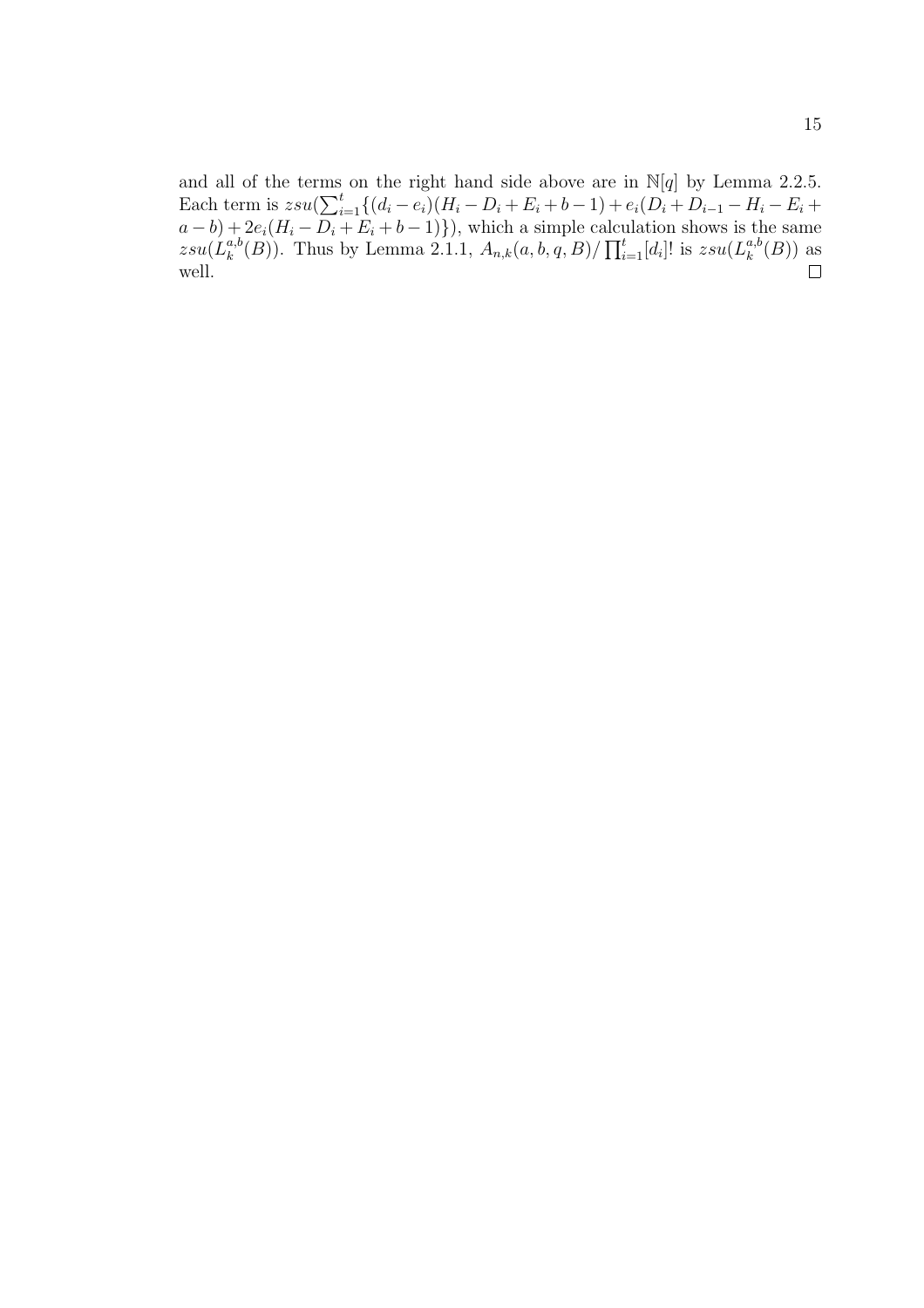and all of the terms on the right hand side above are in  $\mathbb{N}[q]$  by Lemma 2.2.5. and an of the terms<br>Each term is  $zsu(\sum_i^t$  $\sum_{i=1}^t \{ (d_i - e_i)(H_i - D_i + E_i + b - 1) + e_i(D_i + D_{i-1} - H_i - E_i + b)\}$  $(a - b) + 2e_i(H_i - D_i + E_i + b - 1)$ , which a simple calculation shows is the same  $z s u(L^{a,b}_k$  $\mathcal{L}e_i(\overline{n_i} - \overline{\nu_i} + \overline{\nu_i} + \overline{\nu} - 1)$ ; which a simple calcually  $\binom{a,b}{k}(B)$ . Thus by Lemma 2.1.1,  $A_{n,k}(a, b, q, B)/\prod_{i=1}^{t}$  $_{i=1}^{t}[d_i]!$  is  $zsu(L_k^{a,b})$  $_{k}^{a,b}(B))$  as well.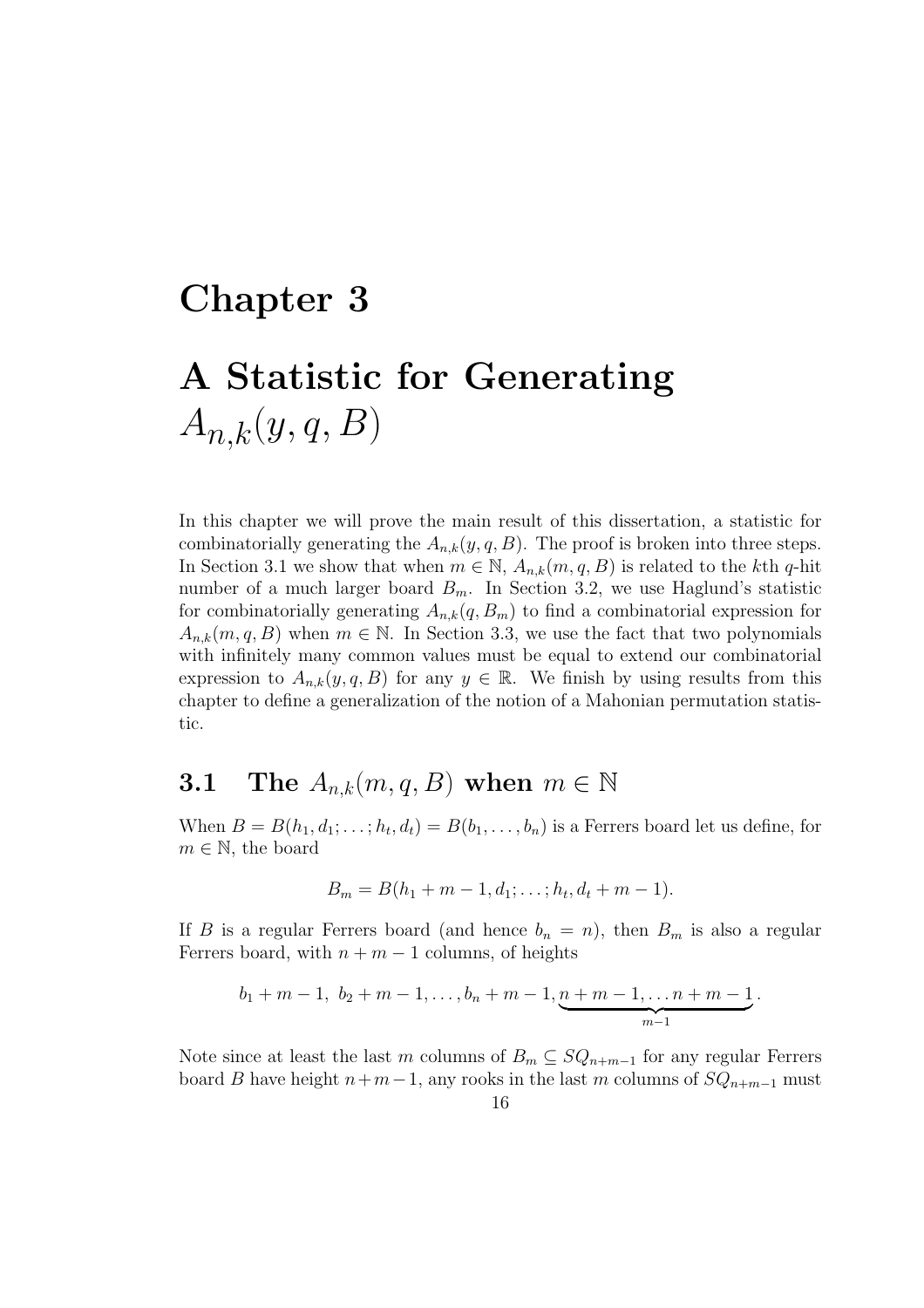# Chapter 3 A Statistic for Generating  $A_{n,k}(y,q, B)$

In this chapter we will prove the main result of this dissertation, a statistic for combinatorially generating the  $A_{n,k}(y, q, B)$ . The proof is broken into three steps. In Section 3.1 we show that when  $m \in \mathbb{N}$ ,  $A_{n,k}(m,q, B)$  is related to the kth q-hit number of a much larger board  $B_m$ . In Section 3.2, we use Haglund's statistic for combinatorially generating  $A_{n,k}(q, B_m)$  to find a combinatorial expression for  $A_{n,k}(m, q, B)$  when  $m \in \mathbb{N}$ . In Section 3.3, we use the fact that two polynomials with infinitely many common values must be equal to extend our combinatorial expression to  $A_{n,k}(y, q, B)$  for any  $y \in \mathbb{R}$ . We finish by using results from this chapter to define a generalization of the notion of a Mahonian permutation statistic.

### 3.1 The  $A_{n,k}(m, q, B)$  when  $m \in \mathbb{N}$

When  $B = B(h_1, d_1; \ldots; h_t, d_t) = B(b_1, \ldots, b_n)$  is a Ferrers board let us define, for  $m \in \mathbb{N}$ , the board

$$
B_m = B(h_1 + m - 1, d_1; \ldots; h_t, d_t + m - 1).
$$

If B is a regular Ferrers board (and hence  $b_n = n$ ), then  $B_m$  is also a regular Ferrers board, with  $n + m - 1$  columns, of heights

$$
b_1 + m - 1
$$
,  $b_2 + m - 1$ ,...,  $b_n + m - 1$ ,  $\underbrace{n + m - 1}$ ,...,  $n + m - 1$ .

Note since at least the last m columns of  $B_m \subseteq SQ_{n+m-1}$  for any regular Ferrers board B have height  $n+m-1$ , any rooks in the last m columns of  $SQ_{n+m-1}$  must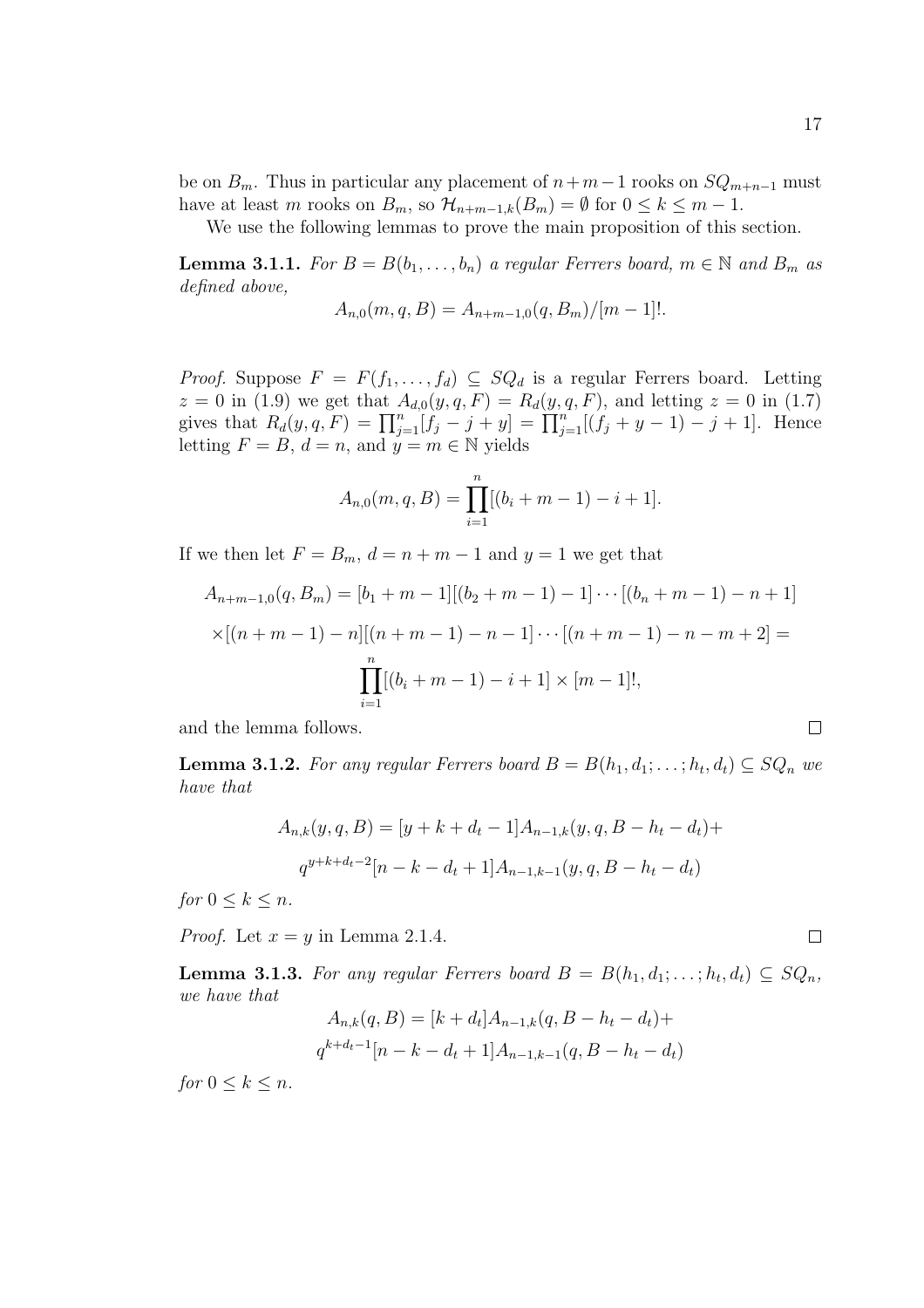be on  $B_m$ . Thus in particular any placement of  $n+m-1$  rooks on  $SQ_{m+n-1}$  must have at least m rooks on  $B_m$ , so  $\mathcal{H}_{n+m-1,k}(B_m) = \emptyset$  for  $0 \leq k \leq m-1$ .

We use the following lemmas to prove the main proposition of this section.

**Lemma 3.1.1.** For  $B = B(b_1, \ldots, b_n)$  a regular Ferrers board,  $m \in \mathbb{N}$  and  $B_m$  as defined above,

$$
A_{n,0}(m,q,B) = A_{n+m-1,0}(q,B_m)/[m-1]!
$$

*Proof.* Suppose  $F = F(f_1, \ldots, f_d) \subseteq SQ_d$  is a regular Ferrers board. Letting  $z = 0$  in (1.9) we get that  $A_{d,0}(y, q, F) = R_d(y, q, F)$ , and letting  $z = 0$  in (1.7)  $z = 0$  in (1.9) we get that  $A_{d,0}(y, q, r) = R_d(y, q, r)$ , and letting  $z = 0$  in (1.7)<br>gives that  $R_d(y, q, F) = \prod_{j=1}^n [f_j - j + y] = \prod_{j=1}^n [(f_j + y - 1) - j + 1]$ . Hence letting  $F = B$ ,  $d = n$ , and  $y = m \in \mathbb{N}$  yields

$$
A_{n,0}(m,q,B) = \prod_{i=1}^{n} [(b_i + m - 1) - i + 1].
$$

If we then let  $F = B_m$ ,  $d = n + m - 1$  and  $y = 1$  we get that

$$
A_{n+m-1,0}(q, B_m) = [b_1 + m - 1][(b_2 + m - 1) - 1] \cdots [(b_n + m - 1) - n + 1]
$$
  
 
$$
\times [(n + m - 1) - n][(n + m - 1) - n - 1] \cdots [(n + m - 1) - n - m + 2] =
$$
  
\n
$$
\prod_{i=1}^{n} [(b_i + m - 1) - i + 1] \times [m - 1]!,
$$

and the lemma follows.

**Lemma 3.1.2.** For any regular Ferrers board  $B = B(h_1, d_1; \ldots; h_t, d_t) \subseteq SQ_n$  we have that

$$
A_{n,k}(y,q,B) = [y + k + d_t - 1]A_{n-1,k}(y,q,B-h_t-d_t) +
$$
  

$$
q^{y+k+d_t-2}[n-k-d_t+1]A_{n-1,k-1}(y,q,B-h_t-d_t)
$$

for  $0 \leq k \leq n$ .

*Proof.* Let  $x = y$  in Lemma 2.1.4.

**Lemma 3.1.3.** For any regular Ferrers board  $B = B(h_1, d_1; \ldots; h_t, d_t) \subseteq SQ_n$ , we have that

$$
A_{n,k}(q, B) = [k + d_t]A_{n-1,k}(q, B - h_t - d_t) +
$$
  

$$
q^{k+d_t-1}[n - k - d_t + 1]A_{n-1,k-1}(q, B - h_t - d_t)
$$

for  $0 \leq k \leq n$ .

$$
\Box
$$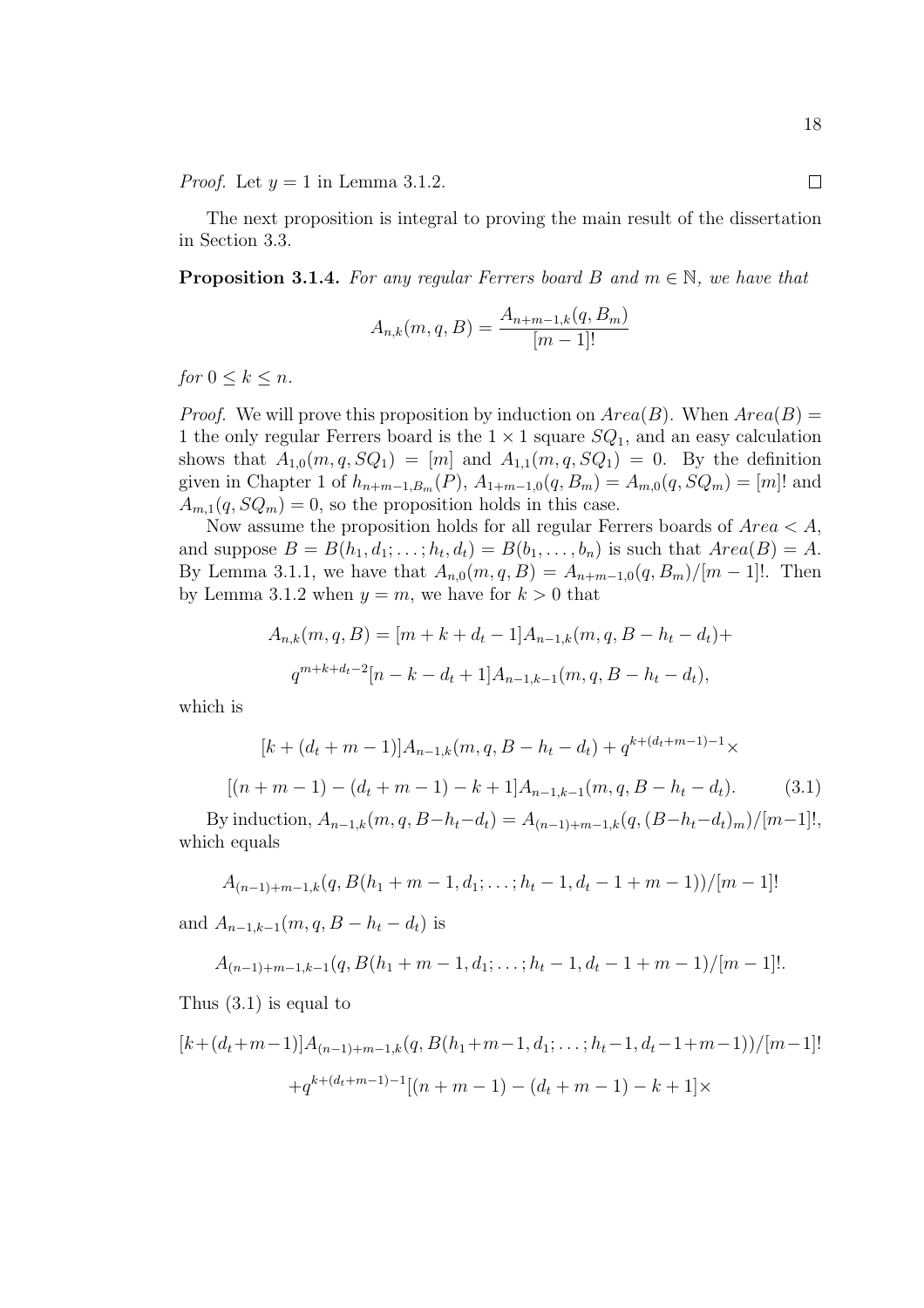*Proof.* Let  $y = 1$  in Lemma 3.1.2.

The next proposition is integral to proving the main result of the dissertation in Section 3.3.

**Proposition 3.1.4.** For any regular Ferrers board B and  $m \in \mathbb{N}$ , we have that

$$
A_{n,k}(m,q,B) = \frac{A_{n+m-1,k}(q,B_m)}{[m-1]!}
$$

for  $0 \leq k \leq n$ .

*Proof.* We will prove this proposition by induction on  $Area(B)$ . When  $Area(B)$ 1 the only regular Ferrers board is the  $1 \times 1$  square  $SQ_1$ , and an easy calculation shows that  $A_{1,0}(m,q,SQ_1) = [m]$  and  $A_{1,1}(m,q,SQ_1) = 0$ . By the definition given in Chapter 1 of  $h_{n+m-1,B_m}(P)$ ,  $A_{1+m-1,0}(q, B_m) = A_{m,0}(q, SQ_m) = [m]!$  and  $A_{m,1}(q, SQ_m) = 0$ , so the proposition holds in this case.

Now assume the proposition holds for all regular Ferrers boards of  $Area < A$ , and suppose  $B = B(h_1, d_1; \ldots; h_t, d_t) = B(b_1, \ldots, b_n)$  is such that  $Area(B) = A$ . By Lemma 3.1.1, we have that  $A_{n,0}(m, q, B) = A_{n+m-1,0}(q, B_m)/[m-1]!$ . Then by Lemma 3.1.2 when  $y = m$ , we have for  $k > 0$  that

$$
A_{n,k}(m,q,B) = [m+k+d_t-1]A_{n-1,k}(m,q,B-h_t-d_t)+
$$
  

$$
q^{m+k+d_t-2}[n-k-d_t+1]A_{n-1,k-1}(m,q,B-h_t-d_t),
$$

which is

$$
[k + (d_t + m - 1)]A_{n-1,k}(m, q, B - h_t - d_t) + q^{k + (d_t + m - 1) - 1} \times
$$
  

$$
[(n + m - 1) - (d_t + m - 1) - k + 1]A_{n-1,k-1}(m, q, B - h_t - d_t).
$$
 (3.1)

By induction,  $A_{n-1,k}(m, q, B-h_t-d_t) = A_{(n-1)+m-1,k}(q, (B-h_t-d_t)_m)/[m-1]!,$ which equals

$$
A_{(n-1)+m-1,k}(q, B(h_1+m-1, d_1; \ldots; h_t-1, d_t-1+m-1))/[m-1]!
$$

and  $A_{n-1,k-1}(m, q, B - h_t - d_t)$  is

$$
A_{(n-1)+m-1,k-1}(q, B(h_1+m-1, d_1; \ldots; h_t-1, d_t-1+m-1)/[m-1]!
$$

Thus (3.1) is equal to

$$
[k + (d_t + m - 1)]A_{(n-1)+m-1,k}(q, B(h_1 + m - 1, d_1; \dots; h_t - 1, d_t - 1 + m - 1))/(m - 1]!
$$
  
+
$$
+q^{k + (d_t + m - 1) - 1}[(n + m - 1) - (d_t + m - 1) - k + 1] \times
$$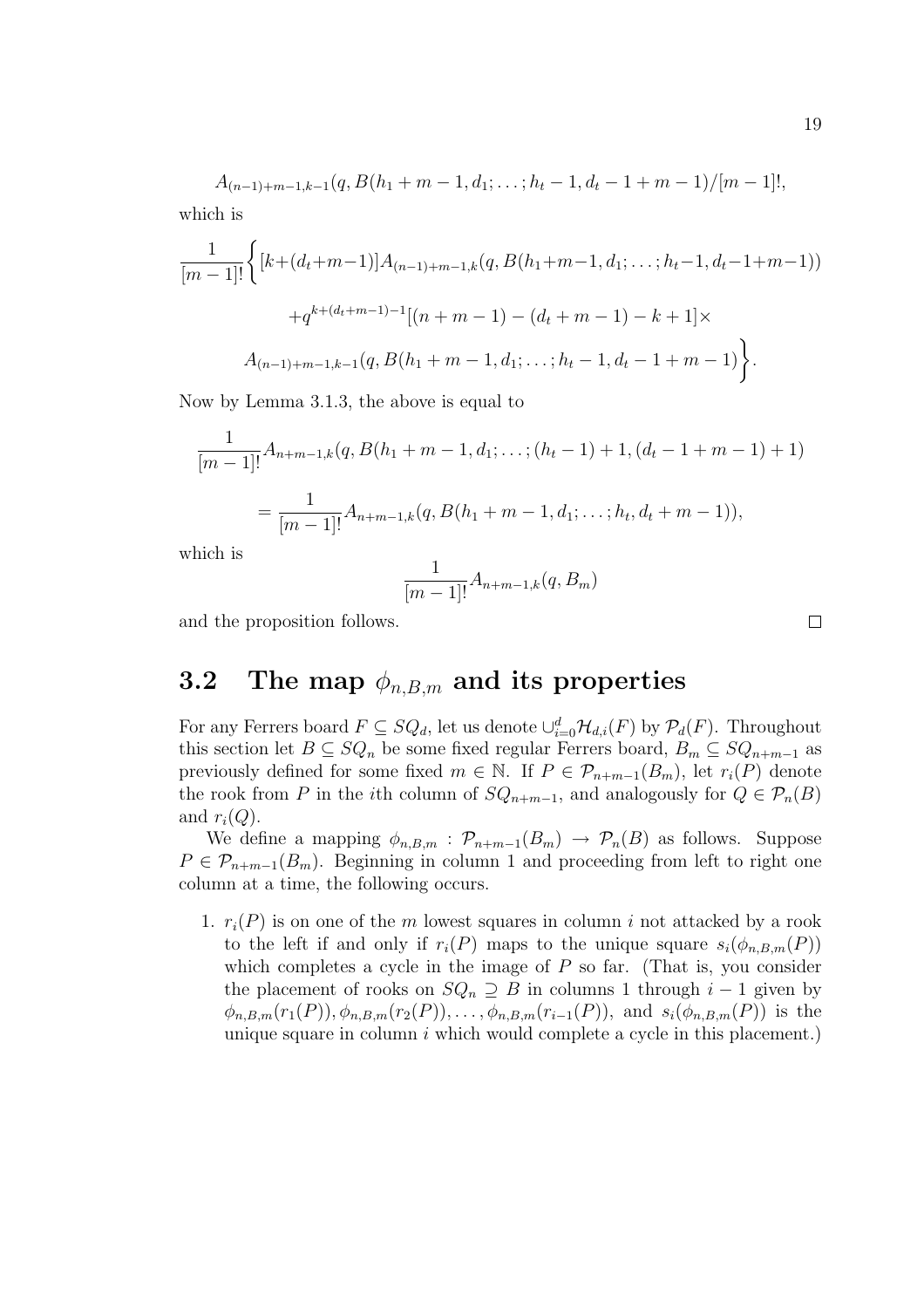$$
A_{(n-1)+m-1,k-1}(q, B(h_1+m-1, d_1; \ldots; h_t-1, d_t-1+m-1)/[m-1]!,
$$
 which is

$$
\frac{1}{[m-1]!} \Big\{ [k + (d_t + m - 1)] A_{(n-1) + m - 1,k} (q, B(h_1 + m - 1, d_1; \dots; h_t - 1, d_t - 1 + m - 1))
$$

$$
+ q^{k + (d_t + m - 1) - 1} [(n + m - 1) - (d_t + m - 1) - k + 1] \times
$$

$$
A_{(n-1) + m - 1,k - 1} (q, B(h_1 + m - 1, d_1; \dots; h_t - 1, d_t - 1 + m - 1)) \Big\}.
$$

Now by Lemma 3.1.3, the above is equal to

$$
\frac{1}{[m-1]!}A_{n+m-1,k}(q, B(h_1+m-1, d_1; \dots; (h_t-1)+1, (d_t-1+m-1)+1)
$$
\n
$$
=\frac{1}{[m-1]!}A_{n+m-1,k}(q, B(h_1+m-1, d_1; \dots; h_t, d_t+m-1)),
$$

which is

$$
\frac{1}{[m-1]!}A_{n+m-1,k}(q, B_m)
$$

and the proposition follows.

### 3.2 The map  $\phi_{n,B,m}$  and its properties

For any Ferrers board  $F \subseteq SQ_d$ , let us denote  $\cup_{i=0}^d \mathcal{H}_{d,i}(F)$  by  $\mathcal{P}_d(F)$ . Throughout this section let  $B \subseteq SQ_n$  be some fixed regular Ferrers board,  $B_m \subseteq SQ_{n+m-1}$  as previously defined for some fixed  $m \in \mathbb{N}$ . If  $P \in \mathcal{P}_{n+m-1}(B_m)$ , let  $r_i(P)$  denote the rook from P in the *i*th column of  $SQ_{n+m-1}$ , and analogously for  $Q \in \mathcal{P}_n(B)$ and  $r_i(Q)$ .

We define a mapping  $\phi_{n,B,m}$ :  $\mathcal{P}_{n+m-1}(B_m) \to \mathcal{P}_n(B)$  as follows. Suppose  $P \in \mathcal{P}_{n+m-1}(B_m)$ . Beginning in column 1 and proceeding from left to right one column at a time, the following occurs.

1.  $r_i(P)$  is on one of the m lowest squares in column i not attacked by a rook to the left if and only if  $r_i(P)$  maps to the unique square  $s_i(\phi_{n,B,m}(P))$ which completes a cycle in the image of  $P$  so far. (That is, you consider the placement of rooks on  $SQ_n \supseteq B$  in columns 1 through  $i-1$  given by  $\phi_{n,B,m}(r_1(P)), \phi_{n,B,m}(r_2(P)), \ldots, \phi_{n,B,m}(r_{i-1}(P)),$  and  $s_i(\phi_{n,B,m}(P))$  is the unique square in column  $i$  which would complete a cycle in this placement.)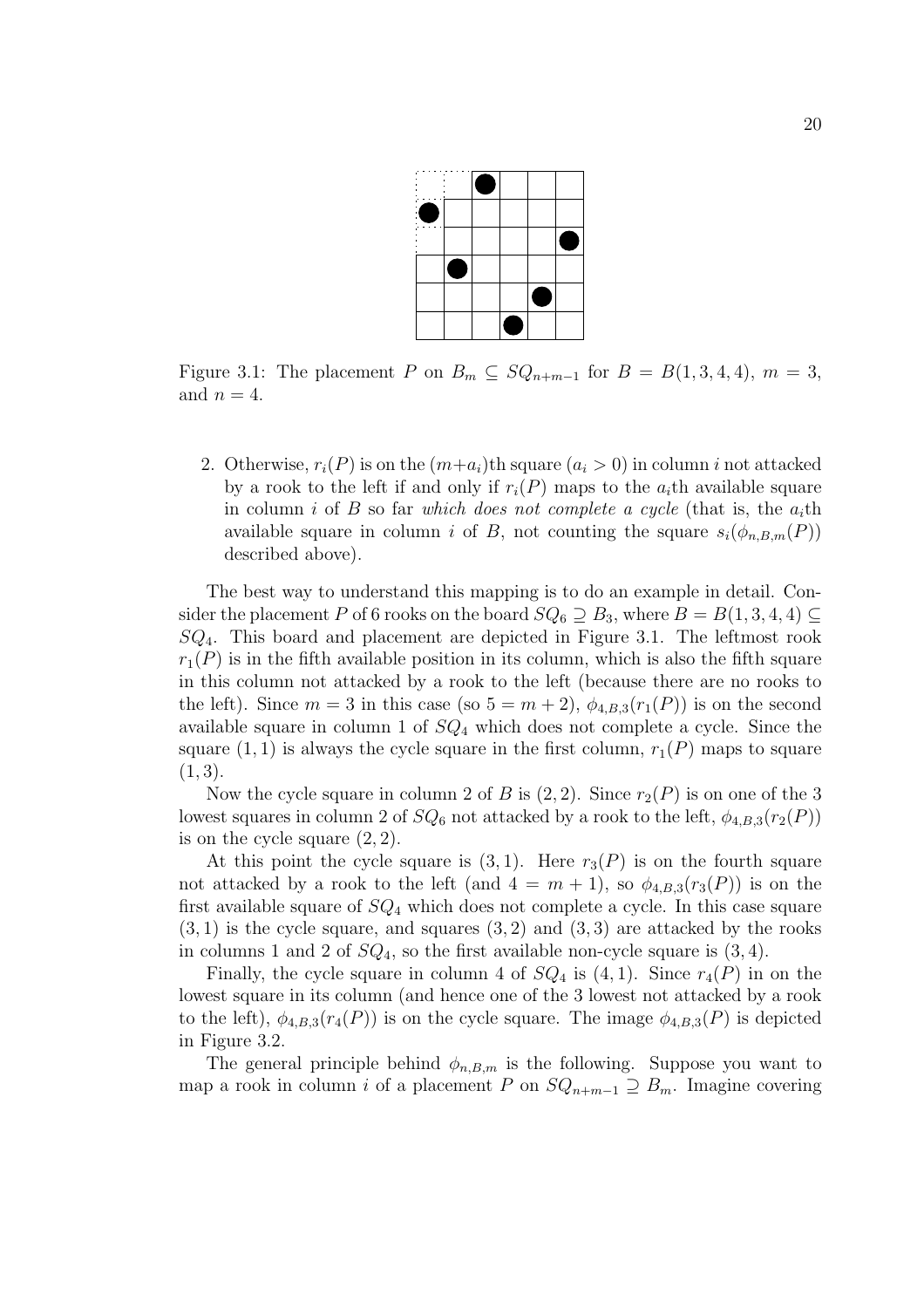

Figure 3.1: The placement P on  $B_m \subseteq SQ_{n+m-1}$  for  $B = B(1,3,4,4), m = 3$ , and  $n = 4$ .

2. Otherwise,  $r_i(P)$  is on the  $(m+a_i)$ th square  $(a_i > 0)$  in column i not attacked by a rook to the left if and only if  $r_i(P)$  maps to the  $a_i$ th available square in column i of B so far which does not complete a cycle (that is, the  $a_i$ th available square in column i of B, not counting the square  $s_i(\phi_{n,B,m}(P))$ described above).

The best way to understand this mapping is to do an example in detail. Consider the placement P of 6 rooks on the board  $SQ_6 \supseteq B_3$ , where  $B = B(1, 3, 4, 4) \subseteq$  $SQ<sub>4</sub>$ . This board and placement are depicted in Figure 3.1. The leftmost rook  $r_1(P)$  is in the fifth available position in its column, which is also the fifth square in this column not attacked by a rook to the left (because there are no rooks to the left). Since  $m = 3$  in this case (so  $5 = m + 2$ ),  $\phi_{4,B,3}(r_1(P))$  is on the second available square in column 1 of  $SQ<sub>4</sub>$  which does not complete a cycle. Since the square  $(1, 1)$  is always the cycle square in the first column,  $r_1(P)$  maps to square  $(1, 3).$ 

Now the cycle square in column 2 of B is  $(2, 2)$ . Since  $r_2(P)$  is on one of the 3 lowest squares in column 2 of  $SQ_6$  not attacked by a rook to the left,  $\phi_{4,B,3}(r_2(P))$ is on the cycle square  $(2, 2)$ .

At this point the cycle square is  $(3, 1)$ . Here  $r_3(P)$  is on the fourth square not attacked by a rook to the left (and  $4 = m + 1$ ), so  $\phi_{4,B,3}(r_3(P))$  is on the first available square of  $SQ_4$  which does not complete a cycle. In this case square  $(3, 1)$  is the cycle square, and squares  $(3, 2)$  and  $(3, 3)$  are attacked by the rooks in columns 1 and 2 of  $SQ_4$ , so the first available non-cycle square is  $(3, 4)$ .

Finally, the cycle square in column 4 of  $SQ_4$  is  $(4, 1)$ . Since  $r_4(P)$  in on the lowest square in its column (and hence one of the 3 lowest not attacked by a rook to the left),  $\phi_{4,B,3}(r_4(P))$  is on the cycle square. The image  $\phi_{4,B,3}(P)$  is depicted in Figure 3.2.

The general principle behind  $\phi_{n,B,m}$  is the following. Suppose you want to map a rook in column i of a placement P on  $SQ_{n+m-1} \supseteq B_m$ . Imagine covering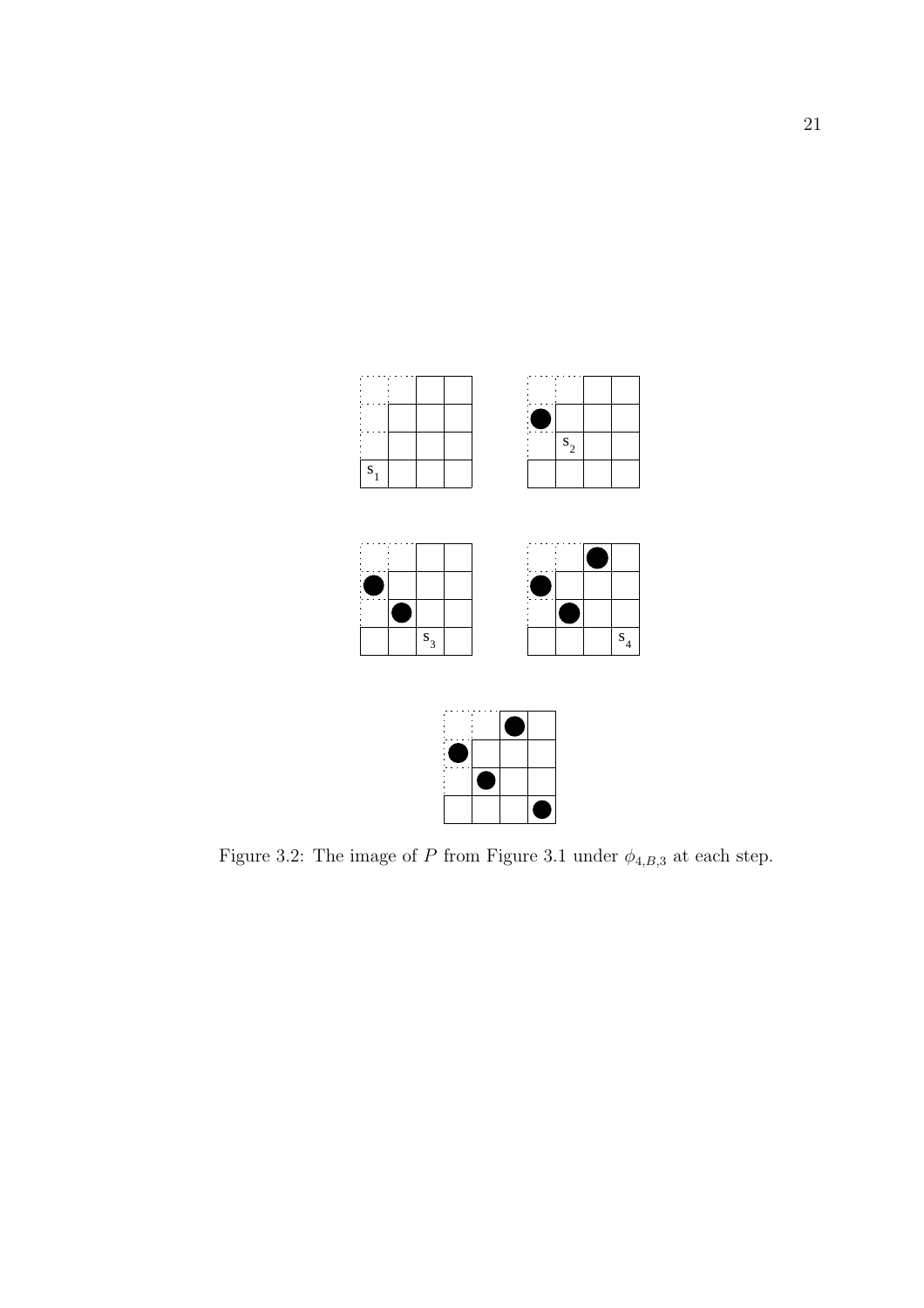



Figure 3.2: The image of  $P$  from Figure 3.1 under  $\phi_{4,B,3}$  at each step.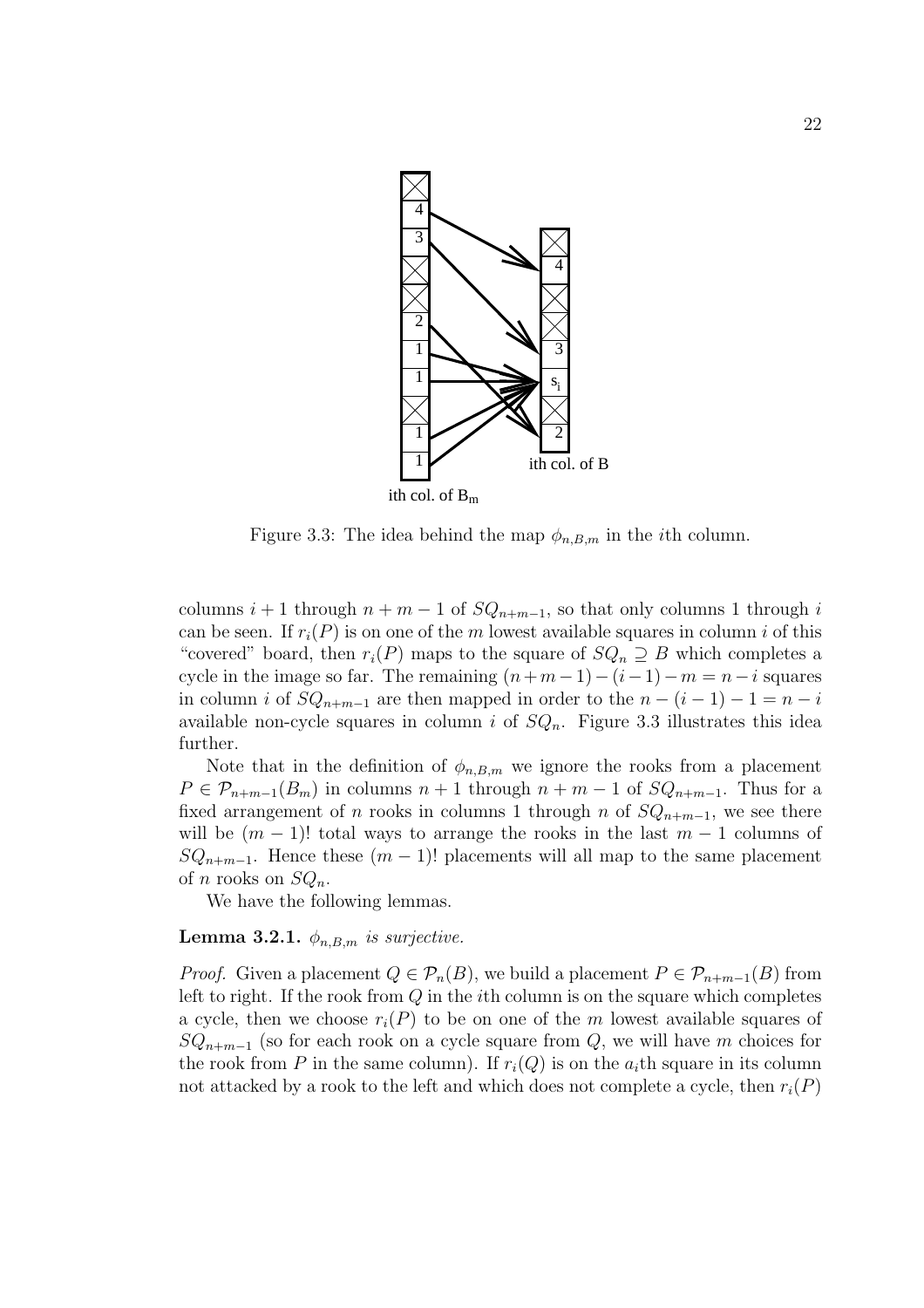

Figure 3.3: The idea behind the map  $\phi_{n,B,m}$  in the *i*th column.

columns  $i + 1$  through  $n + m - 1$  of  $SQ_{n+m-1}$ , so that only columns 1 through i can be seen. If  $r_i(P)$  is on one of the m lowest available squares in column i of this "covered" board, then  $r_i(P)$  maps to the square of  $SQ_n \supseteq B$  which completes a cycle in the image so far. The remaining  $(n+m-1)-(i-1)-m=n-i$  squares in column i of  $SQ_{n+m-1}$  are then mapped in order to the  $n - (i - 1) - 1 = n - i$ available non-cycle squares in column i of  $SQ_n$ . Figure 3.3 illustrates this idea further.

Note that in the definition of  $\phi_{n,B,m}$  we ignore the rooks from a placement  $P \in \mathcal{P}_{n+m-1}(B_m)$  in columns  $n+1$  through  $n+m-1$  of  $SQ_{n+m-1}$ . Thus for a fixed arrangement of n rooks in columns 1 through n of  $SQ_{n+m-1}$ , we see there will be  $(m-1)!$  total ways to arrange the rooks in the last  $m-1$  columns of  $SQ_{n+m-1}$ . Hence these  $(m-1)!$  placements will all map to the same placement of *n* rooks on  $SQ_n$ .

We have the following lemmas.

#### **Lemma 3.2.1.**  $\phi_{n,B,m}$  is surjective.

*Proof.* Given a placement  $Q \in \mathcal{P}_n(B)$ , we build a placement  $P \in \mathcal{P}_{n+m-1}(B)$  from left to right. If the rook from  $Q$  in the *i*th column is on the square which completes a cycle, then we choose  $r_i(P)$  to be on one of the m lowest available squares of  $SQ_{n+m-1}$  (so for each rook on a cycle square from Q, we will have m choices for the rook from P in the same column). If  $r_i(Q)$  is on the  $a_i$ th square in its column not attacked by a rook to the left and which does not complete a cycle, then  $r_i(P)$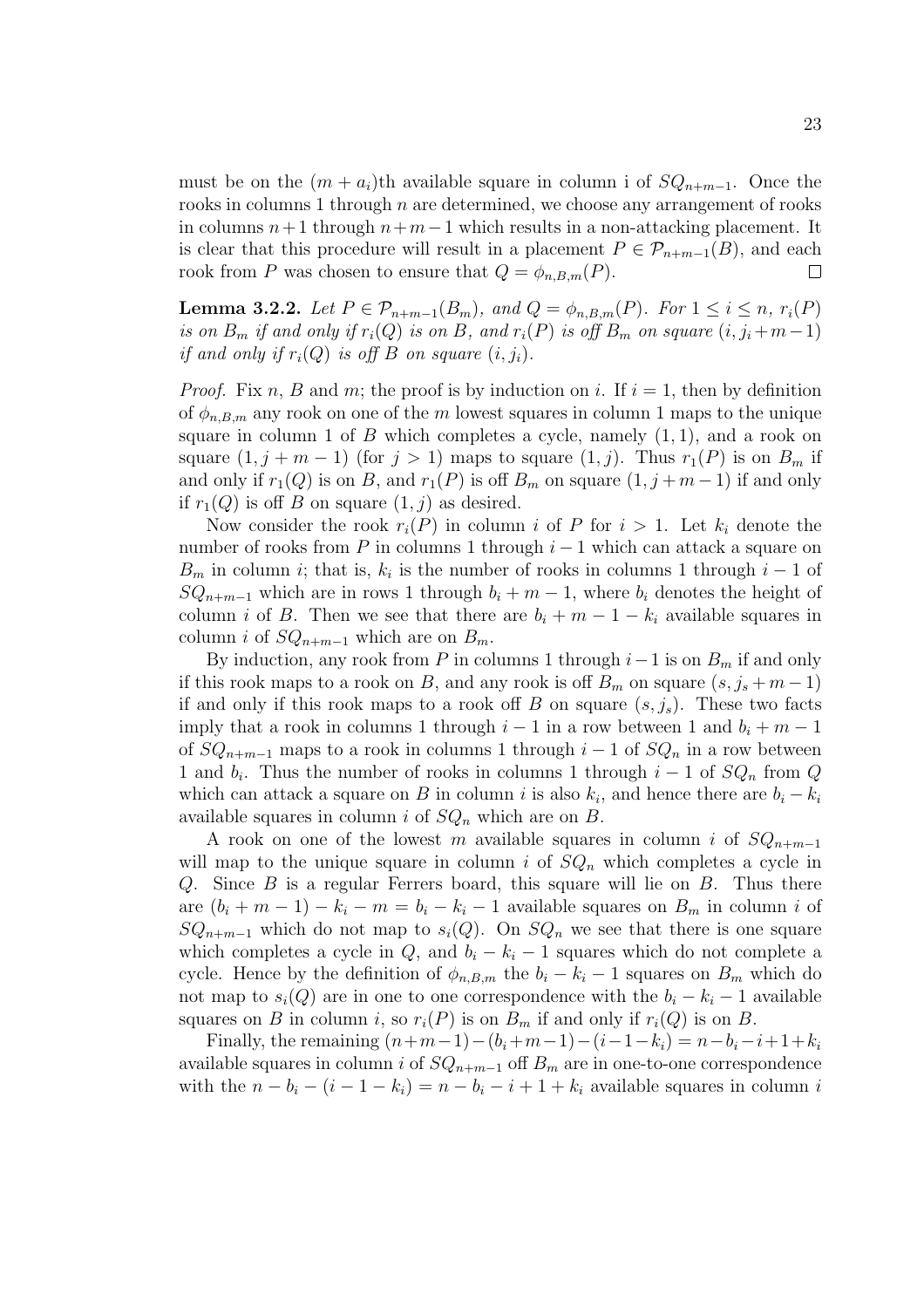must be on the  $(m + a_i)$ th available square in column i of  $SQ_{n+m-1}$ . Once the rooks in columns 1 through  $n$  are determined, we choose any arrangement of rooks in columns  $n+1$  through  $n+m-1$  which results in a non-attacking placement. It is clear that this procedure will result in a placement  $P \in \mathcal{P}_{n+m-1}(B)$ , and each rook from P was chosen to ensure that  $Q = \phi_{n,B,m}(P)$ .  $\Box$ 

**Lemma 3.2.2.** Let  $P \in \mathcal{P}_{n+m-1}(B_m)$ , and  $Q = \phi_{n,B,m}(P)$ . For  $1 \leq i \leq n$ ,  $r_i(P)$ is on  $B_m$  if and only if  $r_i(Q)$  is on B, and  $r_i(P)$  is off  $B_m$  on square  $(i, j_i + m-1)$ if and only if  $r_i(Q)$  is off B on square  $(i, j_i)$ .

*Proof.* Fix n, B and m; the proof is by induction on i. If  $i = 1$ , then by definition of  $\phi_{n,B,m}$  any rook on one of the m lowest squares in column 1 maps to the unique square in column 1 of  $B$  which completes a cycle, namely  $(1, 1)$ , and a rook on square  $(1, j + m - 1)$  (for  $j > 1$ ) maps to square  $(1, j)$ . Thus  $r_1(P)$  is on  $B_m$  if and only if  $r_1(Q)$  is on B, and  $r_1(P)$  is off  $B_m$  on square  $(1, j + m - 1)$  if and only if  $r_1(Q)$  is off B on square  $(1, j)$  as desired.

Now consider the rook  $r_i(P)$  in column i of P for  $i > 1$ . Let  $k_i$  denote the number of rooks from P in columns 1 through  $i-1$  which can attack a square on  $B_m$  in column *i*; that is,  $k_i$  is the number of rooks in columns 1 through  $i-1$  of  $SQ_{n+m-1}$  which are in rows 1 through  $b_i + m - 1$ , where  $b_i$  denotes the height of column i of B. Then we see that there are  $b_i + m - 1 - k_i$  available squares in column *i* of  $SQ_{n+m-1}$  which are on  $B_m$ .

By induction, any rook from P in columns 1 through  $i-1$  is on  $B_m$  if and only if this rook maps to a rook on B, and any rook is off  $B_m$  on square  $(s, j_s + m - 1)$ if and only if this rook maps to a rook off B on square  $(s, j_s)$ . These two facts imply that a rook in columns 1 through  $i-1$  in a row between 1 and  $b_i + m - 1$ of  $SQ_{n+m-1}$  maps to a rook in columns 1 through  $i-1$  of  $SQ_n$  in a row between 1 and  $b_i$ . Thus the number of rooks in columns 1 through  $i-1$  of  $SQ_n$  from Q which can attack a square on B in column i is also  $k_i$ , and hence there are  $b_i - k_i$ available squares in column i of  $SQ_n$  which are on B.

A rook on one of the lowest m available squares in column i of  $SQ_{n+m-1}$ will map to the unique square in column i of  $SQ_n$  which completes a cycle in Q. Since  $B$  is a regular Ferrers board, this square will lie on  $B$ . Thus there are  $(b_i + m - 1) - k_i - m = b_i - k_i - 1$  available squares on  $B_m$  in column i of  $SQ_{n+m-1}$  which do not map to  $s_i(Q)$ . On  $SQ_n$  we see that there is one square which completes a cycle in  $Q$ , and  $b_i - k_i - 1$  squares which do not complete a cycle. Hence by the definition of  $\phi_{n,B,m}$  the  $b_i - k_i - 1$  squares on  $B_m$  which do not map to  $s_i(Q)$  are in one to one correspondence with the  $b_i - k_i - 1$  available squares on B in column i, so  $r_i(P)$  is on  $B_m$  if and only if  $r_i(Q)$  is on B.

Finally, the remaining  $(n+m-1)-(b_i+m-1)-(i-1-k_i) = n-b_i-i+1+k_i$ available squares in column i of  $SQ_{n+m-1}$  off  $B_m$  are in one-to-one correspondence with the  $n - b_i - (i - 1 - k_i) = n - b_i - i + 1 + k_i$  available squares in column i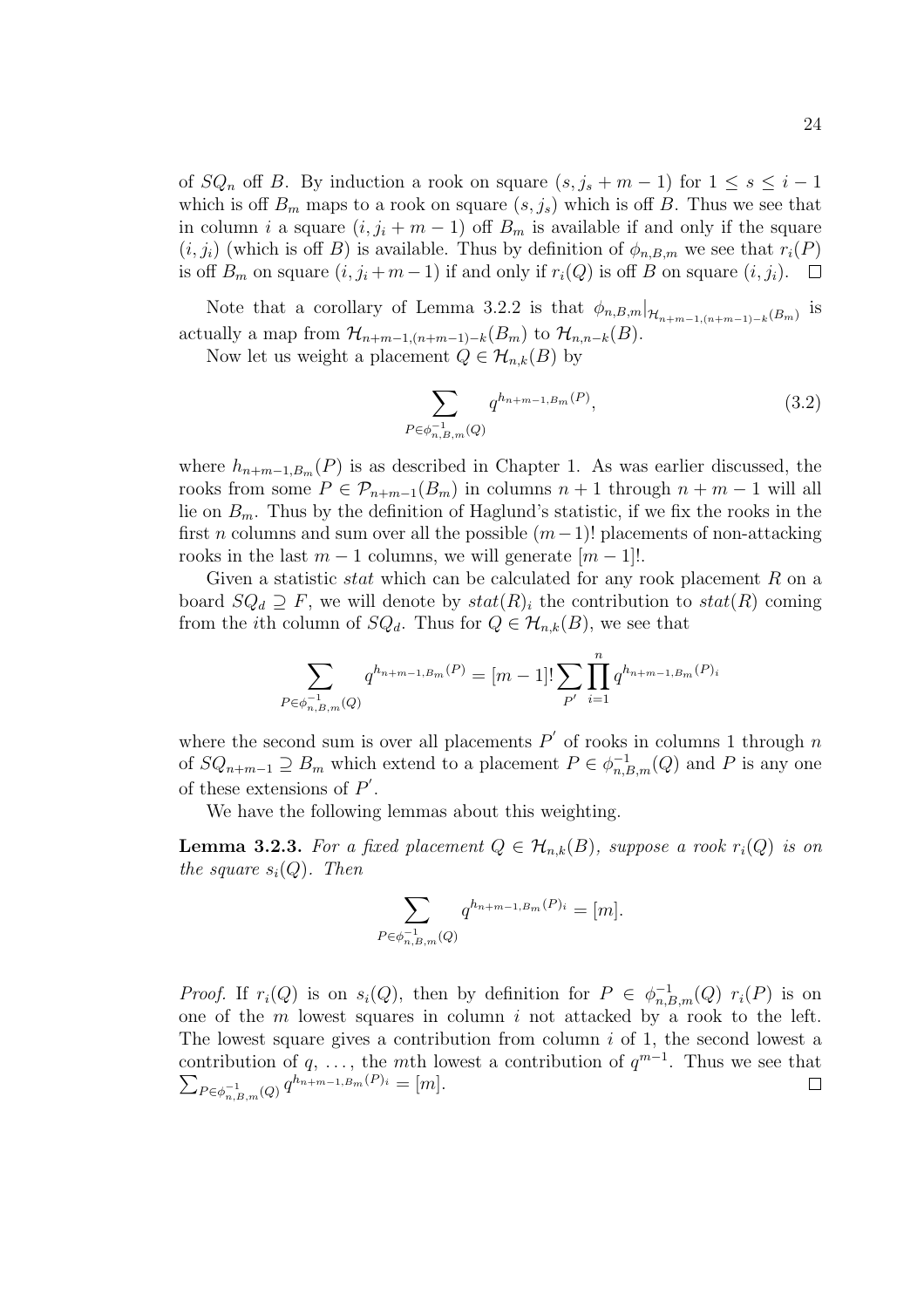of  $SQ_n$  off B. By induction a rook on square  $(s, j_s + m - 1)$  for  $1 \leq s \leq i - 1$ which is off  $B_m$  maps to a rook on square  $(s, j_s)$  which is off B. Thus we see that in column *i* a square  $(i, j_i + m - 1)$  off  $B_m$  is available if and only if the square  $(i, j_i)$  (which is off B) is available. Thus by definition of  $\phi_{n,B,m}$  we see that  $r_i(P)$ is off  $B_m$  on square  $(i, j_i + m - 1)$  if and only if  $r_i(Q)$  is off B on square  $(i, j_i)$ . □

Note that a corollary of Lemma 3.2.2 is that  $\phi_{n,B,m}|_{\mathcal{H}_{n+m-1,(n+m-1)-k}(B_m)}$  is actually a map from  $\mathcal{H}_{n+m-1,(n+m-1)-k}(B_m)$  to  $\mathcal{H}_{n,n-k}(B)$ .

Now let us weight a placement  $Q \in \mathcal{H}_{n,k}(B)$  by

$$
\sum_{P \in \phi_{n,B,m}^{-1}(Q)} q^{h_{n+m-1,B_m}(P)}, \tag{3.2}
$$

where  $h_{n+m-1,B_m}(P)$  is as described in Chapter 1. As was earlier discussed, the rooks from some  $P \in \mathcal{P}_{n+m-1}(B_m)$  in columns  $n+1$  through  $n+m-1$  will all lie on  $B_m$ . Thus by the definition of Haglund's statistic, if we fix the rooks in the first *n* columns and sum over all the possible  $(m-1)!$  placements of non-attacking rooks in the last  $m-1$  columns, we will generate  $[m-1]!$ .

Given a statistic *stat* which can be calculated for any rook placement  $R$  on a board  $SQ_d \supseteq F$ , we will denote by  $stat(R)_i$  the contribution to  $stat(R)$  coming from the *i*th column of  $SQ_d$ . Thus for  $Q \in \mathcal{H}_{n,k}(B)$ , we see that

$$
\sum_{P \in \phi_{n,B,m}^{-1}(Q)} q^{h_{n+m-1,B_m}(P)} = [m-1]! \sum_{P'} \prod_{i=1}^{n} q^{h_{n+m-1,B_m}(P)_i}
$$

where the second sum is over all placements  $P'$  of rooks in columns 1 through n of  $SQ_{n+m-1} \supseteq B_m$  which extend to a placement  $P \in \phi_{n,B,m}^{-1}(Q)$  and P is any one of these extensions of  $P'$ .

We have the following lemmas about this weighting.

**Lemma 3.2.3.** For a fixed placement  $Q \in \mathcal{H}_{n,k}(B)$ , suppose a rook  $r_i(Q)$  is on the square  $s_i(Q)$ . Then

$$
\sum_{P \in \phi_{n,B,m}^{-1}(Q)} q^{h_{n+m-1,B_m}(P)_i} = [m].
$$

*Proof.* If  $r_i(Q)$  is on  $s_i(Q)$ , then by definition for  $P \in \phi_{n,B,m}^{-1}(Q)$   $r_i(P)$  is on one of the  $m$  lowest squares in column  $i$  not attacked by a rook to the left. The lowest square gives a contribution from column  $i$  of 1, the second lowest a contribution of q, ..., the mth lowest a contribution of  $q^{m-1}$ . Thus we see that  $\sum_{ }^{ }$  $P \in \phi_{n,B,m}^{-1}(Q)$   $q^{h_{n+m-1,B_m}(P)_i} = [m].$  $\Box$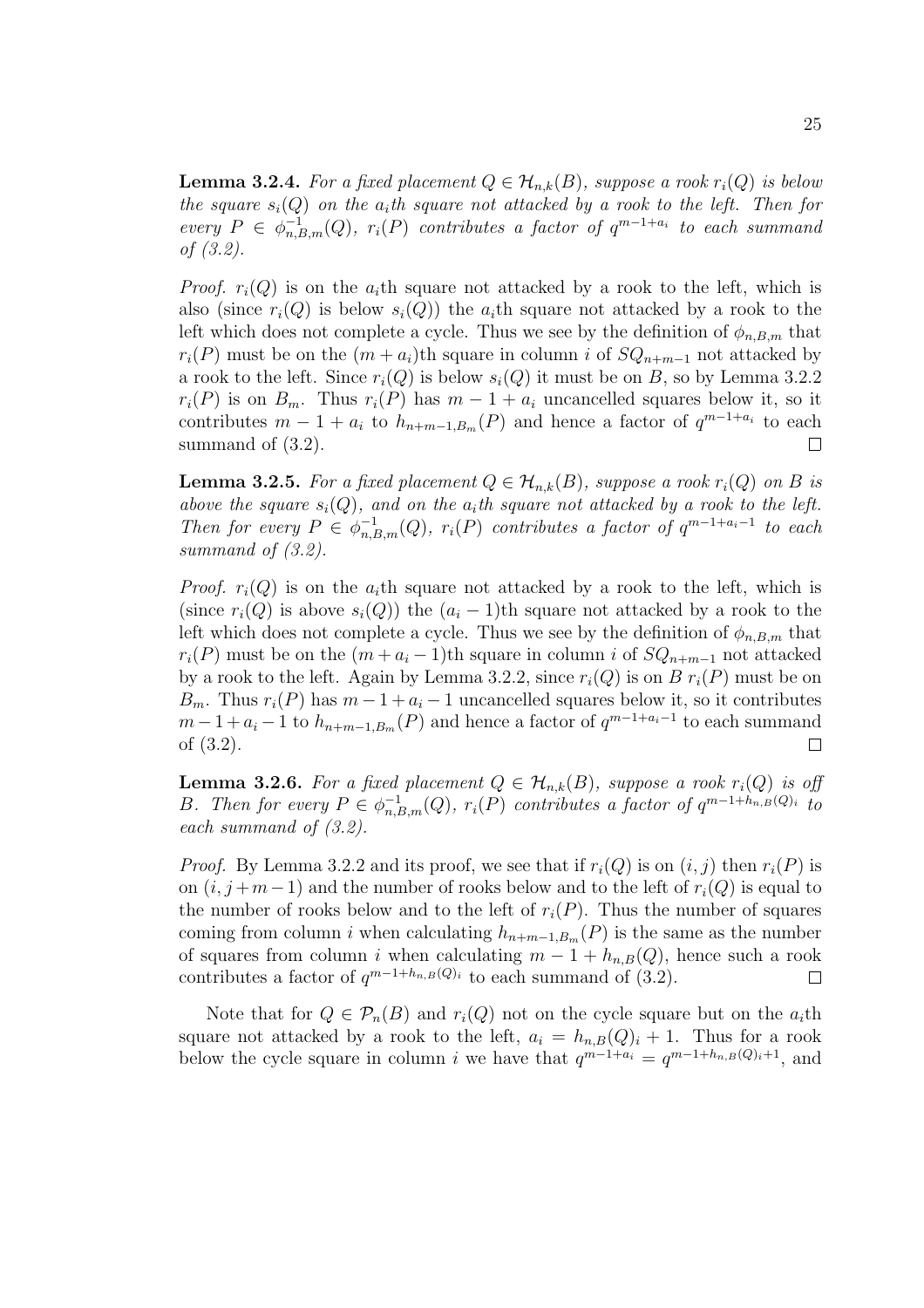**Lemma 3.2.4.** For a fixed placement  $Q \in \mathcal{H}_{n,k}(B)$ , suppose a rook  $r_i(Q)$  is below the square  $s_i(Q)$  on the  $a_i$ th square not attacked by a rook to the left. Then for every  $P \in \phi_{n,B,m}^{-1}(Q)$ ,  $r_i(P)$  contributes a factor of  $q^{m-1+a_i}$  to each summand of (3.2).

*Proof.*  $r_i(Q)$  is on the  $a_i$ th square not attacked by a rook to the left, which is also (since  $r_i(Q)$  is below  $s_i(Q)$ ) the  $a_i$ <sup>th</sup> square not attacked by a rook to the left which does not complete a cycle. Thus we see by the definition of  $\phi_{n,B,m}$  that  $r_i(P)$  must be on the  $(m + a_i)$ th square in column i of  $SQ_{n+m-1}$  not attacked by a rook to the left. Since  $r_i(Q)$  is below  $s_i(Q)$  it must be on B, so by Lemma 3.2.2  $r_i(P)$  is on  $B_m$ . Thus  $r_i(P)$  has  $m-1+a_i$  uncancelled squares below it, so it contributes  $m-1 + a_i$  to  $h_{n+m-1,B_m}(P)$  and hence a factor of  $q^{m-1+a_i}$  to each summand of  $(3.2)$ .  $\Box$ 

**Lemma 3.2.5.** For a fixed placement  $Q \in \mathcal{H}_{n,k}(B)$ , suppose a rook  $r_i(Q)$  on B is above the square  $s_i(Q)$ , and on the  $a_i$ th square not attacked by a rook to the left. Then for every  $P \in \phi_{n,B,m}^{-1}(Q)$ ,  $r_i(P)$  contributes a factor of  $q^{m-1+a_i-1}$  to each summand of (3.2).

*Proof.*  $r_i(Q)$  is on the  $a_i$ th square not attacked by a rook to the left, which is (since  $r_i(Q)$  is above  $s_i(Q)$ ) the  $(a_i - 1)$ th square not attacked by a rook to the left which does not complete a cycle. Thus we see by the definition of  $\phi_{n,B,m}$  that  $r_i(P)$  must be on the  $(m + a_i - 1)$ th square in column i of  $SQ_{n+m-1}$  not attacked by a rook to the left. Again by Lemma 3.2.2, since  $r_i(Q)$  is on B  $r_i(P)$  must be on  $B_m$ . Thus  $r_i(P)$  has  $m-1+a_i-1$  uncancelled squares below it, so it contributes  $m-1+a_i-1$  to  $h_{n+m-1,B_m}(P)$  and hence a factor of  $q^{m-1+a_i-1}$  to each summand of (3.2).  $\Box$ 

**Lemma 3.2.6.** For a fixed placement  $Q \in \mathcal{H}_{n,k}(B)$ , suppose a rook  $r_i(Q)$  is off B. Then for every  $P \in \phi_{n,B,m}^{-1}(Q)$ ,  $r_i(P)$  contributes a factor of  $q^{m-1+h_{n,B}(Q)_i}$  to each summand of (3.2).

*Proof.* By Lemma 3.2.2 and its proof, we see that if  $r_i(Q)$  is on  $(i, j)$  then  $r_i(P)$  is on  $(i, j + m - 1)$  and the number of rooks below and to the left of  $r_i(Q)$  is equal to the number of rooks below and to the left of  $r_i(P)$ . Thus the number of squares coming from column i when calculating  $h_{n+m-1,B_m}(P)$  is the same as the number of squares from column i when calculating  $m - 1 + h_{n,B}(Q)$ , hence such a rook contributes a factor of  $q^{m-1+h_{n,B}(Q)_i}$  to each summand of (3.2).  $\Box$ 

Note that for  $Q \in \mathcal{P}_n(B)$  and  $r_i(Q)$  not on the cycle square but on the  $a_i$ th square not attacked by a rook to the left,  $a_i = h_{n,B}(Q)_i + 1$ . Thus for a rook below the cycle square in column i we have that  $q^{m-1+a_i} = q^{m-1+h_{n,B}(Q)_i+1}$ , and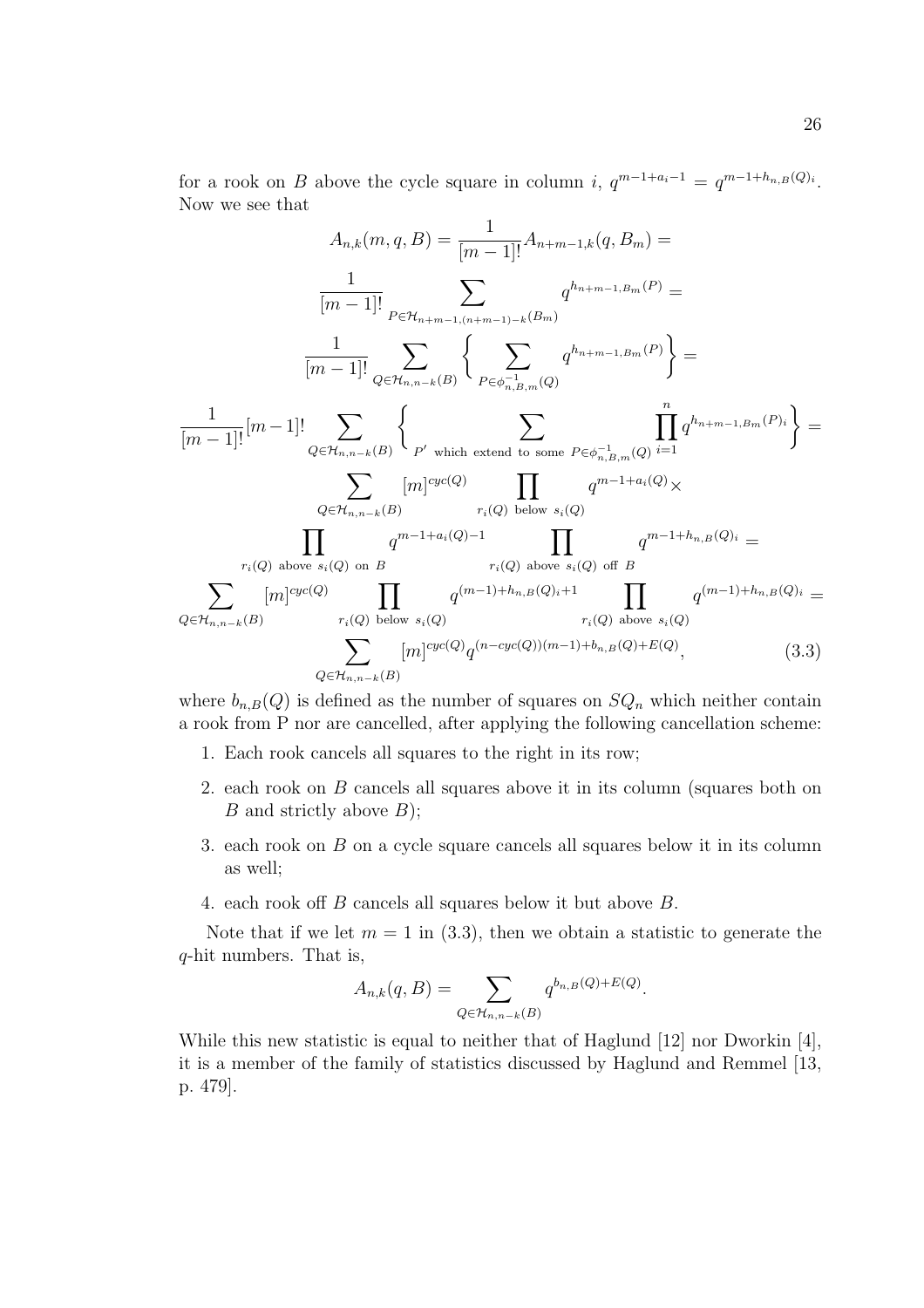for a rook on B above the cycle square in column i,  $q^{m-1+a_i-1} = q^{m-1+h_{n,B}(Q)_i}$ . Now we see that

$$
A_{n,k}(m, q, B) = \frac{1}{[m-1]!} A_{n+m-1,k}(q, B_m) =
$$
  
\n
$$
\frac{1}{[m-1]!} \sum_{P \in \mathcal{H}_{n+m-1,(n+m-1)-k}(B_m)} q^{h_{n+m-1,B_m}(P)} =
$$
  
\n
$$
\frac{1}{[m-1]!} \sum_{Q \in \mathcal{H}_{n,n-k}(B)} \left\{ \sum_{P \in \phi_{n,B,m}^{-1}(Q)} q^{h_{n+m-1,B_m}(P)} \right\} =
$$
  
\n
$$
\frac{1}{[m-1]!} [m-1]! \sum_{Q \in \mathcal{H}_{n,n-k}(B)} \left\{ \sum_{P' \text{ which extend to some } P \in \phi_{n,B,m}^{-1}(Q)} \prod_{i=1}^{n} q^{h_{n+m-1,B_m}(P)_i} \right\} =
$$
  
\n
$$
\sum_{Q \in \mathcal{H}_{n,n-k}(B)} [m]^{cyc(Q)} \prod_{r_i(Q) \text{ below } s_i(Q)} q^{m-1+a_i(Q) \times r_i(Q) \text{ above } s_i(Q) \text{ of } B}
$$
  
\n
$$
\sum_{r_i(Q) \text{ above } s_i(Q) \text{ on } B} q^{m-1+a_i(Q)-1} \prod_{r_i(Q) \text{ above } s_i(Q) \text{ of } B} q^{m-1+h_{n,B}(Q)_i} =
$$
  
\n
$$
\sum_{Q \in \mathcal{H}_{n,n-k}(B)} [m]^{cyc(Q)} \prod_{r_i(Q) \text{ below } s_i(Q)} q^{(m-1)+h_{n,B}(Q)_i+1} \prod_{r_i(Q) \text{ above } s_i(Q)} q^{(m-1)+h_{n,B}(Q)_i} =
$$
  
\n
$$
\sum_{Q \in \mathcal{H}_{n,n-k}(B)} [m]^{cyc(Q)} q^{(n-cyc(Q))(m-1)+b_{n,B}(Q)+E(Q)}, \qquad (3.3)
$$

where  $b_{n,B}(Q)$  is defined as the number of squares on  $SQ_n$  which neither contain a rook from P nor are cancelled, after applying the following cancellation scheme:

- 1. Each rook cancels all squares to the right in its row;
- 2. each rook on B cancels all squares above it in its column (squares both on  $B$  and strictly above  $B$ );
- 3. each rook on B on a cycle square cancels all squares below it in its column as well;
- 4. each rook off B cancels all squares below it but above B.

Note that if we let  $m = 1$  in (3.3), then we obtain a statistic to generate the q-hit numbers. That is,

$$
A_{n,k}(q, B) = \sum_{Q \in \mathcal{H}_{n,n-k}(B)} q^{b_{n,B}(Q) + E(Q)}.
$$

While this new statistic is equal to neither that of Haglund [12] nor Dworkin [4], it is a member of the family of statistics discussed by Haglund and Remmel [13, p. 479].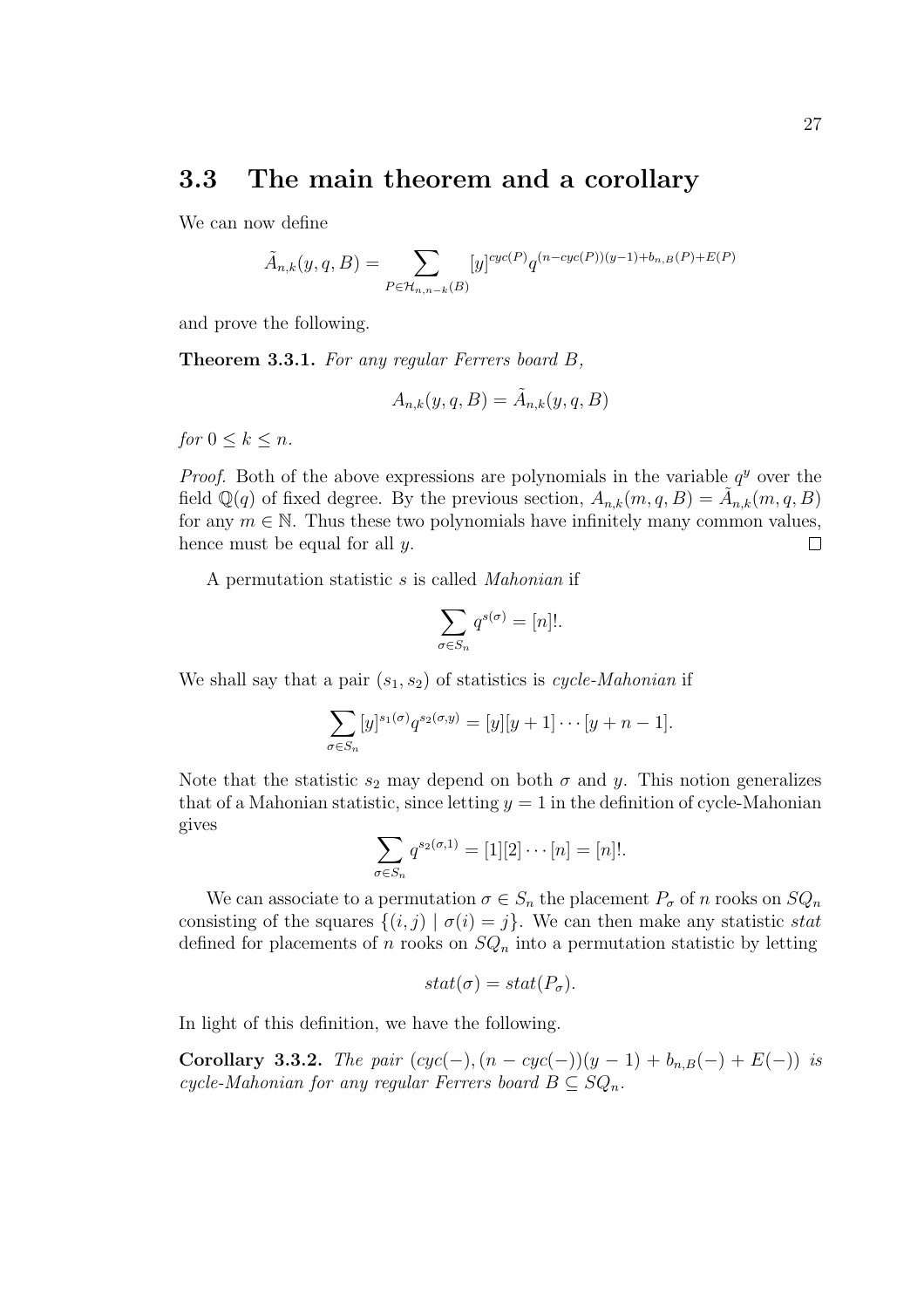### 3.3 The main theorem and a corollary

We can now define

$$
\tilde{A}_{n,k}(y,q,B) = \sum_{P \in \mathcal{H}_{n,n-k}(B)} [y]^{cyc(P)} q^{(n-cyc(P))(y-1) + b_{n,B}(P) + E(P)}
$$

and prove the following.

Theorem 3.3.1. For any regular Ferrers board B,

$$
A_{n,k}(y,q,B) = \tilde{A}_{n,k}(y,q,B)
$$

for  $0 \leq k \leq n$ .

*Proof.* Both of the above expressions are polynomials in the variable  $q<sup>y</sup>$  over the field  $\mathbb{Q}(q)$  of fixed degree. By the previous section,  $A_{n,k}(m,q,B) = \tilde{A}_{n,k}(m,q,B)$ for any  $m \in \mathbb{N}$ . Thus these two polynomials have infinitely many common values, hence must be equal for all y.  $\Box$ 

A permutation statistic s is called Mahonian if

$$
\sum_{\sigma \in S_n} q^{s(\sigma)} = [n]!
$$

We shall say that a pair  $(s_1, s_2)$  of statistics is cycle-Mahonian if

$$
\sum_{\sigma \in S_n} [y]^{s_1(\sigma)} q^{s_2(\sigma, y)} = [y][y+1] \cdots [y+n-1].
$$

Note that the statistic  $s_2$  may depend on both  $\sigma$  and y. This notion generalizes that of a Mahonian statistic, since letting  $y = 1$  in the definition of cycle-Mahonian gives  $\overline{\phantom{a}}$ 

$$
\sum_{\sigma \in S_n} q^{s_2(\sigma,1)} = [1][2] \cdots [n] = [n]!
$$

We can associate to a permutation  $\sigma \in S_n$  the placement  $P_{\sigma}$  of n rooks on  $SQ_n$ consisting of the squares  $\{(i, j) | \sigma(i) = j\}$ . We can then make any statistic stat defined for placements of n rooks on  $SQ_n$  into a permutation statistic by letting

$$
stat(\sigma) = stat(P_{\sigma}).
$$

In light of this definition, we have the following.

Corollary 3.3.2. The pair  $(cyc(-), (n - cyc(-))(y - 1) + b_{n,B}(-) + E(-))$  is cycle-Mahonian for any regular Ferrers board  $B \subseteq SQ_n$ .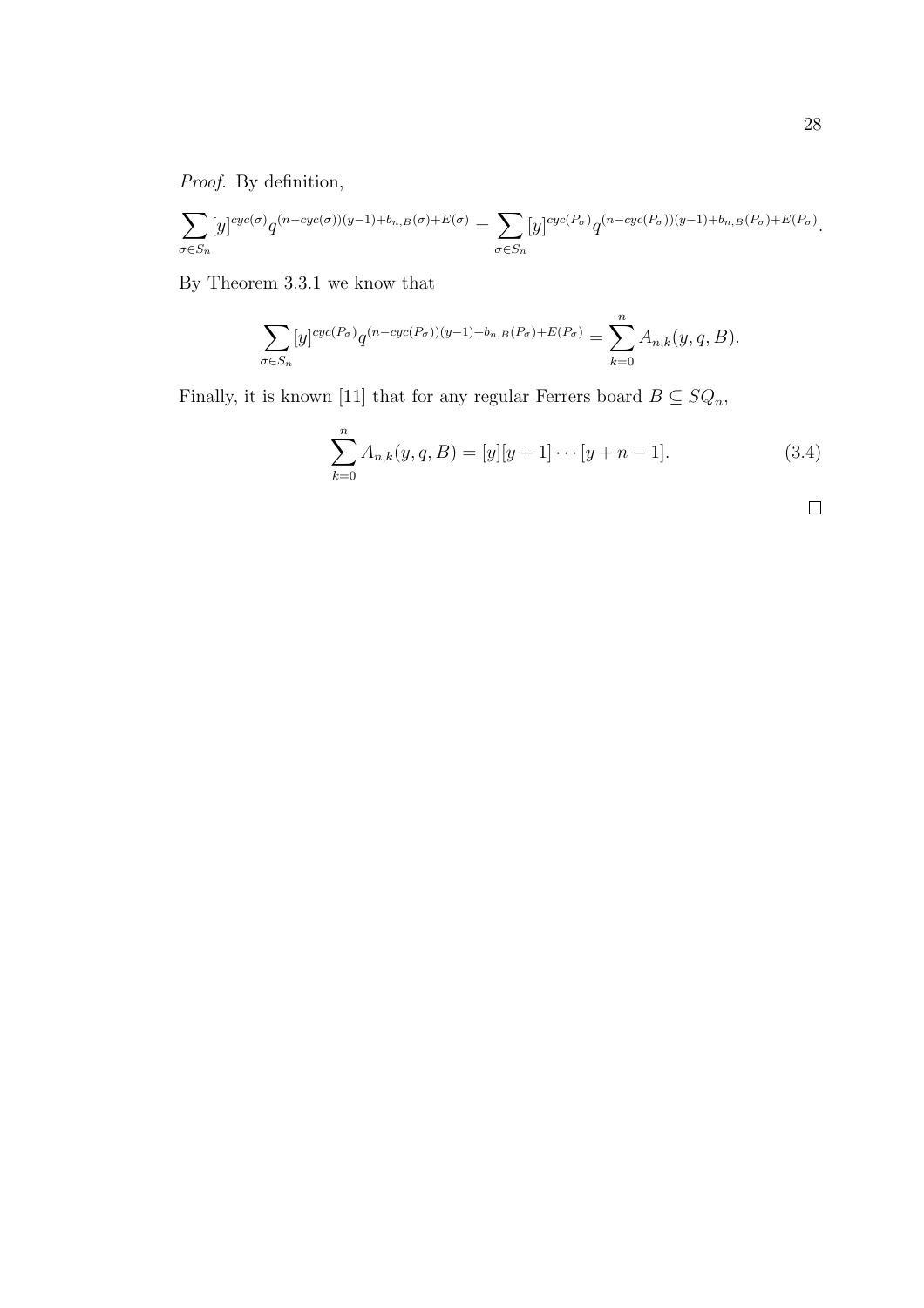Proof. By definition,

$$
\sum_{\sigma \in S_n} [y]^{cyc(\sigma)} q^{(n-cyc(\sigma))(y-1) + b_{n,B}(\sigma) + E(\sigma)} = \sum_{\sigma \in S_n} [y]^{cyc(P_{\sigma})} q^{(n-cyc(P_{\sigma}))(y-1) + b_{n,B}(P_{\sigma}) + E(P_{\sigma})}.
$$

By Theorem 3.3.1 we know that

$$
\sum_{\sigma \in S_n} [y]^{cyc(P_{\sigma})} q^{(n-cyc(P_{\sigma}))(y-1) + b_{n,B}(P_{\sigma}) + E(P_{\sigma})} = \sum_{k=0}^n A_{n,k}(y,q,B).
$$

Finally, it is known [11] that for any regular Ferrers board  $B \subseteq SQ_n$ ,

$$
\sum_{k=0}^{n} A_{n,k}(y, q, B) = [y][y+1] \cdots [y+n-1]. \tag{3.4}
$$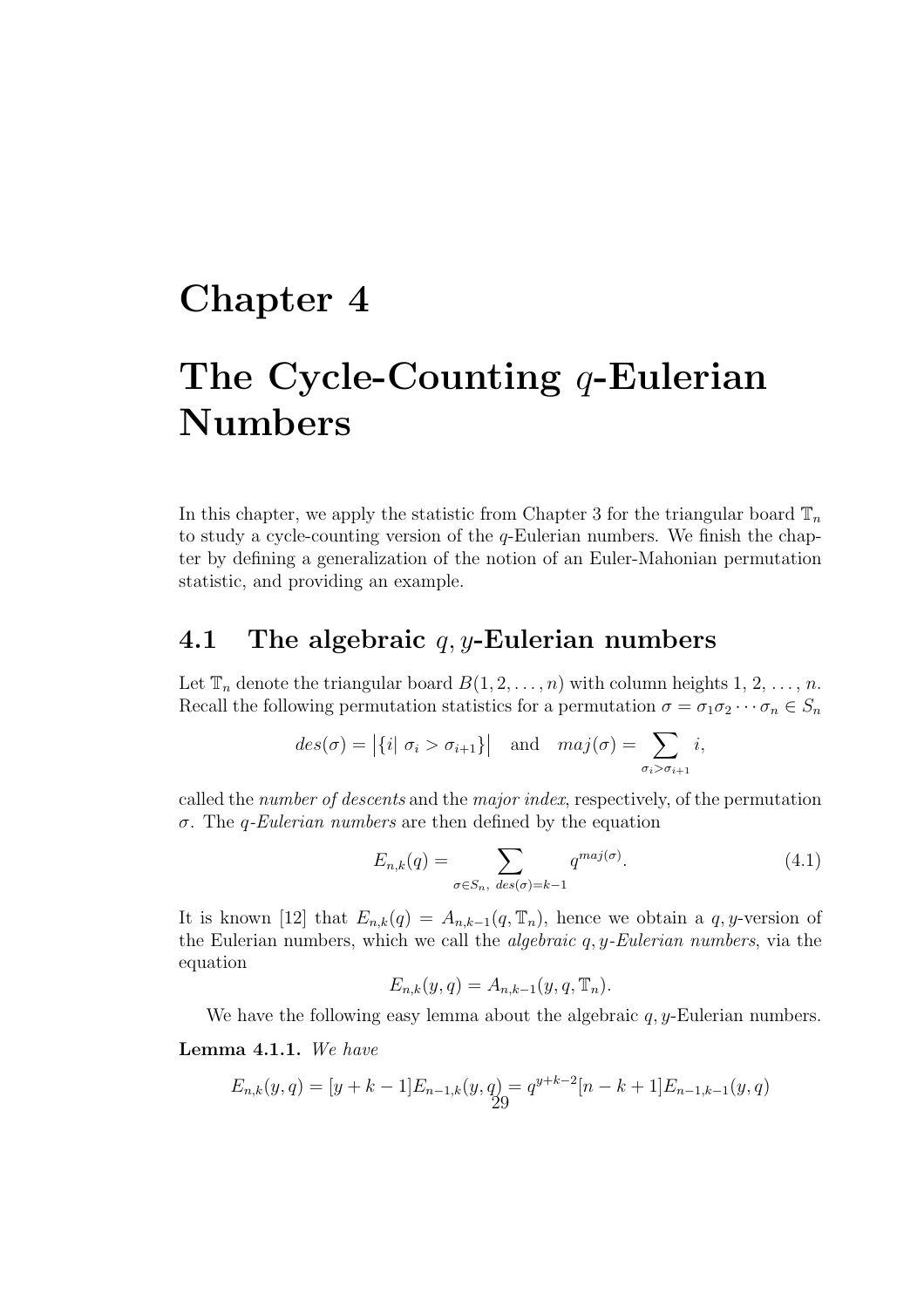## Chapter 4

## The Cycle-Counting  $q$ -Eulerian Numbers

In this chapter, we apply the statistic from Chapter 3 for the triangular board  $\mathbb{T}_n$ to study a cycle-counting version of the  $q$ -Eulerian numbers. We finish the chapter by defining a generalization of the notion of an Euler-Mahonian permutation statistic, and providing an example.

### 4.1 The algebraic  $q, y$ -Eulerian numbers

Let  $\mathbb{T}_n$  denote the triangular board  $B(1, 2, \ldots, n)$  with column heights  $1, 2, \ldots, n$ . Recall the following permutation statistics for a permutation  $\sigma = \sigma_1 \sigma_2 \cdots \sigma_n \in S_n$ 

$$
des(\sigma) = |\{i | \sigma_i > \sigma_{i+1}\}|
$$
 and  $maj(\sigma) = \sum_{\sigma_i > \sigma_{i+1}} i$ ,

called the number of descents and the major index, respectively, of the permutation σ. The q-Eulerian numbers are then defined by the equation

$$
E_{n,k}(q) = \sum_{\sigma \in S_n, \ des(\sigma) = k-1} q^{maj(\sigma)}.
$$
\n(4.1)

It is known [12] that  $E_{n,k}(q) = A_{n,k-1}(q, \mathbb{T}_n)$ , hence we obtain a q, y-version of the Eulerian numbers, which we call the *algebraic*  $q$ ,  $y$ -Eulerian numbers, via the equation

$$
E_{n,k}(y,q) = A_{n,k-1}(y,q,\mathbb{T}_n).
$$

We have the following easy lemma about the algebraic  $q$ , y-Eulerian numbers.

Lemma 4.1.1. We have

$$
E_{n,k}(y,q) = [y + k - 1]E_{n-1,k}(y,q) = q^{y+k-2}[n - k + 1]E_{n-1,k-1}(y,q)
$$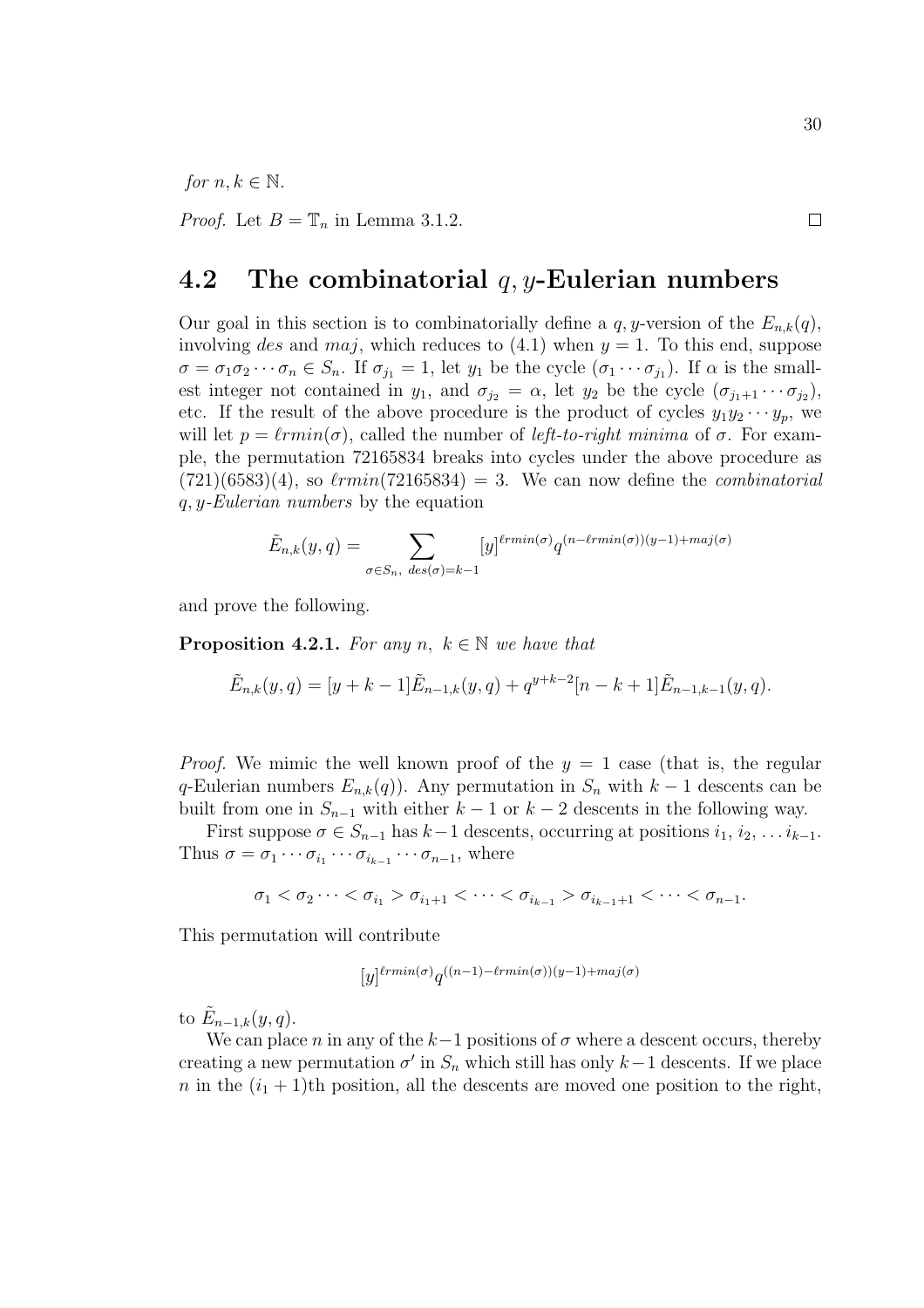for  $n, k \in \mathbb{N}$ .

*Proof.* Let  $B = \mathbb{T}_n$  in Lemma 3.1.2.

### 4.2 The combinatorial  $q, y$ -Eulerian numbers

Our goal in this section is to combinatorially define a  $q, y$ -version of the  $E_{n,k}(q)$ , involving des and maj, which reduces to  $(4.1)$  when  $y = 1$ . To this end, suppose  $\sigma = \sigma_1 \sigma_2 \cdots \sigma_n \in S_n$ . If  $\sigma_{j_1} = 1$ , let  $y_1$  be the cycle  $(\sigma_1 \cdots \sigma_{j_1})$ . If  $\alpha$  is the smallest integer not contained in  $y_1$ , and  $\sigma_{j_2} = \alpha$ , let  $y_2$  be the cycle  $(\sigma_{j_1+1} \cdots \sigma_{j_2})$ , etc. If the result of the above procedure is the product of cycles  $y_1y_2 \cdots y_p$ , we will let  $p = \ell rmin(\sigma)$ , called the number of *left-to-right minima* of  $\sigma$ . For example, the permutation 72165834 breaks into cycles under the above procedure as  $(721)(6583)(4)$ , so  $\ell rmin(72165834) = 3$ . We can now define the *combinatorial* q, y-Eulerian numbers by the equation

$$
\tilde{E}_{n,k}(y,q) = \sum_{\sigma \in S_n, \ des(\sigma) = k-1} [y]^{lrmin(\sigma)} q^{(n-lrmin(\sigma))(y-1) + maj(\sigma)}
$$

and prove the following.

**Proposition 4.2.1.** For any n,  $k \in \mathbb{N}$  we have that

$$
\tilde{E}_{n,k}(y,q) = [y + k - 1]\tilde{E}_{n-1,k}(y,q) + q^{y+k-2}[n - k + 1]\tilde{E}_{n-1,k-1}(y,q).
$$

*Proof.* We mimic the well known proof of the  $y = 1$  case (that is, the regular q-Eulerian numbers  $E_{n,k}(q)$ . Any permutation in  $S_n$  with  $k-1$  descents can be built from one in  $S_{n-1}$  with either  $k-1$  or  $k-2$  descents in the following way.

First suppose  $\sigma \in S_{n-1}$  has  $k-1$  descents, occurring at positions  $i_1, i_2, \ldots i_{k-1}$ . Thus  $\sigma = \sigma_1 \cdots \sigma_{i_1} \cdots \sigma_{i_{k-1}} \cdots \sigma_{n-1}$ , where

$$
\sigma_1<\sigma_2\cdots<\sigma_{i_1}>\sigma_{i_1+1}<\cdots<\sigma_{i_{k-1}}>\sigma_{i_{k-1}+1}<\cdots<\sigma_{n-1}.
$$

This permutation will contribute

$$
[y]^{\ell r min(\sigma)} q^{((n-1)-\ell r min(\sigma))(y-1)+maj(\sigma)}
$$

to  $\tilde{E}_{n-1,k}(y,q)$ .

We can place n in any of the  $k-1$  positions of  $\sigma$  where a descent occurs, thereby creating a new permutation  $\sigma'$  in  $S_n$  which still has only k-1 descents. If we place n in the  $(i_1 + 1)$ th position, all the descents are moved one position to the right,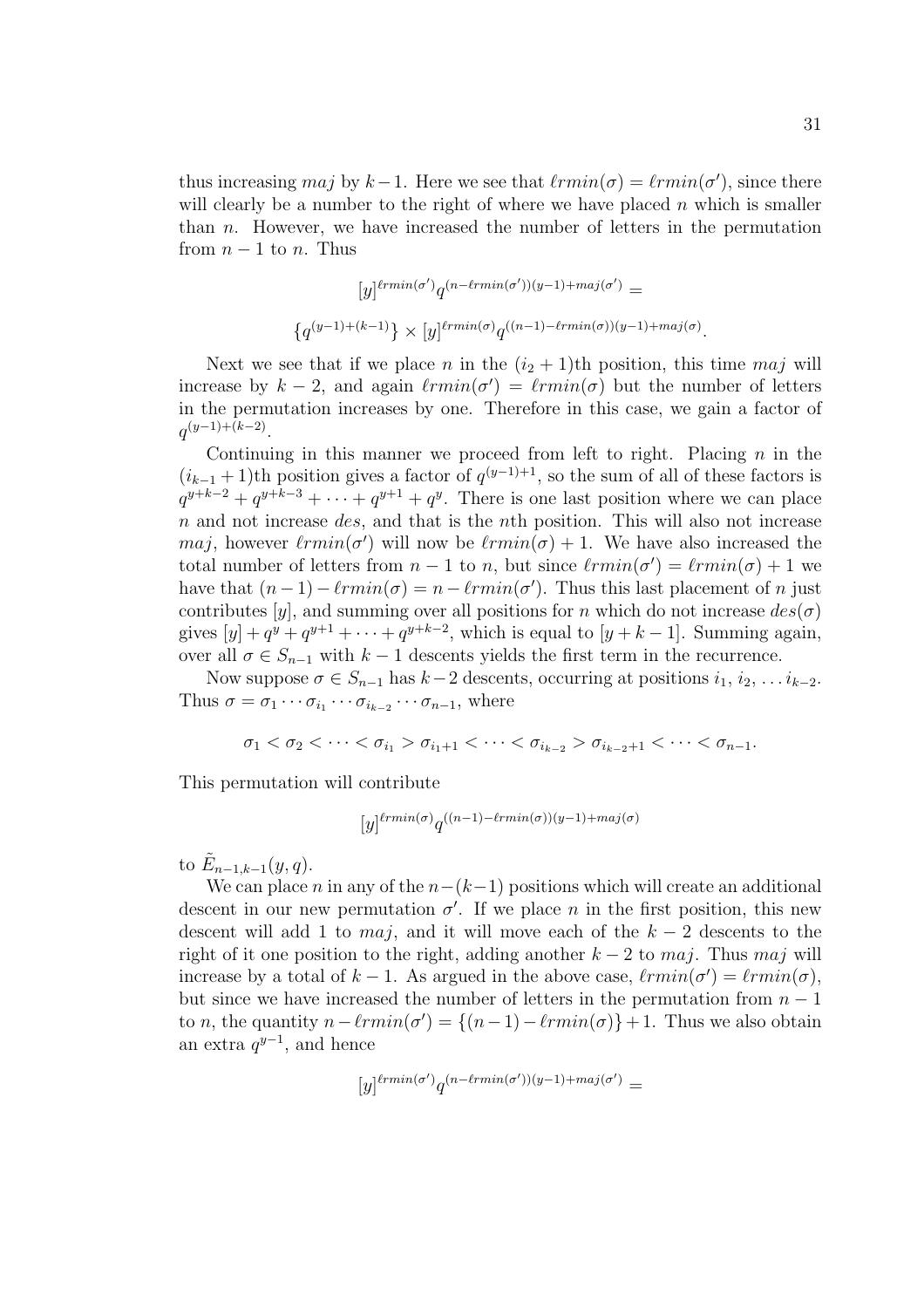thus increasing maj by  $k-1$ . Here we see that  $\ell rmin(\sigma) = \ell rmin(\sigma')$ , since there will clearly be a number to the right of where we have placed  $n$  which is smaller than n. However, we have increased the number of letters in the permutation from  $n-1$  to n. Thus

$$
[y]^{lrmin(\sigma')}q^{(n-lrmin(\sigma'))(y-1)+maj(\sigma')} =
$$
  

$$
{q^{(y-1)+(k-1)}} \times [y]^{lrmin(\sigma)}q^{((n-1)-lmin(\sigma))(y-1)+maj(\sigma)}.
$$

Next we see that if we place n in the  $(i_2 + 1)$ th position, this time maj will increase by  $k-2$ , and again  $\ell rmin(\sigma') = \ell rmin(\sigma)$  but the number of letters in the permutation increases by one. Therefore in this case, we gain a factor of  $q^{(y-1)+(k-2)}$ .

Continuing in this manner we proceed from left to right. Placing  $n$  in the  $(i_{k-1}+1)$ th position gives a factor of  $q^{(y-1)+1}$ , so the sum of all of these factors is  $q^{y+k-2} + q^{y+k-3} + \cdots + q^{y+1} + q^y$ . There is one last position where we can place  $n$  and not increase *des*, and that is the *n*th position. This will also not increase maj, however  $\ell rmin(\sigma')$  will now be  $\ell rmin(\sigma) + 1$ . We have also increased the total number of letters from  $n-1$  to n, but since  $\ell rmin(\sigma') = \ell rmin(\sigma) + 1$  we have that  $(n-1) - \ell r min(\sigma) = n - \ell r min(\sigma')$ . Thus this last placement of n just contributes [y], and summing over all positions for n which do not increase  $des(\sigma)$ gives  $[y] + q^y + q^{y+1} + \cdots + q^{y+k-2}$ , which is equal to  $[y+k-1]$ . Summing again, over all  $\sigma \in S_{n-1}$  with  $k-1$  descents yields the first term in the recurrence.

Now suppose  $\sigma \in S_{n-1}$  has  $k-2$  descents, occurring at positions  $i_1, i_2, \ldots i_{k-2}$ . Thus  $\sigma = \sigma_1 \cdots \sigma_{i_1} \cdots \sigma_{i_{k-2}} \cdots \sigma_{n-1}$ , where

$$
\sigma_1<\sigma_2<\cdots<\sigma_{i_1}>\sigma_{i_1+1}<\cdots<\sigma_{i_{k-2}}>\sigma_{i_{k-2}+1}<\cdots<\sigma_{n-1}.
$$

This permutation will contribute

$$
[y]^{\ell r min(\sigma)} q^{((n-1)-\ell r min(\sigma))(y-1)+maj(\sigma)}
$$

to  $\tilde{E}_{n-1,k-1}(y,q)$ .

We can place n in any of the  $n-(k-1)$  positions which will create an additional descent in our new permutation  $\sigma'$ . If we place n in the first position, this new descent will add 1 to  $maj$ , and it will move each of the  $k-2$  descents to the right of it one position to the right, adding another  $k - 2$  to maj. Thus maj will increase by a total of  $k-1$ . As argued in the above case,  $\ell rmin(\sigma') = \ell rmin(\sigma)$ , but since we have increased the number of letters in the permutation from  $n-1$ to *n*, the quantity  $n - \ell rmin(\sigma') = \{(n-1) - \ell rmin(\sigma)\} + 1$ . Thus we also obtain an extra  $q^{y-1}$ , and hence

$$
[y]^{\ell r min(\sigma')} q^{(n - \ell r min(\sigma'))(y - 1) + maj(\sigma')} =
$$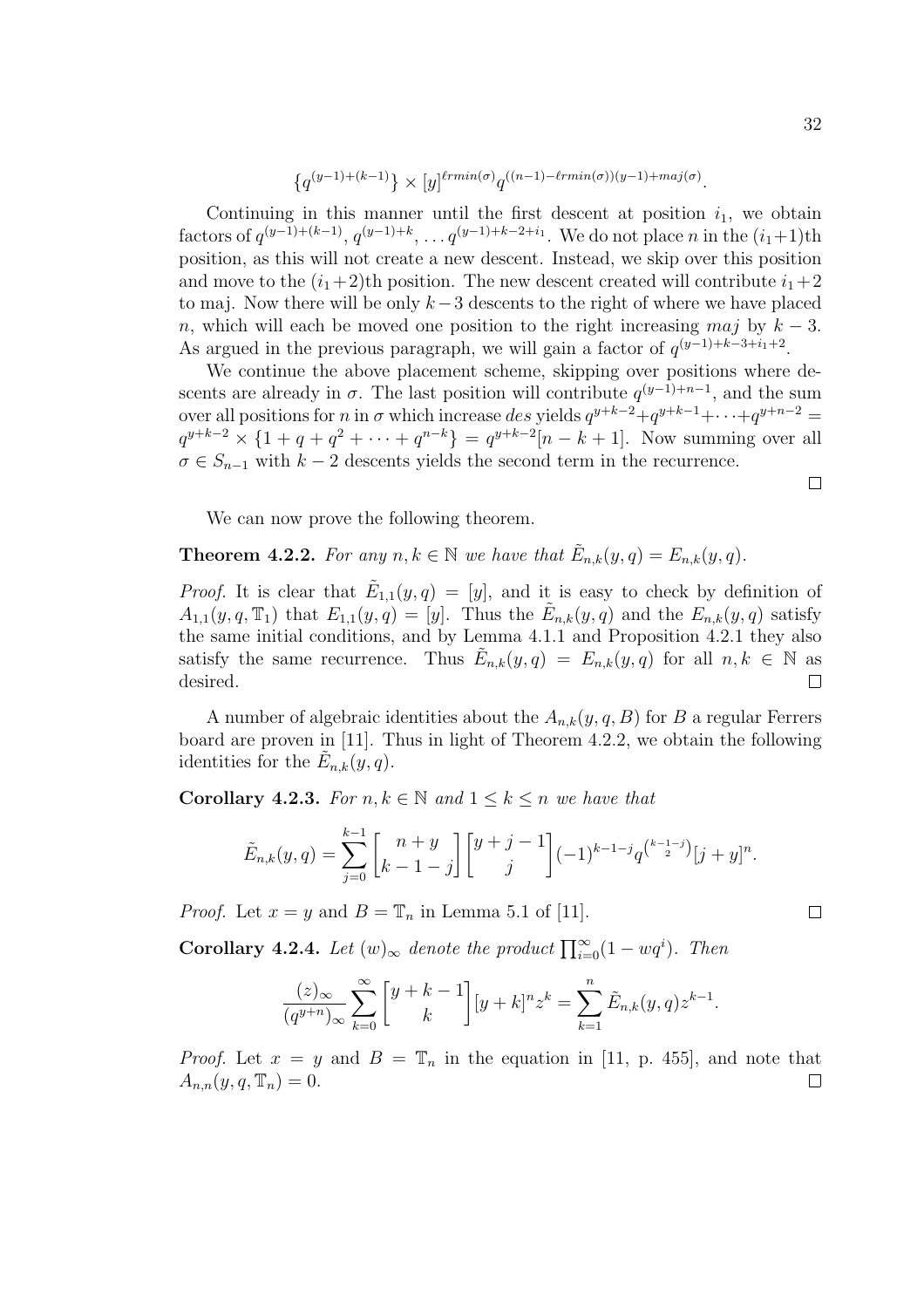$$
\left\{q^{(y-1)+(k-1)}\right\} \times [y]^{l r min(\sigma)} q^{((n-1)-l r min(\sigma))(y-1)+m a j(\sigma)}.
$$

Continuing in this manner until the first descent at position  $i_1$ , we obtain factors of  $q^{(y-1)+(k-1)}$ ,  $q^{(y-1)+k}$ , ...  $q^{(y-1)+k-2+i_1}$ . We do not place n in the  $(i_1+1)$ th position, as this will not create a new descent. Instead, we skip over this position and move to the  $(i_1+2)$ th position. The new descent created will contribute  $i_1+2$ to maj. Now there will be only k−3 descents to the right of where we have placed n, which will each be moved one position to the right increasing maj by  $k-3$ . As argued in the previous paragraph, we will gain a factor of  $q^{(y-1)+k-3+i_1+2}$ .

We continue the above placement scheme, skipping over positions where descents are already in  $\sigma$ . The last position will contribute  $q^{(y-1)+n-1}$ , and the sum over all positions for *n* in  $\sigma$  which increase des yields  $q^{y+k-2}+q^{y+k-1}+\cdots+q^{y+n-2}$  $q^{y+k-2} \times \{1+q+q^2+\cdots+q^{n-k}\} = q^{y+k-2}[n-k+1]$ . Now summing over all  $\sigma \in S_{n-1}$  with  $k-2$  descents yields the second term in the recurrence.

We can now prove the following theorem.

**Theorem 4.2.2.** For any  $n, k \in \mathbb{N}$  we have that  $\tilde{E}_{n,k}(y,q) = E_{n,k}(y,q)$ .

*Proof.* It is clear that  $\tilde{E}_{1,1}(y,q) = [y]$ , and it is easy to check by definition of  $A_{1,1}(y,q,\mathbb{T}_1)$  that  $E_{1,1}(y,q) = [y]$ . Thus the  $\tilde{E}_{n,k}(y,q)$  and the  $E_{n,k}(y,q)$  satisfy the same initial conditions, and by Lemma 4.1.1 and Proposition 4.2.1 they also satisfy the same recurrence. Thus  $\tilde{E}_{n,k}(y,q) = E_{n,k}(y,q)$  for all  $n, k \in \mathbb{N}$  as desired.  $\Box$ 

A number of algebraic identities about the  $A_{n,k}(y, q, B)$  for B a regular Ferrers board are proven in [11]. Thus in light of Theorem 4.2.2, we obtain the following identities for the  $\tilde{E}_{n,k}(y,q)$ .

**Corollary 4.2.3.** For  $n, k \in \mathbb{N}$  and  $1 \leq k \leq n$  we have that

$$
\tilde{E}_{n,k}(y,q) = \sum_{j=0}^{k-1} \begin{bmatrix} n+y \\ k-1-j \end{bmatrix} \begin{bmatrix} y+j-1 \\ j \end{bmatrix} (-1)^{k-1-j} q^{\binom{k-1-j}{2}} [j+y]^{n}.
$$

*Proof.* Let  $x = y$  and  $B = \mathbb{T}_n$  in Lemma 5.1 of [11].

**Corollary 4.2.4.** Let  $(w)_{\infty}$  denote the product  $\prod_{i=0}^{\infty} (1 - wq^i)$ . Then

$$
\frac{(z)_{\infty}}{(q^{y+n})_{\infty}}\sum_{k=0}^{\infty}\binom{y+k-1}{k}[y+k]^{n}z^{k} = \sum_{k=1}^{n}\tilde{E}_{n,k}(y,q)z^{k-1}.
$$

*Proof.* Let  $x = y$  and  $B = \mathbb{T}_n$  in the equation in [11, p. 455], and note that  $A_{n,n}(y,q,\mathbb{T}_n)=0.$  $\Box$ 

$$
\qquad \qquad \Box
$$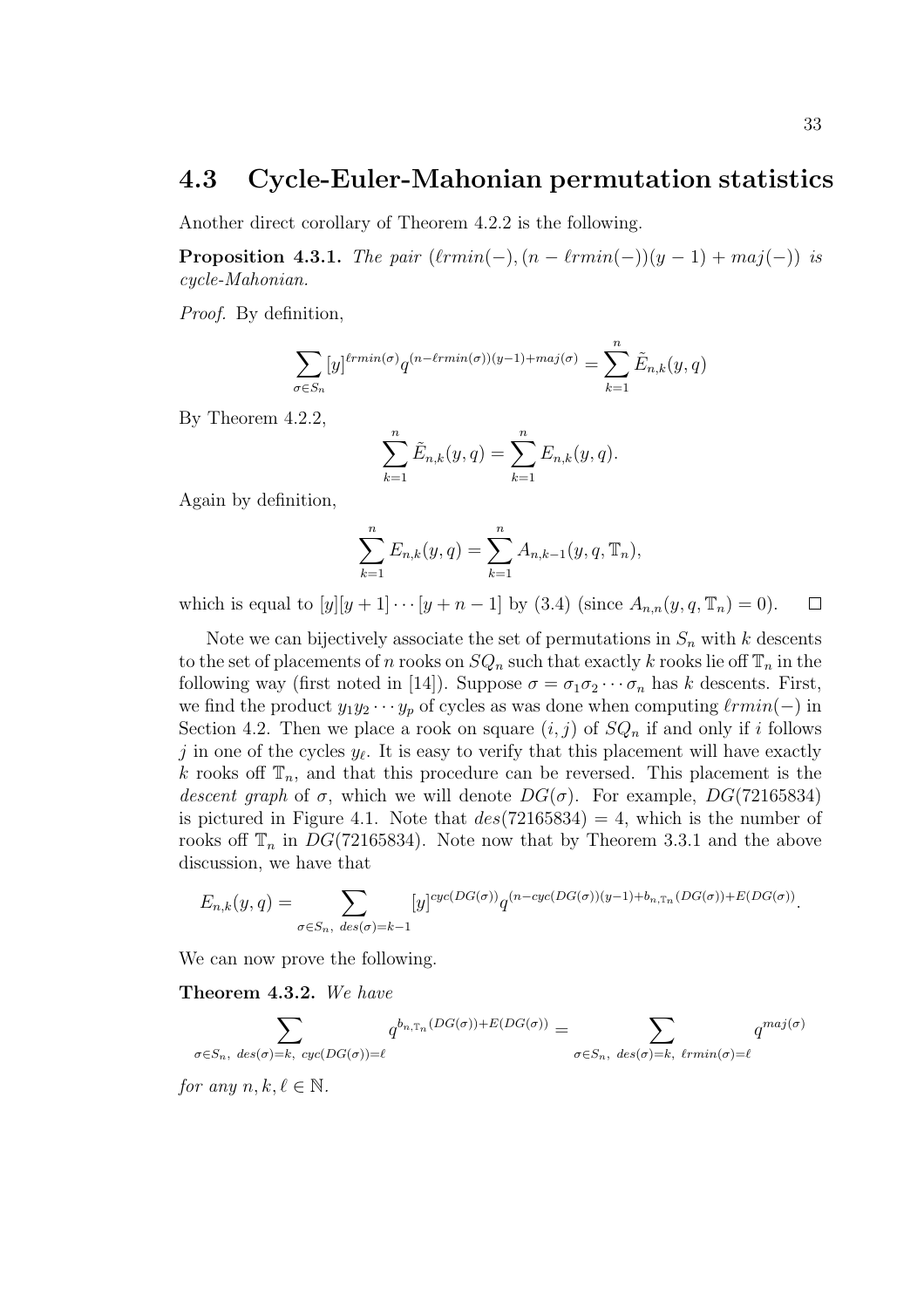### 4.3 Cycle-Euler-Mahonian permutation statistics

Another direct corollary of Theorem 4.2.2 is the following.

**Proposition 4.3.1.** The pair  $(l rmin(-), (n - l rmin(-))(y - 1) + maj(-))$  is cycle-Mahonian.

Proof. By definition,

$$
\sum_{\sigma \in S_n} [y]^{\ell r min(\sigma)} q^{(n - \ell r min(\sigma))(y - 1) + maj(\sigma)} = \sum_{k=1}^n \tilde{E}_{n,k}(y, q)
$$

By Theorem 4.2.2,

$$
\sum_{k=1}^{n} \tilde{E}_{n,k}(y,q) = \sum_{k=1}^{n} E_{n,k}(y,q).
$$

Again by definition,

$$
\sum_{k=1}^{n} E_{n,k}(y,q) = \sum_{k=1}^{n} A_{n,k-1}(y,q,\mathbb{T}_n),
$$

which is equal to  $[y][y + 1] \cdots [y + n - 1]$  by (3.4) (since  $A_{n,n}(y, q, \mathbb{T}_n) = 0$ ).  $\Box$ 

Note we can bijectively associate the set of permutations in  $S_n$  with k descents to the set of placements of n rooks on  $SQ_n$  such that exactly k rooks lie off  $\mathbb{T}_n$  in the following way (first noted in [14]). Suppose  $\sigma = \sigma_1 \sigma_2 \cdots \sigma_n$  has k descents. First, we find the product  $y_1y_2 \cdots y_p$  of cycles as was done when computing  $\ell rmin(-)$  in Section 4.2. Then we place a rook on square  $(i, j)$  of  $SQ_n$  if and only if i follows j in one of the cycles  $y_{\ell}$ . It is easy to verify that this placement will have exactly k rooks off  $\mathbb{T}_n$ , and that this procedure can be reversed. This placement is the descent graph of  $\sigma$ , which we will denote  $DG(\sigma)$ . For example,  $DG(72165834)$ is pictured in Figure 4.1. Note that  $des(72165834) = 4$ , which is the number of rooks off  $\mathbb{T}_n$  in  $DG(72165834)$ . Note now that by Theorem 3.3.1 and the above discussion, we have that

$$
E_{n,k}(y,q) = \sum_{\sigma \in S_n, \ des(\sigma) = k-1} [y]^{cyc(DG(\sigma))} q^{(n-cyc(DG(\sigma))(y-1) + b_{n,T_n}(DG(\sigma)) + E(DG(\sigma))}.
$$

We can now prove the following.

Theorem 4.3.2. We have

$$
\sum_{\sigma \in S_n, \text{ } des(\sigma) = k, \text{ } cyc(DG(\sigma)) = \ell} q^{b_{n,\mathbb{T}_n}(DG(\sigma)) + E(DG(\sigma))} = \sum_{\sigma \in S_n, \text{ } des(\sigma) = k, \text{ } \ell r min(\sigma) = \ell} q^{maj(\sigma)}
$$

for any  $n, k, \ell \in \mathbb{N}$ .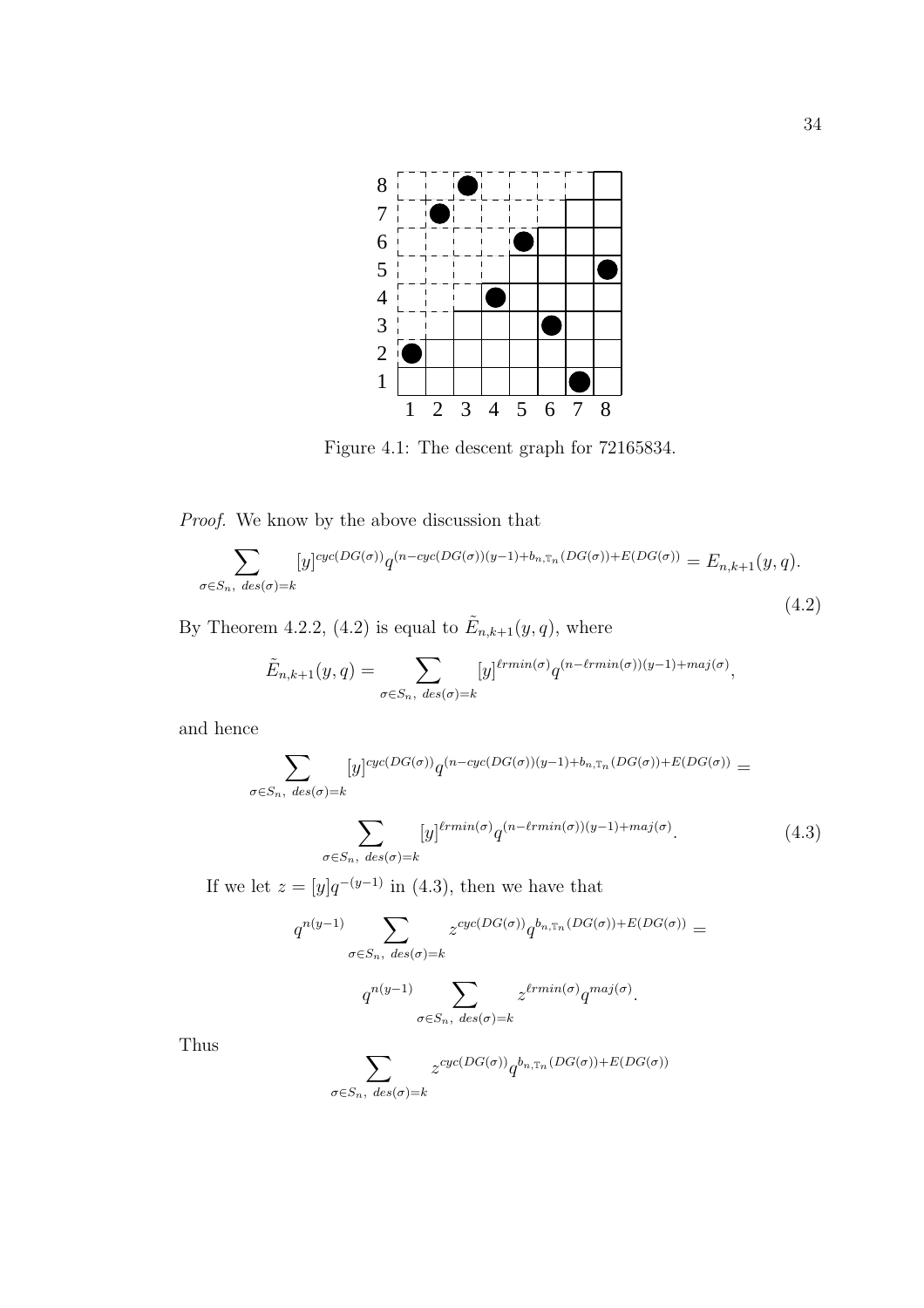

Figure 4.1: The descent graph for 72165834.

Proof. We know by the above discussion that

$$
\sum_{\sigma \in S_n, \deg(\sigma) = k} [y]^{cyc(DG(\sigma))} q^{(n - cyc(DG(\sigma))(y-1) + b_{n, \mathbb{T}_n}(DG(\sigma)) + E(DG(\sigma)))} = E_{n, k+1}(y, q).
$$
\n(4.2)

By Theorem 4.2.2, (4.2) is equal to  $\tilde{E}_{n,k+1}(y,q)$ , where

$$
\tilde{E}_{n,k+1}(y,q) = \sum_{\sigma \in S_n, \ des(\sigma) = k} [y]^{lrmin(\sigma)} q^{(n-lrmin(\sigma))(y-1) + maj(\sigma)},
$$

and hence

$$
\sum_{\sigma \in S_n, \deg(\sigma) = k} [y]^{cyc(DG(\sigma))} q^{(n - cyc(DG(\sigma))(y-1) + b_{n, \mathbb{T}_n}(DG(\sigma)) + E(DG(\sigma)))} =
$$

$$
\sum_{\sigma \in S_n, \ des(\sigma) = k} [y]^{l r min(\sigma)} q^{(n - l r min(\sigma))(y - 1) + maj(\sigma)}.
$$
\n(4.3)

If we let  $z = [y]q^{-(y-1)}$  in (4.3), then we have that

$$
q^{n(y-1)}\sum_{\sigma\in S_n, \ des(\sigma)=k} z^{cyc(DG(\sigma))} q^{b_{n,T_n}(DG(\sigma))+E(DG(\sigma))} =
$$

$$
q^{n(y-1)}\sum_{\sigma\in S_n, \ des(\sigma)=k} z^{\ell r min(\sigma)} q^{maj(\sigma)}.
$$

Thus

$$
\sum_{\sigma \in S_n, \ des(\sigma) = k} z^{cyc(DG(\sigma))} q^{b_{n,\mathbb{T}_n}(DG(\sigma)) + E(DG(\sigma))}
$$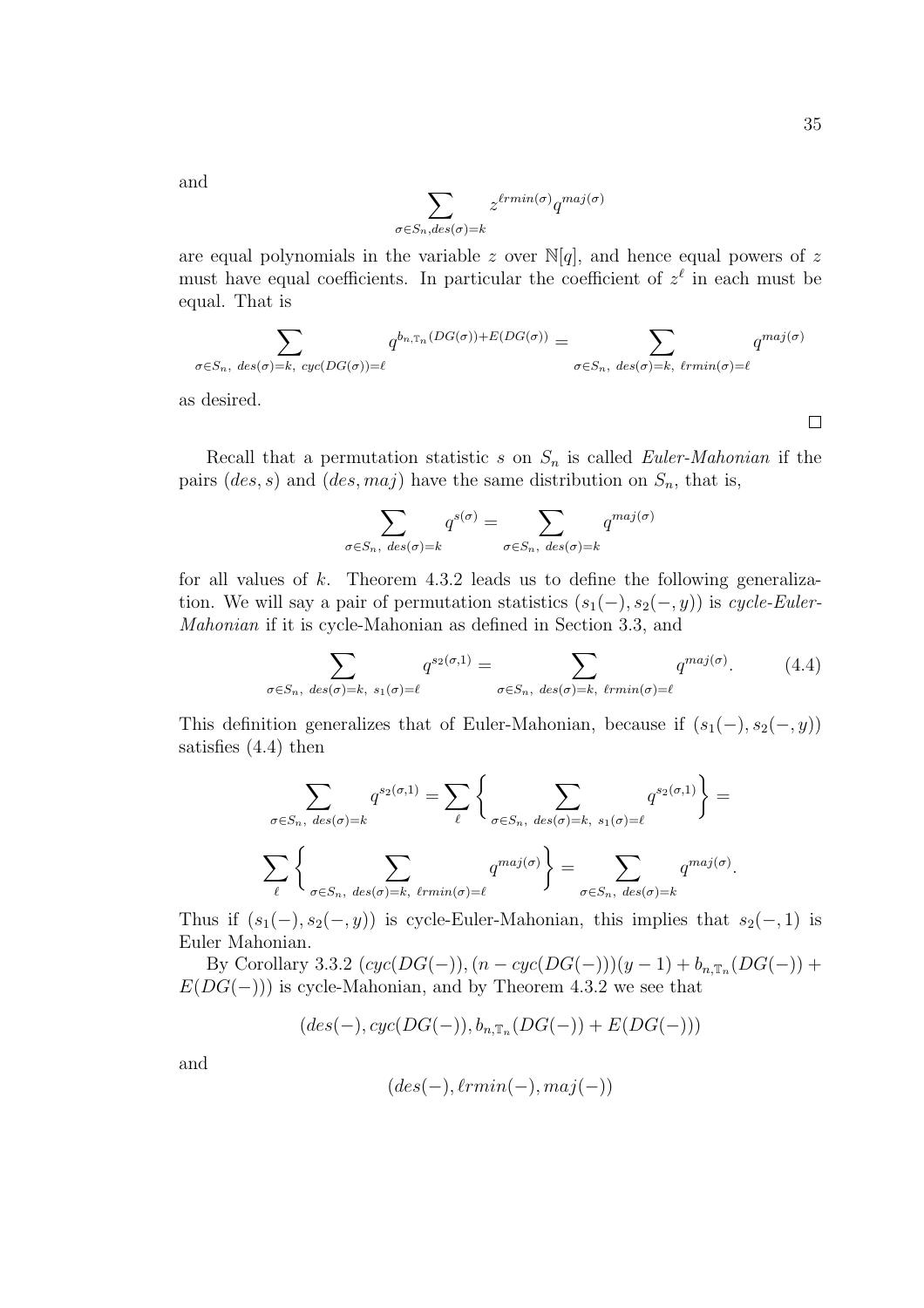and

$$
\sum_{\sigma \in S_n, des(\sigma) = k} z^{\ell r min(\sigma)} q^{maj(\sigma)}
$$

are equal polynomials in the variable z over  $\mathbb{N}[q]$ , and hence equal powers of z must have equal coefficients. In particular the coefficient of  $z^{\ell}$  in each must be equal. That is

$$
\sum_{\sigma \in S_n, \text{ des}(\sigma) = k, \text{ cyc}(DG(\sigma)) = \ell} q^{b_{n, \text{tn}}(DG(\sigma)) + E(DG(\sigma))} = \sum_{\sigma \in S_n, \text{ des}(\sigma) = k, \text{ \text{trmin}}(\sigma) = \ell} q^{\text{maj}(\sigma)}
$$

as desired.

 $\Box$ 

Recall that a permutation statistic s on  $S_n$  is called *Euler-Mahonian* if the pairs  $(ds, s)$  and  $(ds, maj)$  have the same distribution on  $S_n$ , that is,

$$
\sum_{\sigma \in S_n, \ des(\sigma) = k} q^{s(\sigma)} = \sum_{\sigma \in S_n, \ des(\sigma) = k} q^{maj(\sigma)}
$$

for all values of  $k$ . Theorem 4.3.2 leads us to define the following generalization. We will say a pair of permutation statistics  $(s_1(-), s_2(-, y))$  is cycle-Euler-Mahonian if it is cycle-Mahonian as defined in Section 3.3, and

$$
\sum_{\sigma \in S_n, \text{ des}(\sigma) = k, \text{ s}_1(\sigma) = \ell} q^{s_2(\sigma, 1)} = \sum_{\sigma \in S_n, \text{ des}(\sigma) = k, \text{ \ell} \text{rmin}(\sigma) = \ell} q^{\text{maj}(\sigma)}.
$$
 (4.4)

This definition generalizes that of Euler-Mahonian, because if  $(s_1(-), s_2(-, y))$ satisfies (4.4) then

$$
\sum_{\sigma \in S_n, \, des(\sigma) = k} q^{s_2(\sigma, 1)} = \sum_{\ell} \left\{ \sum_{\sigma \in S_n, \, des(\sigma) = k, \, s_1(\sigma) = \ell} q^{s_2(\sigma, 1)} \right\} =
$$

$$
\sum_{\ell} \left\{ \sum_{\sigma \in S_n, \, des(\sigma) = k, \, \ell r min(\sigma) = \ell} q^{maj(\sigma)} \right\} = \sum_{\sigma \in S_n, \, des(\sigma) = k} q^{maj(\sigma)}.
$$

Thus if  $(s_1(-), s_2(-, y))$  is cycle-Euler-Mahonian, this implies that  $s_2(-, 1)$  is Euler Mahonian.

By Corollary 3.3.2  $(cyc(DG(-)), (n-cyc(DG(-)))(y-1) + b_{n,\mathbb{T}_n}(DG(-))$  +  $E(DG(-))$  is cycle-Mahonian, and by Theorem 4.3.2 we see that

$$
(des(-), cyc(DG(-)), b_{n,\mathbb{T}_n}(DG(-))+E(DG(-)))
$$

and

$$
(des(-), \ell rmin(-), maj(-))
$$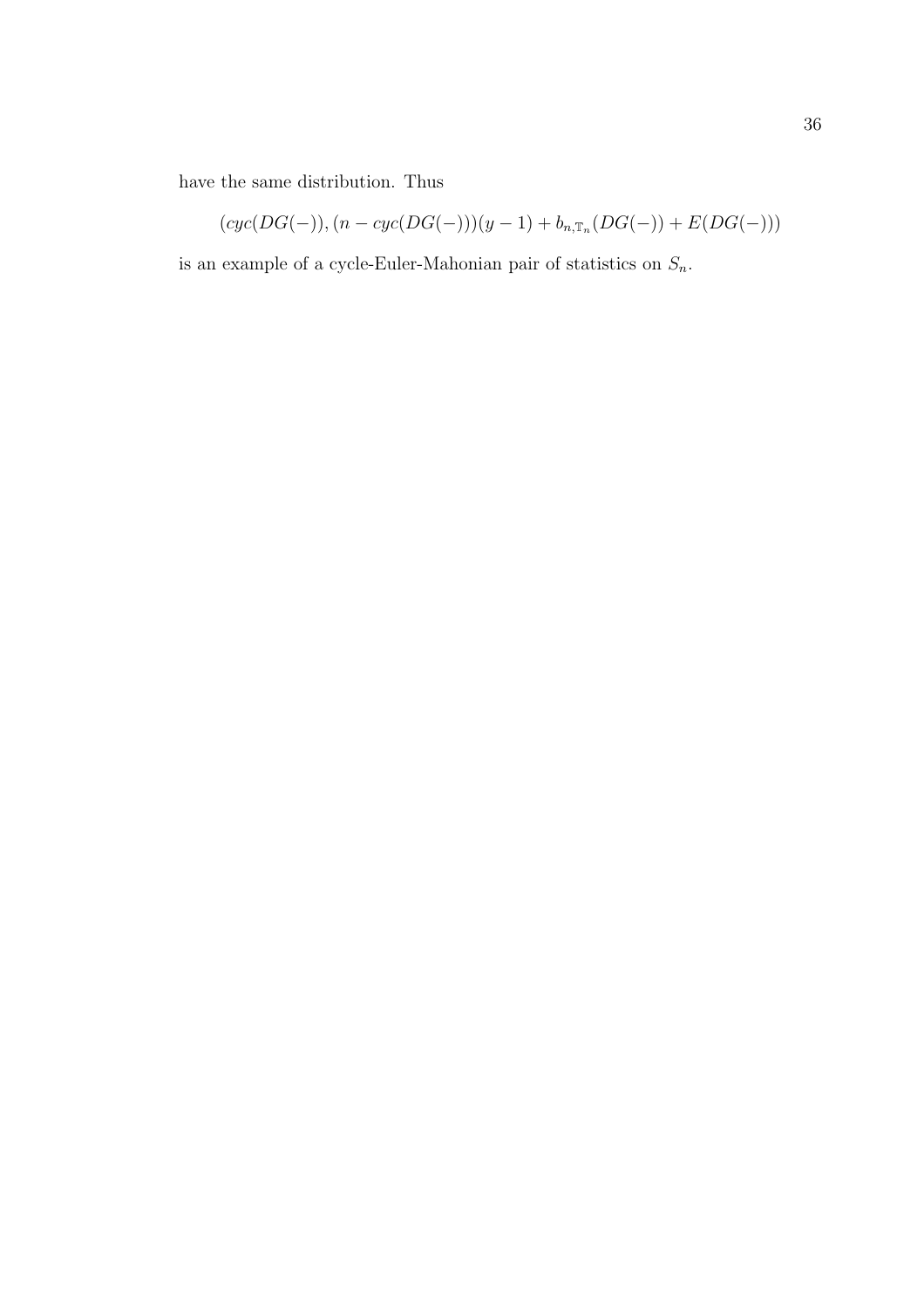have the same distribution. Thus

$$
(cyc(DG(-)), (n-cyc(DG(-)))(y-1) + b_{n,\mathbb{T}_n}(DG(-)) + E(DG(-)))
$$

is an example of a cycle-Euler-Mahonian pair of statistics on  $\mathcal{S}_n.$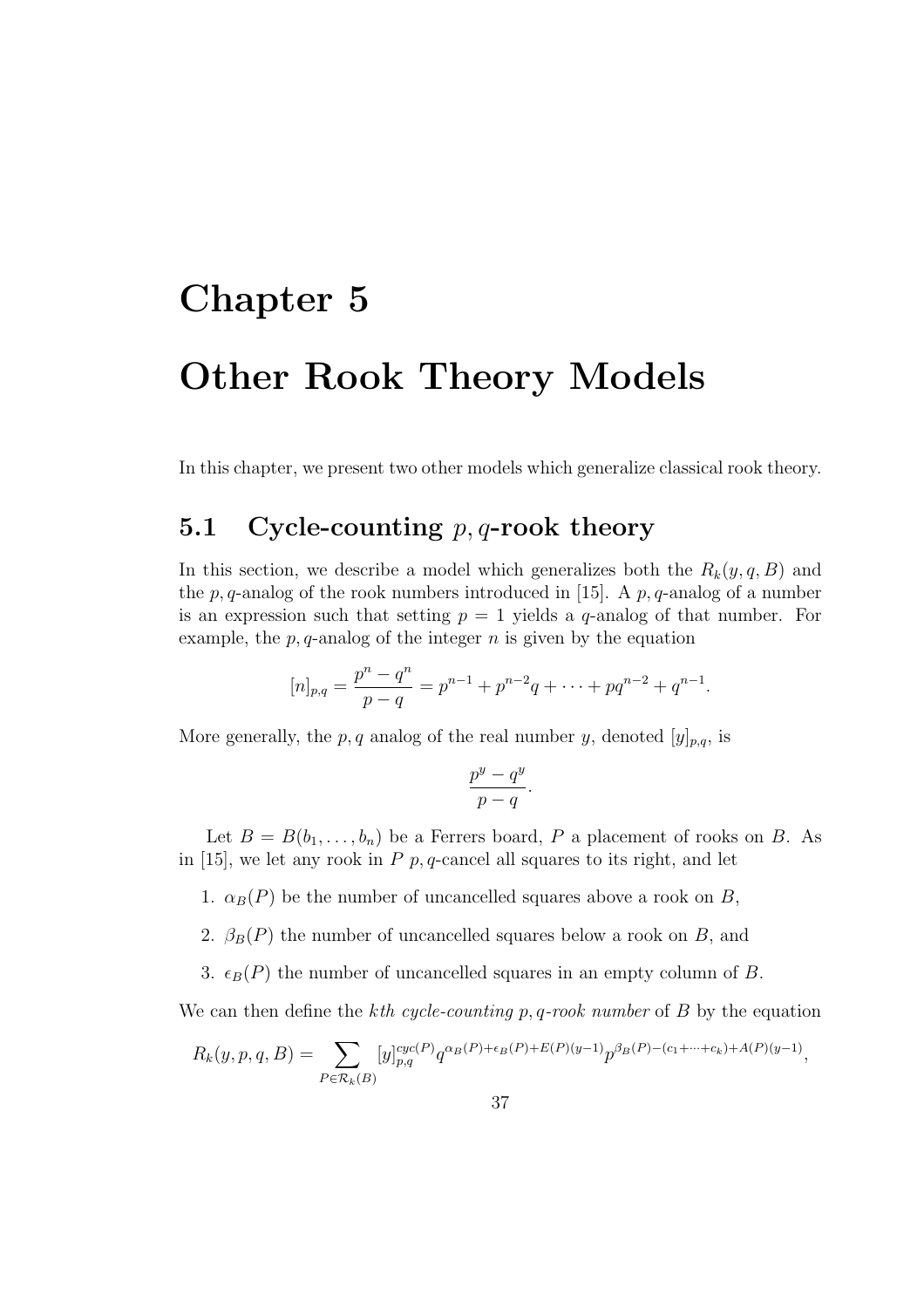# Chapter 5 Other Rook Theory Models

In this chapter, we present two other models which generalize classical rook theory.

### 5.1 Cycle-counting  $p, q$ -rook theory

In this section, we describe a model which generalizes both the  $R_k(y, q, B)$  and the p, q-analog of the rook numbers introduced in [15]. A p, q-analog of a number is an expression such that setting  $p = 1$  yields a q-analog of that number. For example, the  $p$ ,  $q$ -analog of the integer  $n$  is given by the equation

$$
[n]_{p,q} = \frac{p^n - q^n}{p - q} = p^{n-1} + p^{n-2}q + \dots + pq^{n-2} + q^{n-1}.
$$

More generally, the p, q analog of the real number y, denoted  $[y]_{p,q}$ , is

$$
\frac{p^y - q^y}{p - q}.
$$

Let  $B = B(b_1, \ldots, b_n)$  be a Ferrers board, P a placement of rooks on B. As in [15], we let any rook in  $P$   $p$ ,  $q$ -cancel all squares to its right, and let

1.  $\alpha_B(P)$  be the number of uncancelled squares above a rook on B,

2.  $\beta_B(P)$  the number of uncancelled squares below a rook on B, and

3.  $\epsilon_B(P)$  the number of uncancelled squares in an empty column of B.

We can then define the kth cycle-counting  $p$ ,  $q$ -rook number of  $B$  by the equation

$$
R_k(y, p, q, B) = \sum_{P \in \mathcal{R}_k(B)} [y]_{p,q}^{cyc(P)} q^{\alpha_B(P) + \epsilon_B(P) + E(P)(y-1)} p^{\beta_B(P) - (c_1 + \dots + c_k) + A(P)(y-1)},
$$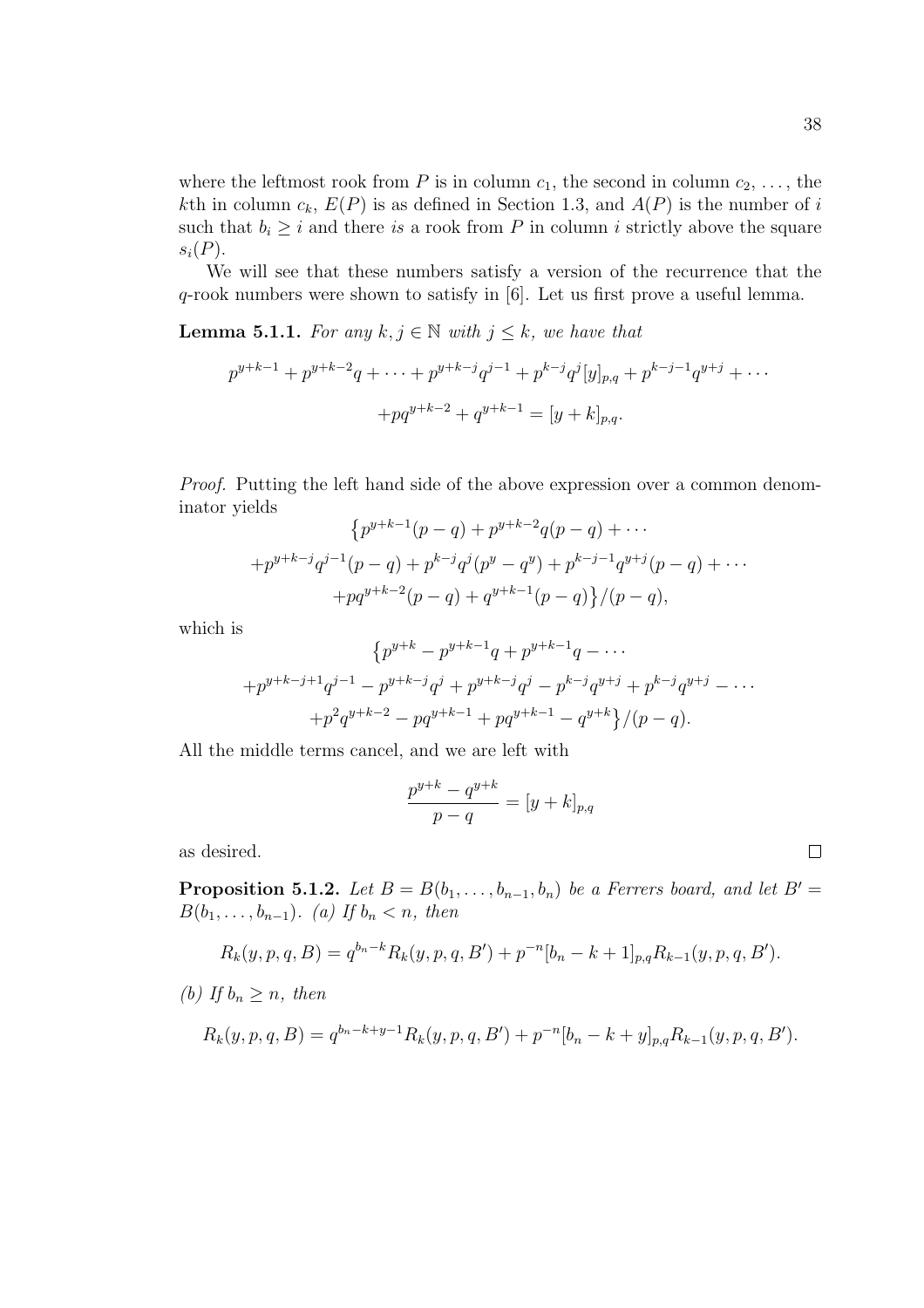where the leftmost rook from P is in column  $c_1$ , the second in column  $c_2, \ldots$ , the kth in column  $c_k$ ,  $E(P)$  is as defined in Section 1.3, and  $A(P)$  is the number of i such that  $b_i \geq i$  and there is a rook from P in column i strictly above the square  $s_i(P)$ .

We will see that these numbers satisfy a version of the recurrence that the q-rook numbers were shown to satisfy in [6]. Let us first prove a useful lemma.

**Lemma 5.1.1.** For any  $k, j \in \mathbb{N}$  with  $j \leq k$ , we have that

$$
p^{y+k-1} + p^{y+k-2}q + \dots + p^{y+k-j}q^{j-1} + p^{k-j}q^j[y]_{p,q} + p^{k-j-1}q^{y+j} + \dots
$$

$$
+ pq^{y+k-2} + q^{y+k-1} = [y+k]_{p,q}.
$$

Proof. Putting the left hand side of the above expression over a common denominator yields  $\overline{a}$ 

$$
{p^{y+k-1}(p-q) + p^{y+k-2}q(p-q) + \cdots + p^{y+k-j}q^{j-1}(p-q) + p^{k-j}q^j(p^y - q^y) + p^{k-j-1}q^{y+j}(p-q) + \cdots + pq^{y+k-2}(p-q) + q^{y+k-1}(p-q) \}/(p-q),
$$

which is

$$
\{p^{y+k} - p^{y+k-1}q + p^{y+k-1}q - \cdots
$$
  
+ $p^{y+k-j+1}q^{j-1} - p^{y+k-j}q^j + p^{y+k-j}q^j - p^{k-j}q^{y+j} + p^{k-j}q^{y+j} - \cdots$   
+ $p^2q^{y+k-2} - pq^{y+k-1} + pq^{y+k-1} - q^{y+k}\}/(p-q).$ 

All the middle terms cancel, and we are left with

$$
\frac{p^{y+k} - q^{y+k}}{p-q} = [y+k]_{p,q}
$$

as desired.

**Proposition 5.1.2.** Let  $B = B(b_1, \ldots, b_{n-1}, b_n)$  be a Ferrers board, and let  $B' =$  $B(b_1, \ldots, b_{n-1})$ . (a) If  $b_n < n$ , then

$$
R_k(y, p, q, B) = q^{b_n-k} R_k(y, p, q, B') + p^{-n} [b_n - k + 1]_{p,q} R_{k-1}(y, p, q, B').
$$

(b) If  $b_n \geq n$ , then

$$
R_k(y, p, q, B) = q^{b_n - k + y - 1} R_k(y, p, q, B') + p^{-n} [b_n - k + y]_{p,q} R_{k-1}(y, p, q, B').
$$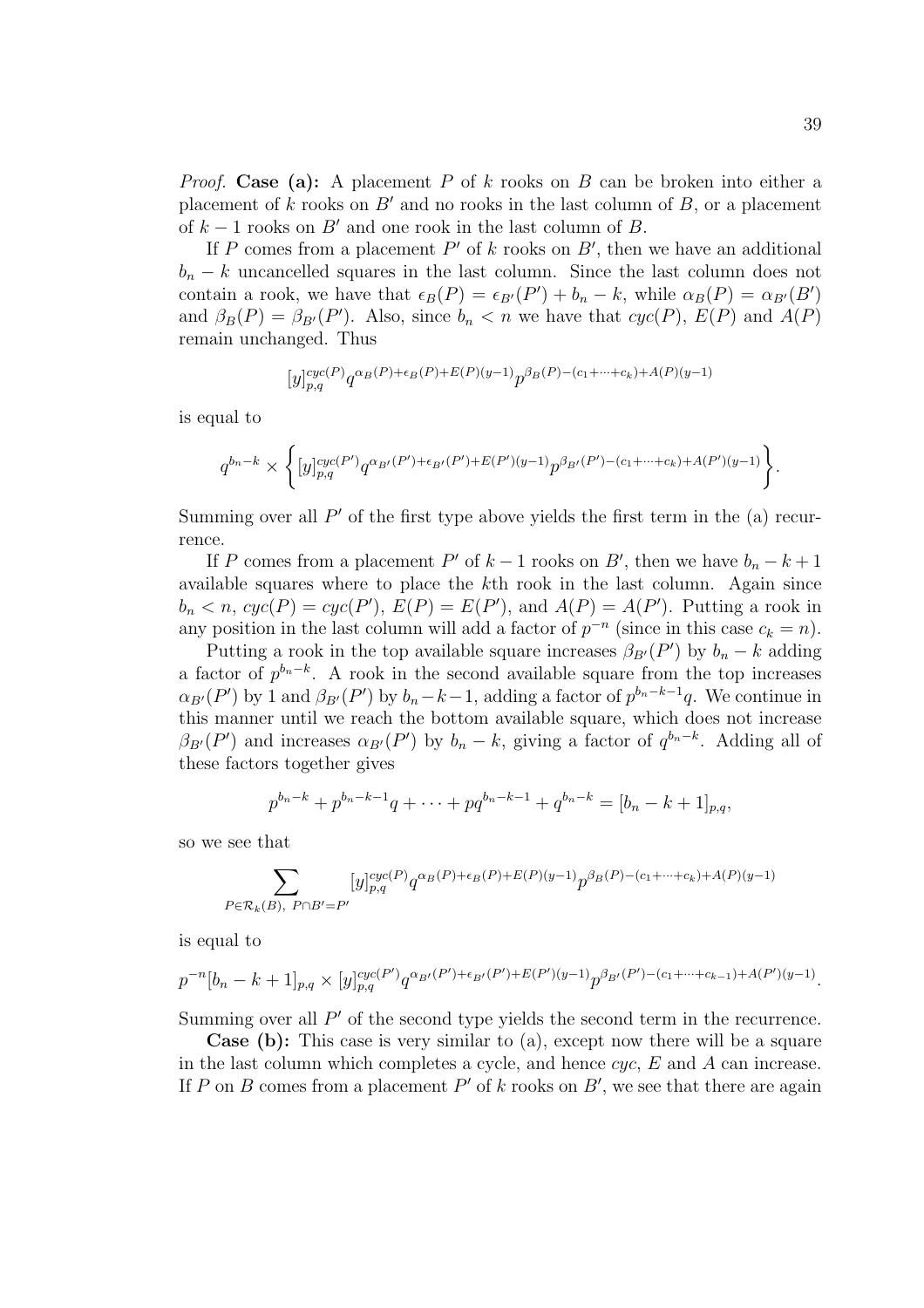*Proof.* Case (a): A placement P of k rooks on B can be broken into either a placement of k rooks on  $B'$  and no rooks in the last column of B, or a placement of  $k - 1$  rooks on B' and one rook in the last column of B.

If P comes from a placement  $P'$  of k rooks on  $B'$ , then we have an additional  $b_n - k$  uncancelled squares in the last column. Since the last column does not contain a rook, we have that  $\epsilon_B(P) = \epsilon_{B'}(P') + b_n - k$ , while  $\alpha_B(P) = \alpha_{B'}(B')$ and  $\beta_B(P) = \beta_{B}(P')$ . Also, since  $b_n < n$  we have that  $cyc(P)$ ,  $E(P)$  and  $A(P)$ remain unchanged. Thus

$$
[y]_{p,q}^{cyc(P)}q^{\alpha_B(P)+\epsilon_B(P)+E(P)(y-1)}p^{\beta_B(P)-(c_1+\cdots+c_k)+A(P)(y-1)}
$$

is equal to

$$
q^{b_n-k}\times\bigg\{[y]_{p,q}^{cyc(P')}q^{\alpha_{B'}(P')+{\epsilon_{B'}}(P')+E(P')(y-1)}p^{\beta_{B'}(P')-(c_1+\cdots+c_k)+A(P')(y-1)}\bigg\}.
$$

Summing over all  $P'$  of the first type above yields the first term in the (a) recurrence.

If P comes from a placement P' of  $k-1$  rooks on B', then we have  $b_n - k + 1$ available squares where to place the kth rook in the last column. Again since  $b_n < n$ ,  $cyc(P) = cyc(P')$ ,  $E(P) = E(P')$ , and  $A(P) = A(P')$ . Putting a rook in any position in the last column will add a factor of  $p^{-n}$  (since in this case  $c_k = n$ ).

Putting a rook in the top available square increases  $\beta_{B}(P')$  by  $b_n - k$  adding a factor of  $p^{b_n-k}$ . A rook in the second available square from the top increases  $\alpha_{B'}(P')$  by 1 and  $\beta_{B'}(P')$  by  $b_n-k-1$ , adding a factor of  $p^{b_n-k-1}q$ . We continue in this manner until we reach the bottom available square, which does not increase  $\beta_{B'}(P')$  and increases  $\alpha_{B'}(P')$  by  $b_n - k$ , giving a factor of  $q^{b_n-k}$ . Adding all of these factors together gives

$$
p^{b_n-k} + p^{b_n-k-1}q + \cdots + pq^{b_n-k-1} + q^{b_n-k} = [b_n - k + 1]_{p,q},
$$

so we see that

$$
\sum_{P \in \mathcal{R}_k(B), \ P \cap B'=P'} [y]_{p,q}^{cyc(P)} q^{\alpha_B(P) + \epsilon_B(P) + E(P)(y-1)} p^{\beta_B(P) - (c_1 + \dots + c_k) + A(P)(y-1)}
$$

is equal to

$$
p^{-n}[b_n - k + 1]_{p,q} \times [y]_{p,q}^{cyc(P')} q^{\alpha_{B'}(P')+ \epsilon_{B'}(P')+E(P')(y-1)} p^{\beta_{B'}(P') - (c_1 + \dots + c_{k-1}) + A(P')(y-1)}.
$$

Summing over all  $P'$  of the second type yields the second term in the recurrence.

Case (b): This case is very similar to (a), except now there will be a square in the last column which completes a cycle, and hence  $cyc$ , E and A can increase. If P on B comes from a placement  $P'$  of k rooks on  $B'$ , we see that there are again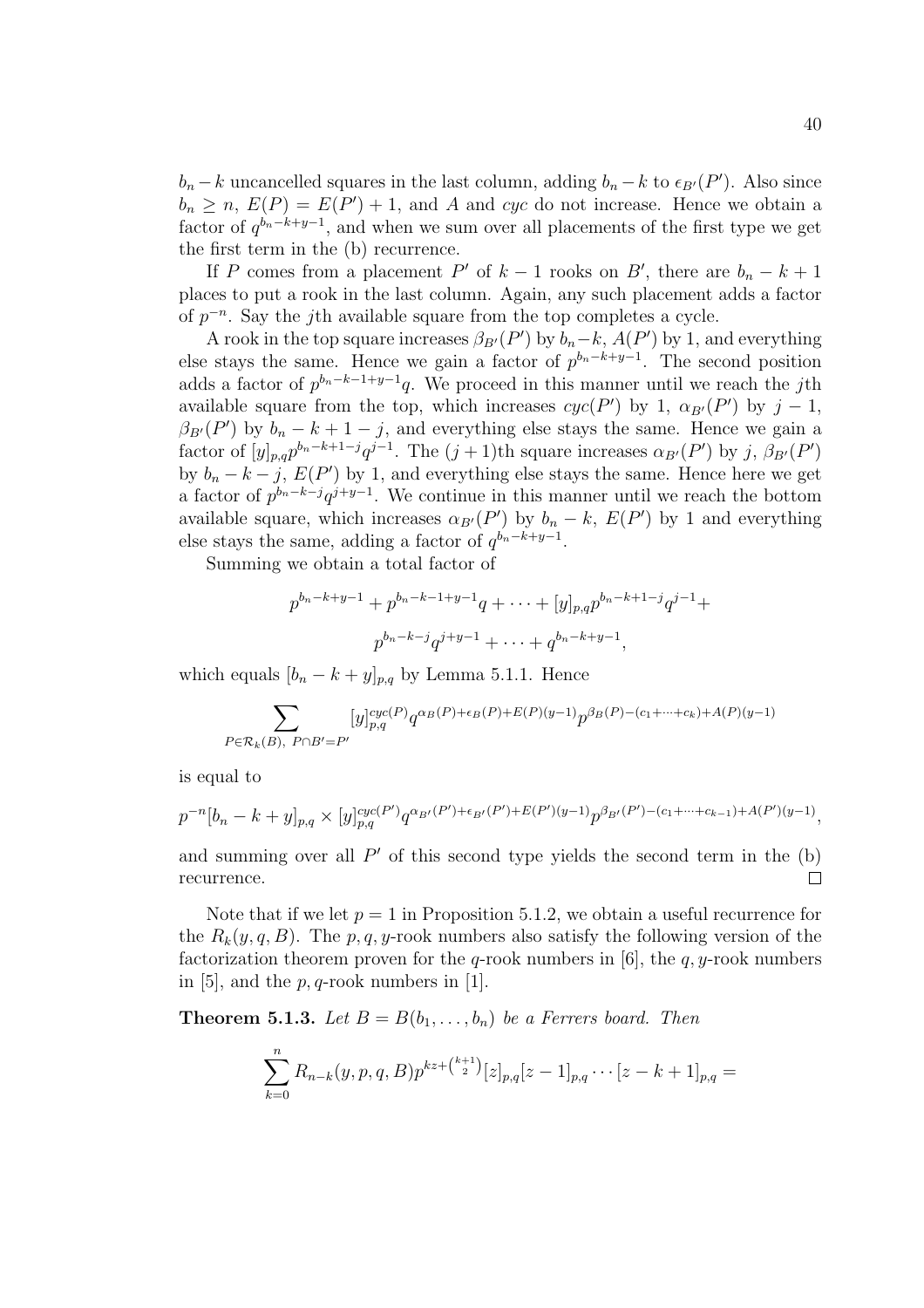$b_n - k$  uncancelled squares in the last column, adding  $b_n - k$  to  $\epsilon_{B'}(P')$ . Also since  $b_n \geq n$ ,  $E(P) = E(P') + 1$ , and A and cyc do not increase. Hence we obtain a factor of  $q^{b_n-k+y-1}$ , and when we sum over all placements of the first type we get the first term in the (b) recurrence.

If P comes from a placement P' of  $k-1$  rooks on B', there are  $b_n - k + 1$ places to put a rook in the last column. Again, any such placement adds a factor of  $p^{-n}$ . Say the *j*th available square from the top completes a cycle.

A rook in the top square increases  $\beta_{B}(P')$  by  $b_n-k$ ,  $A(P')$  by 1, and everything else stays the same. Hence we gain a factor of  $p^{b_n-k+y-1}$ . The second position adds a factor of  $p^{b_n-k-1+y-1}q$ . We proceed in this manner until we reach the jth available square from the top, which increases  $cyc(P')$  by 1,  $\alpha_{B'}(P')$  by  $j-1$ ,  $\beta_{B'}(P')$  by  $b_n - k + 1 - j$ , and everything else stays the same. Hence we gain a factor of  $[y]_{p,q} p^{b_n-k+1-j} q^{j-1}$ . The  $(j+1)$ th square increases  $\alpha_{B'}(P')$  by j,  $\beta_{B'}(P')$ by  $b_n - k - j$ ,  $E(P')$  by 1, and everything else stays the same. Hence here we get a factor of  $p^{b_n-k-j}q^{j+y-1}$ . We continue in this manner until we reach the bottom available square, which increases  $\alpha_{B}(P')$  by  $b_n - k$ ,  $E(P')$  by 1 and everything else stays the same, adding a factor of  $q^{b_n-k+y-1}$ .

Summing we obtain a total factor of

$$
p^{b_n-k+y-1} + p^{b_n-k-1+y-1}q + \cdots + [y]_{p,q}p^{b_n-k+1-j}q^{j-1} +
$$
  

$$
p^{b_n-k-j}q^{j+y-1} + \cdots + q^{b_n-k+y-1},
$$

which equals  $[b_n - k + y]_{p,q}$  by Lemma 5.1.1. Hence

$$
\sum_{P \in \mathcal{R}_k(B), \ P \cap B'=P'} [y]_{p,q}^{cyc(P)} q^{\alpha_B(P)+\epsilon_B(P)+E(P)(y-1)} p^{\beta_B(P)-(c_1+\cdots+c_k)+A(P)(y-1)}
$$

is equal to

$$
p^{-n}[b_n - k + y]_{p,q} \times [y]_{p,q}^{cyc(P')} q^{\alpha_{B'}(P')+ \epsilon_{B'}(P')+E(P')(y-1)} p^{\beta_{B'}(P') - (c_1 + \dots + c_{k-1}) + A(P')(y-1)},
$$

and summing over all  $P'$  of this second type yields the second term in the (b)  $\Box$ recurrence.

Note that if we let  $p = 1$  in Proposition 5.1.2, we obtain a useful recurrence for the  $R_k(y, q, B)$ . The p, q, y-rook numbers also satisfy the following version of the factorization theorem proven for the q-rook numbers in [6], the  $q$ , y-rook numbers in [5], and the  $p, q$ -rook numbers in [1].

**Theorem 5.1.3.** Let  $B = B(b_1, \ldots, b_n)$  be a Ferrers board. Then

$$
\sum_{k=0}^{n} R_{n-k}(y, p, q, B) p^{kz + \binom{k+1}{2}} [z]_{p,q} [z-1]_{p,q} \cdots [z-k+1]_{p,q} =
$$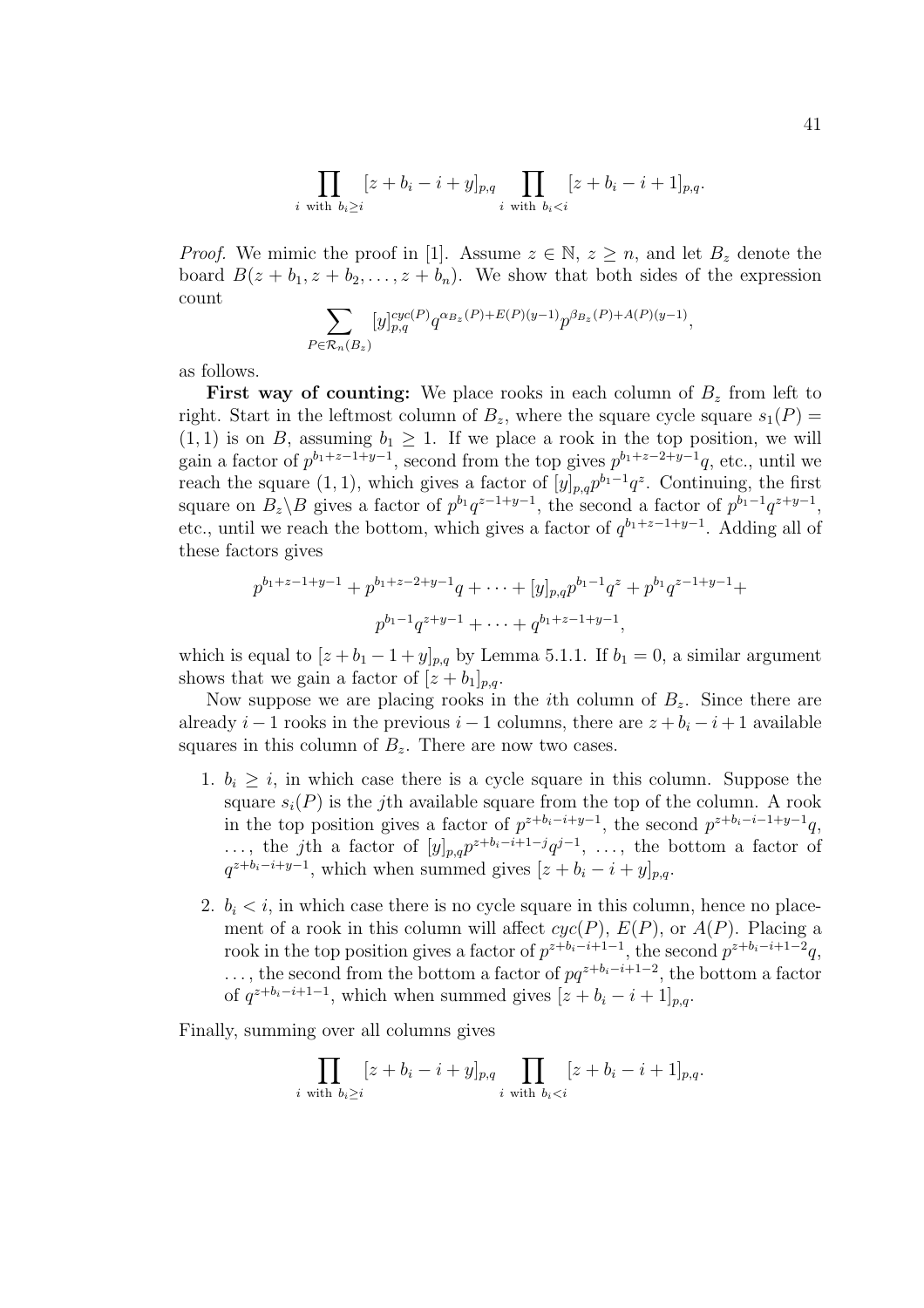$$
\prod_{i \text{ with } b_i \ge i} [z + b_i - i + y]_{p,q} \prod_{i \text{ with } b_i < i} [z + b_i - i + 1]_{p,q}.
$$

*Proof.* We mimic the proof in [1]. Assume  $z \in \mathbb{N}, z \geq n$ , and let  $B_z$  denote the board  $B(z + b_1, z + b_2, \ldots, z + b_n)$ . We show that both sides of the expression count  $\overline{\phantom{a}}$ 

$$
\sum_{P \in \mathcal{R}_n(B_z)} [y]_{p,q}^{cyc(P)} q^{\alpha_{B_z}(P) + E(P)(y-1)} p^{\beta_{B_z}(P) + A(P)(y-1)},
$$

as follows.

**First way of counting:** We place rooks in each column of  $B<sub>z</sub>$  from left to right. Start in the leftmost column of  $B_z$ , where the square cycle square  $s_1(P)$  =  $(1, 1)$  is on B, assuming  $b_1 \geq 1$ . If we place a rook in the top position, we will gain a factor of  $p^{b_1+z-1+y-1}$ , second from the top gives  $p^{b_1+z-2+y-1}q$ , etc., until we reach the square  $(1, 1)$ , which gives a factor of  $[y]_{p,q} p^{b_1-1} q^z$ . Continuing, the first square on  $B_z \backslash B$  gives a factor of  $p^{b_1}q^{z-1+y-1}$ , the second a factor of  $p^{b_1-1}q^{z+y-1}$ , etc., until we reach the bottom, which gives a factor of  $q^{b_1+z-1+y-1}$ . Adding all of these factors gives

$$
p^{b_1+z-1+y-1} + p^{b_1+z-2+y-1}q + \cdots + [y]_{p,q} p^{b_1-1} q^z + p^{b_1} q^{z-1+y-1} +
$$
  

$$
p^{b_1-1} q^{z+y-1} + \cdots + q^{b_1+z-1+y-1},
$$

which is equal to  $[z + b_1 - 1 + y]_{p,q}$  by Lemma 5.1.1. If  $b_1 = 0$ , a similar argument shows that we gain a factor of  $[z + b_1]_{p,q}$ .

Now suppose we are placing rooks in the *i*th column of  $B<sub>z</sub>$ . Since there are already  $i-1$  rooks in the previous  $i-1$  columns, there are  $z + b_i - i + 1$  available squares in this column of  $B_z$ . There are now two cases.

- 1.  $b_i \geq i$ , in which case there is a cycle square in this column. Suppose the square  $s_i(P)$  is the j<sup>th</sup> available square from the top of the column. A rook in the top position gives a factor of  $p^{z+b_i-i+y-1}$ , the second  $p^{z+b_i-i-1+y-1}q$ , ..., the *j*th a factor of  $[y]_{p,q}p^{z+b_i-i+1-j}q^{j-1}, \ldots$ , the bottom a factor of  $q^{z+b_i-i+y-1}$ , which when summed gives  $[z + b_i - i + y]_{p,q}$ .
- 2.  $b_i < i$ , in which case there is no cycle square in this column, hence no placement of a rook in this column will affect  $cyc(P)$ ,  $E(P)$ , or  $A(P)$ . Placing a rook in the top position gives a factor of  $p^{z+b_i-i+1-1}$ , the second  $p^{z+b_i-i+1-2}q$ , ..., the second from the bottom a factor of  $pq^{z+b_i-i+1-2}$ , the bottom a factor of  $q^{z+b_i-i+1-1}$ , which when summed gives  $[z + b_i - i + 1]_{p,q}$ .

Finally, summing over all columns gives

$$
\prod_{i \text{ with } b_i \ge i} [z + b_i - i + y]_{p,q} \prod_{i \text{ with } b_i < i} [z + b_i - i + 1]_{p,q}.
$$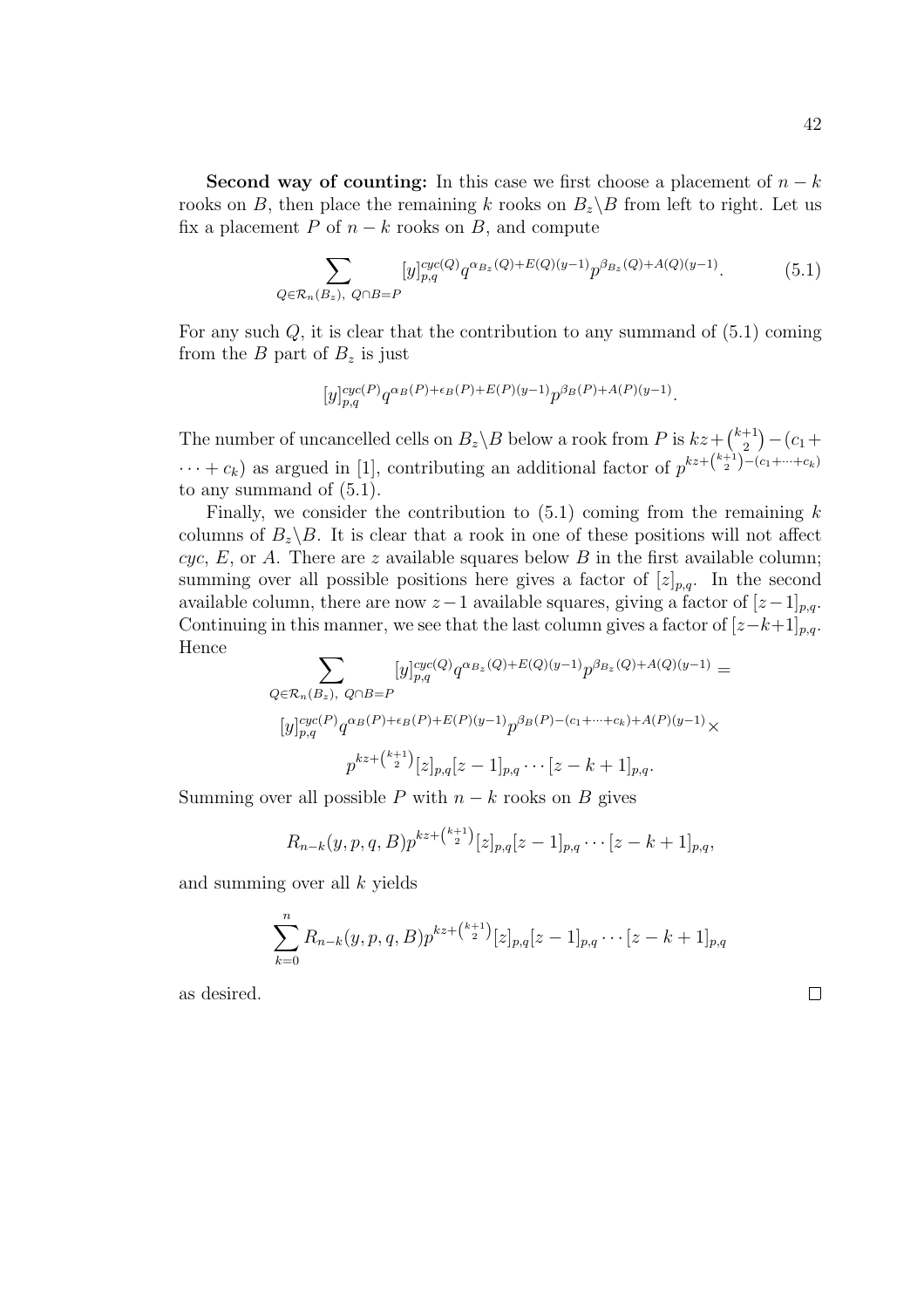Second way of counting: In this case we first choose a placement of  $n - k$ rooks on B, then place the remaining k rooks on  $B_z \backslash B$  from left to right. Let us fix a placement P of  $n - k$  rooks on B, and compute

$$
\sum_{Q \in \mathcal{R}_n(B_z), Q \cap B = P} [y]_{p,q}^{cyc(Q)} q^{\alpha_{B_z}(Q) + E(Q)(y-1)} p^{\beta_{B_z}(Q) + A(Q)(y-1)}.
$$
(5.1)

For any such  $Q$ , it is clear that the contribution to any summand of  $(5.1)$  coming from the B part of  $B_z$  is just

$$
[y]_{p,q}^{cyc(P)}q^{\alpha_B(P)+\epsilon_B(P)+E(P)(y-1)}p^{\beta_B(P)+A(P)(y-1)}.
$$

The number of uncancelled cells on  $B_z \backslash B$  below a rook from P is  $kz+$  $(k+1)$ 2 ¢  $-(c_1+$  $\cdots + c_k$ ) as argued in [1], contributing an additional factor of  $p^{kz + \binom{k+1}{2} - (c_1 + \cdots + c_k)}$ to any summand of (5.1).

Finally, we consider the contribution to  $(5.1)$  coming from the remaining k columns of  $B_z \backslash B$ . It is clear that a rook in one of these positions will not affect cyc, E, or A. There are z available squares below B in the first available column; summing over all possible positions here gives a factor of  $[z]_{p,q}$ . In the second available column, there are now  $z-1$  available squares, giving a factor of  $[z-1]_{p,q}$ . Continuing in this manner, we see that the last column gives a factor of  $[z-k+1]_{p,q}$ . Hence  $\overline{\phantom{a}}$ 

$$
\sum_{Q \in \mathcal{R}_n(B_z), Q \cap B = P} [y]_{p,q}^{cyc(Q)} q^{\alpha_{B_z}(Q) + E(Q)(y-1)} p^{\beta_{B_z}(Q) + A(Q)(y-1)} =
$$
  
\n
$$
[y]_{p,q}^{cyc(P)} q^{\alpha_B(P) + \epsilon_B(P) + E(P)(y-1)} p^{\beta_B(P) - (c_1 + \dots + c_k) + A(P)(y-1)} \times
$$
  
\n
$$
p^{kz + \binom{k+1}{2}} [z]_{p,q} [z-1]_{p,q} \cdots [z-k+1]_{p,q}.
$$

Summing over all possible P with  $n - k$  rooks on B gives

$$
R_{n-k}(y, p, q, B)p^{kz+\binom{k+1}{2}}[z]_{p,q}[z-1]_{p,q}\cdots[z-k+1]_{p,q},
$$

and summing over all k yields

$$
\sum_{k=0}^{n} R_{n-k}(y, p, q, B) p^{kz + \binom{k+1}{2}} [z]_{p,q} [z-1]_{p,q} \cdots [z-k+1]_{p,q}
$$

as desired.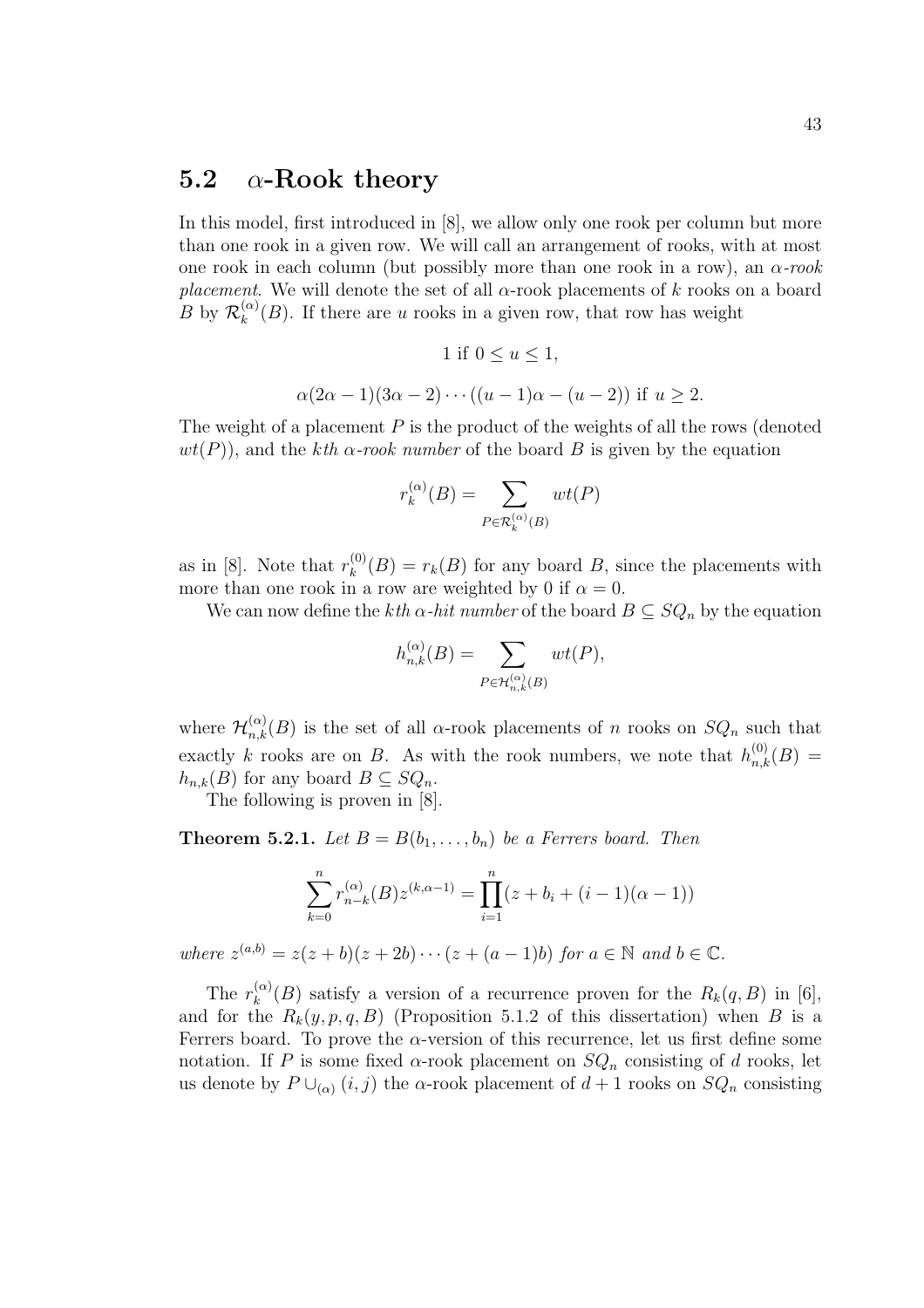### 5.2  $\alpha$ -Rook theory

In this model, first introduced in [8], we allow only one rook per column but more than one rook in a given row. We will call an arrangement of rooks, with at most one rook in each column (but possibly more than one rook in a row), an  $\alpha$ -rook placement. We will denote the set of all  $\alpha$ -rook placements of k rooks on a board  $B$  by  $\mathcal{R}_k^{(\alpha)}$  $\binom{\alpha}{k}(B)$ . If there are u rooks in a given row, that row has weight

1 if 
$$
0 \le u \le 1
$$
,  
\n
$$
\alpha(2\alpha - 1)(3\alpha - 2) \cdots ((u - 1)\alpha - (u - 2))
$$
 if  $u \ge 2$ .

The weight of a placement  $P$  is the product of the weights of all the rows (denoted  $wt(P)$ , and the kth  $\alpha$ -rook number of the board B is given by the equation

$$
r_k^{(\alpha)}(B) = \sum_{P \in \mathcal{R}_k^{(\alpha)}(B)} wt(P)
$$

as in [8]. Note that  $r_k^{(0)}$  $k_k^{(0)}(B) = r_k(B)$  for any board B, since the placements with more than one rook in a row are weighted by 0 if  $\alpha = 0$ .

We can now define the kth  $\alpha$ -hit number of the board  $B \subseteq SQ_n$  by the equation

$$
h_{n,k}^{(\alpha)}(B) = \sum_{P \in \mathcal{H}_{n,k}^{(\alpha)}(B)} wt(P),
$$

where  $\mathcal{H}_{n,k}^{(\alpha)}(B)$  is the set of all  $\alpha$ -rook placements of n rooks on  $SQ_n$  such that exactly k rooks are on B. As with the rook numbers, we note that  $h_{n,k}^{(0)}(B) =$  $h_{n,k}(B)$  for any board  $B \subseteq SQ_n$ .

The following is proven in [8].

**Theorem 5.2.1.** Let  $B = B(b_1, \ldots, b_n)$  be a Ferrers board. Then

$$
\sum_{k=0}^{n} r_{n-k}^{(\alpha)}(B) z^{(k,\alpha-1)} = \prod_{i=1}^{n} (z + b_i + (i-1)(\alpha - 1))
$$

where  $z^{(a,b)} = z(z+b)(z+2b) \cdots (z+(a-1)b)$  for  $a \in \mathbb{N}$  and  $b \in \mathbb{C}$ .

The  $r_k^{(\alpha)}$  $\binom{\alpha}{k}(B)$  satisfy a version of a recurrence proven for the  $R_k(q, B)$  in [6], and for the  $R_k(y, p, q, B)$  (Proposition 5.1.2 of this dissertation) when B is a Ferrers board. To prove the  $\alpha$ -version of this recurrence, let us first define some notation. If P is some fixed  $\alpha$ -rook placement on  $SQ_n$  consisting of d rooks, let us denote by  $P \cup_{(\alpha)} (i, j)$  the  $\alpha$ -rook placement of  $d + 1$  rooks on  $SQ_n$  consisting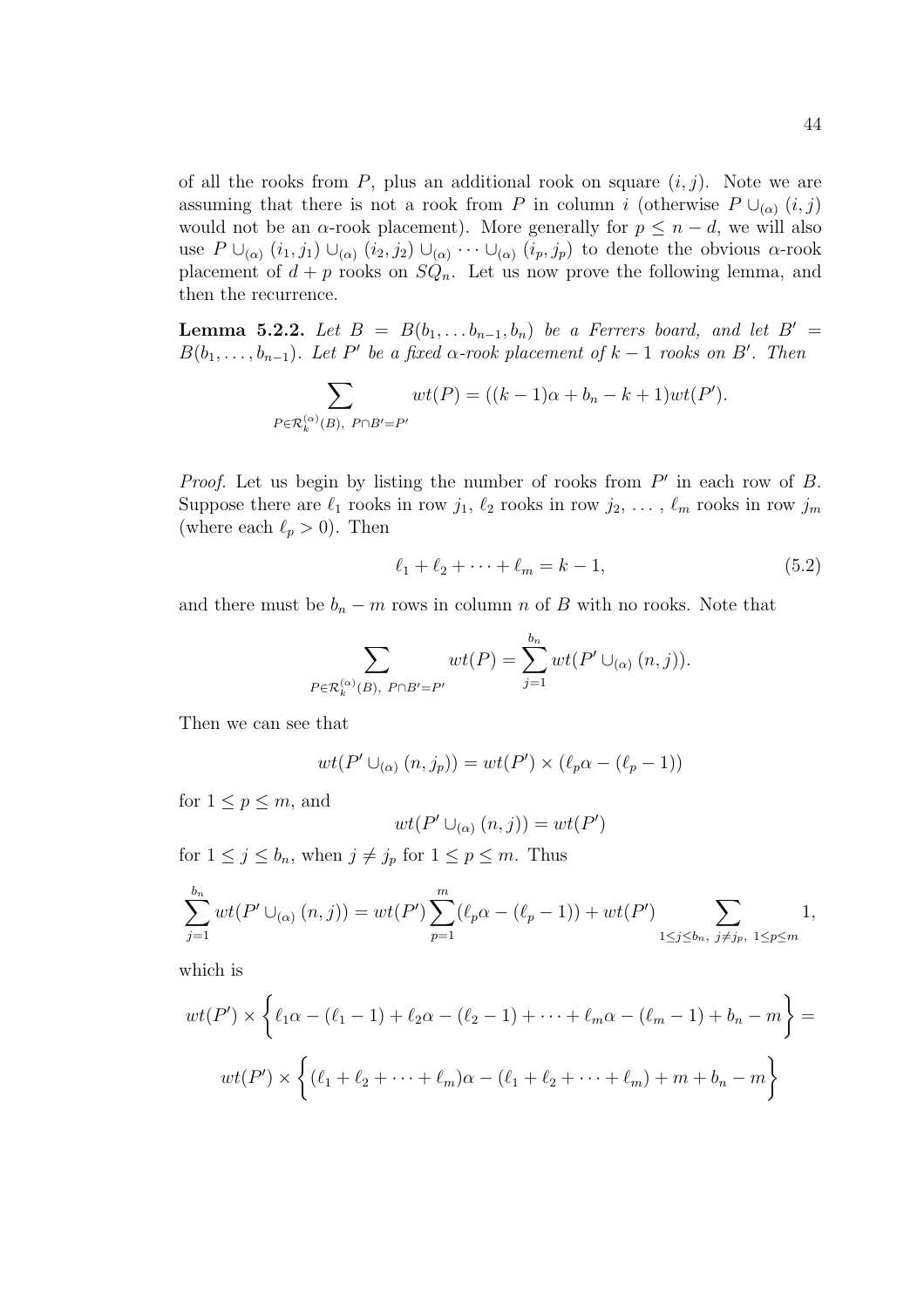of all the rooks from P, plus an additional rook on square  $(i, j)$ . Note we are assuming that there is not a rook from P in column i (otherwise  $P \cup_{(\alpha)} (i, j)$ would not be an  $\alpha$ -rook placement). More generally for  $p \leq n - d$ , we will also use  $P \cup_{(\alpha)} (i_1, j_1) \cup_{(\alpha)} (i_2, j_2) \cup_{(\alpha)} \cdots \cup_{(\alpha)} (i_p, j_p)$  to denote the obvious  $\alpha$ -rook placement of  $d + p$  rooks on  $SQ_n$ . Let us now prove the following lemma, and then the recurrence.

**Lemma 5.2.2.** Let  $B = B(b_1, \ldots b_{n-1}, b_n)$  be a Ferrers board, and let  $B' =$  $B(b_1, \ldots, b_{n-1})$ . Let P' be a fixed  $\alpha$ -rook placement of  $k-1$  rooks on B'. Then

$$
\sum_{P \in \mathcal{R}_k^{(\alpha)}(B), P \cap B'=P'} wt(P) = ((k-1)\alpha + b_n - k + 1)wt(P').
$$

*Proof.* Let us begin by listing the number of rooks from  $P'$  in each row of  $B$ . Suppose there are  $\ell_1$  rooks in row  $j_1, \ell_2$  rooks in row  $j_2, \ldots, \ell_m$  rooks in row  $j_m$ (where each  $\ell_p > 0$ ). Then

$$
\ell_1 + \ell_2 + \dots + \ell_m = k - 1,\tag{5.2}
$$

and there must be  $b_n - m$  rows in column n of B with no rooks. Note that

$$
\sum_{P \in \mathcal{R}_k^{(\alpha)}(B), P \cap B'=P'} wt(P) = \sum_{j=1}^{b_n} wt(P' \cup_{(\alpha)} (n, j)).
$$

Then we can see that

$$
wt(P'\cup_{(\alpha)}(n,j_p))=wt(P')\times(\ell_p\alpha-(\ell_p-1))
$$

for  $1 \leq p \leq m$ , and

$$
wt(P'\cup_{(\alpha)}(n,j))=wt(P')
$$

for  $1 \leq j \leq b_n$ , when  $j \neq j_p$  for  $1 \leq p \leq m$ . Thus

$$
\sum_{j=1}^{b_n} wt(P' \cup_{(\alpha)} (n,j)) = wt(P') \sum_{p=1}^m (\ell_p \alpha - (\ell_p - 1)) + wt(P') \sum_{1 \le j \le b_n, j \ne j_p, 1 \le p \le m} 1,
$$

which is

$$
wt(P') \times \left\{ \ell_1 \alpha - (\ell_1 - 1) + \ell_2 \alpha - (\ell_2 - 1) + \dots + \ell_m \alpha - (\ell_m - 1) + b_n - m \right\} =
$$

$$
wt(P') \times \left\{ (\ell_1 + \ell_2 + \dots + \ell_m) \alpha - (\ell_1 + \ell_2 + \dots + \ell_m) + m + b_n - m \right\}
$$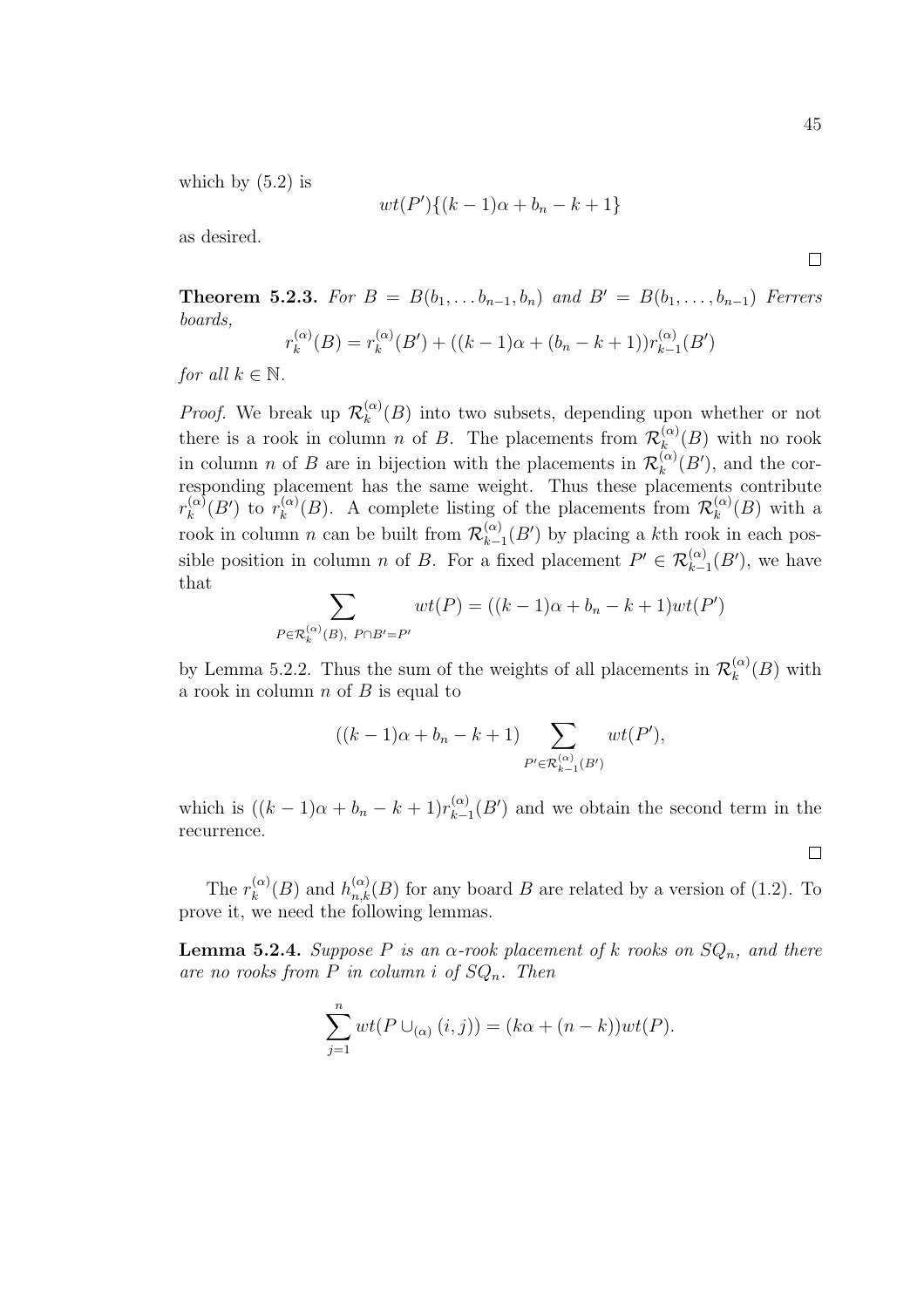which by  $(5.2)$  is

$$
wt(P')\{(k-1)\alpha + b_n - k + 1\}
$$

as desired.

**Theorem 5.2.3.** For  $B = B(b_1, \ldots b_{n-1}, b_n)$  and  $B' = B(b_1, \ldots, b_{n-1})$  Ferrers boards,

$$
r_k^{(\alpha)}(B) = r_k^{(\alpha)}(B') + ((k-1)\alpha + (b_n - k + 1))r_{k-1}^{(\alpha)}(B')
$$

for all  $k \in \mathbb{N}$ .

*Proof.* We break up  $\mathcal{R}_k^{(\alpha)}$  $\binom{\alpha}{k}(B)$  into two subsets, depending upon whether or not there is a rook in column *n* of *B*. The placements from  $\mathcal{R}_k^{(\alpha)}$  $\binom{\alpha}{k}(B)$  with no rook in column *n* of *B* are in bijection with the placements in  $\mathcal{R}_k^{(\alpha)}$  $\binom{\alpha}{k}(B')$ , and the corresponding placement has the same weight. Thus these placements contribute  $r_{k}^{(\alpha)}$  $\int_k^{(\alpha)}(B')$  to  $r_k^{(\alpha)}$  $\binom{\alpha}{k}(B)$ . A complete listing of the placements from  $\mathcal{R}_k^{(\alpha)}$  $\binom{\alpha}{k}(B)$  with a rook in column n can be built from  $\mathcal{R}_{k-}^{(\alpha)}$  $\binom{\alpha}{k-1}(B')$  by placing a kth rook in each possible position in column *n* of *B*. For a fixed placement  $P' \in \mathcal{R}_{k-1}^{(\alpha)}(B')$ , we have that  $\overline{\phantom{a}}$ 

$$
\sum_{P \in \mathcal{R}_k^{(\alpha)}(B), P \cap B'=P'} wt(P) = ((k-1)\alpha + b_n - k + 1)wt(P')
$$

by Lemma 5.2.2. Thus the sum of the weights of all placements in  $\mathcal{R}_k^{(\alpha)}$  $\binom{\alpha}{k}$  (*B*) with a rook in column  $n$  of  $B$  is equal to

$$
((k-1)\alpha + b_n - k + 1)
$$
 $\sum_{P' \in \mathcal{R}_{k-1}^{(\alpha)}(B')} wt(P'),$ 

which is  $((k-1)\alpha + b_n - k + 1)r_{k-1}^{(\alpha)}$  $\binom{\alpha}{k-1}(B')$  and we obtain the second term in the recurrence.

The  $r_k^{(\alpha)}$  $\binom{\alpha}{k}(B)$  and  $h_{n,k}^{(\alpha)}(B)$  for any board B are related by a version of (1.2). To prove it, we need the following lemmas.

**Lemma 5.2.4.** Suppose P is an  $\alpha$ -rook placement of k rooks on  $SQ_n$ , and there are no rooks from P in column i of  $SQ_n$ . Then

$$
\sum_{j=1}^{n} wt(P \cup_{(\alpha)} (i,j)) = (k\alpha + (n-k))wt(P).
$$

 $\Box$ 

45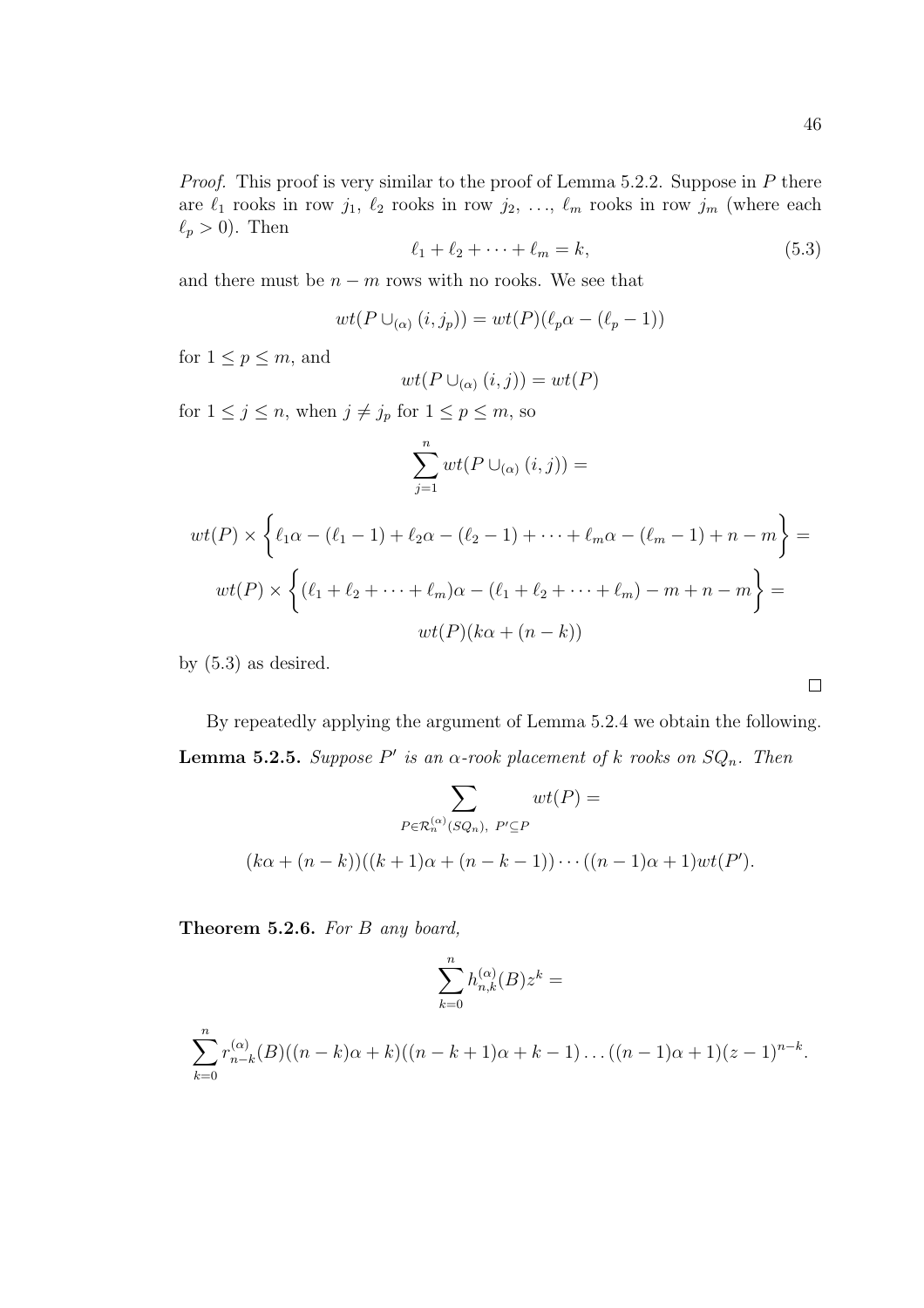$\Box$ 

*Proof.* This proof is very similar to the proof of Lemma 5.2.2. Suppose in  $P$  there are  $\ell_1$  rooks in row  $j_1, \ell_2$  rooks in row  $j_2, \ldots, \ell_m$  rooks in row  $j_m$  (where each  $\ell_p > 0$ ). Then

$$
\ell_1 + \ell_2 + \dots + \ell_m = k,\tag{5.3}
$$

and there must be  $n - m$  rows with no rooks. We see that

$$
wt(P \cup_{(\alpha)} (i, j_p)) = wt(P)(\ell_p \alpha - (\ell_p - 1))
$$

for  $1 \leq p \leq m$ , and

$$
wt(P \cup_{(\alpha)} (i,j)) = wt(P)
$$

for  $1 \leq j \leq n$ , when  $j \neq j_p$  for  $1 \leq p \leq m$ , so

$$
\sum_{j=1}^{n} wt(P \cup_{(\alpha)} (i, j)) =
$$
  

$$
wt(P) \times \left\{ \ell_1 \alpha - (\ell_1 - 1) + \ell_2 \alpha - (\ell_2 - 1) + \dots + \ell_m \alpha - (\ell_m - 1) + n - m \right\} =
$$
  

$$
wt(P) \times \left\{ (\ell_1 + \ell_2 + \dots + \ell_m) \alpha - (\ell_1 + \ell_2 + \dots + \ell_m) - m + n - m \right\} =
$$
  

$$
wt(P)(k\alpha + (n - k))
$$

by  $(5.3)$  as desired.

By repeatedly applying the argument of Lemma 5.2.4 we obtain the following. **Lemma 5.2.5.** Suppose P' is an  $\alpha$ -rook placement of k rooks on  $SQ_n$ . Then

$$
\sum_{P \in \mathcal{R}_n^{(\alpha)}(SQ_n), \ P' \subseteq P} wt(P) =
$$
  

$$
(k\alpha + (n-k))((k+1)\alpha + (n-k-1)) \cdots ((n-1)\alpha + 1)wt(P').
$$

Theorem 5.2.6. For B any board,

$$
\sum_{k=0}^n h_{n,k}^{(\alpha)}(B)z^k =
$$

$$
\sum_{k=0}^{n} r_{n-k}^{(\alpha)}(B)((n-k)\alpha+k)((n-k+1)\alpha+k-1)...((n-1)\alpha+1)(z-1)^{n-k}.
$$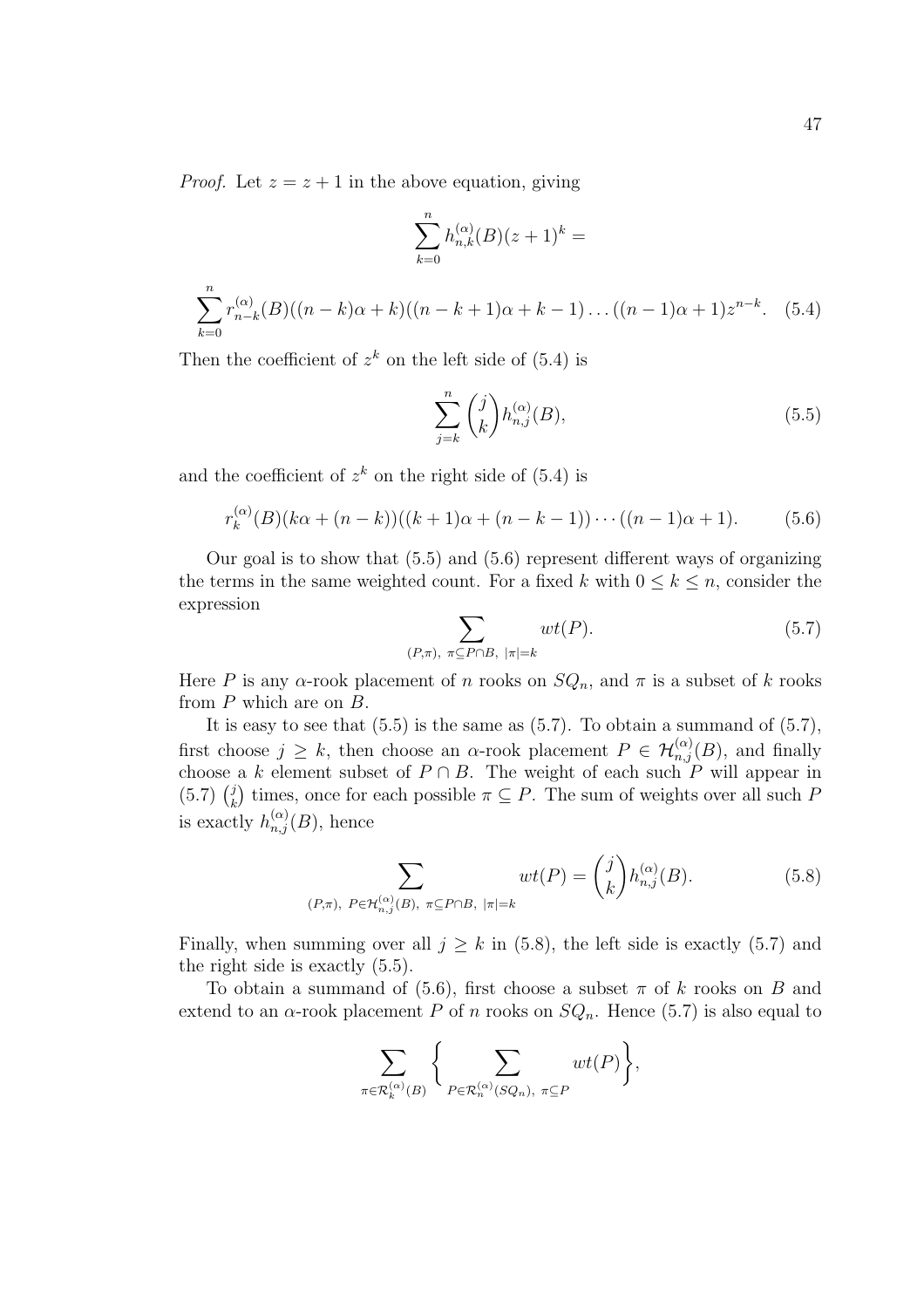*Proof.* Let  $z = z + 1$  in the above equation, giving

$$
\sum_{k=0}^{n} h_{n,k}^{(\alpha)}(B)(z+1)^k =
$$
  

$$
\sum_{k=0}^{n} r_{n-k}^{(\alpha)}(B)((n-k)\alpha + k)((n-k+1)\alpha + k - 1)...((n-1)\alpha + 1)z^{n-k}.
$$
 (5.4)

Then the coefficient of  $z^k$  on the left side of  $(5.4)$  is

$$
\sum_{j=k}^{n} \binom{j}{k} h_{n,j}^{(\alpha)}(B),\tag{5.5}
$$

and the coefficient of  $z^k$  on the right side of (5.4) is

$$
r_k^{(\alpha)}(B)(k\alpha + (n-k))((k+1)\alpha + (n-k-1))\cdots((n-1)\alpha + 1).
$$
 (5.6)

Our goal is to show that  $(5.5)$  and  $(5.6)$  represent different ways of organizing the terms in the same weighted count. For a fixed k with  $0 \leq k \leq n$ , consider the expression  $\overline{\phantom{a}}$ 

$$
\sum_{(P,\pi), \ \pi \subseteq P \cap B, \ |\pi|=k} wt(P).
$$
 (5.7)

Here P is any  $\alpha$ -rook placement of n rooks on  $SQ_n$ , and  $\pi$  is a subset of k rooks from  $P$  which are on  $B$ .

It is easy to see that  $(5.5)$  is the same as  $(5.7)$ . To obtain a summand of  $(5.7)$ , first choose  $j \geq k$ , then choose an  $\alpha$ -rook placement  $P \in \mathcal{H}_{n,j}^{(\alpha)}(B)$ , and finally choose a k element subset of  $P \cap B$ . The weight of each such P will appear in cnoose $(5.7)~\binom{j}{k}$  $\binom{d}{k}$  times, once for each possible  $\pi \subseteq P$ . The sum of weights over all such P is exactly  $h_{n,j}^{(\alpha)}(B)$ , hence

$$
\sum_{(P,\pi),\ P\in\mathcal{H}_{n,j}^{(\alpha)}(B),\ \pi\subseteq P\cap B,\ |\pi|=k} wt(P) = \binom{j}{k} h_{n,j}^{(\alpha)}(B). \tag{5.8}
$$

Finally, when summing over all  $j > k$  in (5.8), the left side is exactly (5.7) and the right side is exactly (5.5).

To obtain a summand of (5.6), first choose a subset  $\pi$  of k rooks on B and extend to an  $\alpha$ -rook placement P of n rooks on  $SQ_n$ . Hence (5.7) is also equal to

$$
\sum_{\pi \in \mathcal{R}_k^{(\alpha)}(B)}\bigg\{\sum_{P \in \mathcal{R}_n^{(\alpha)}(SQ_n), \ \pi \subseteq P} wt(P)\bigg\},
$$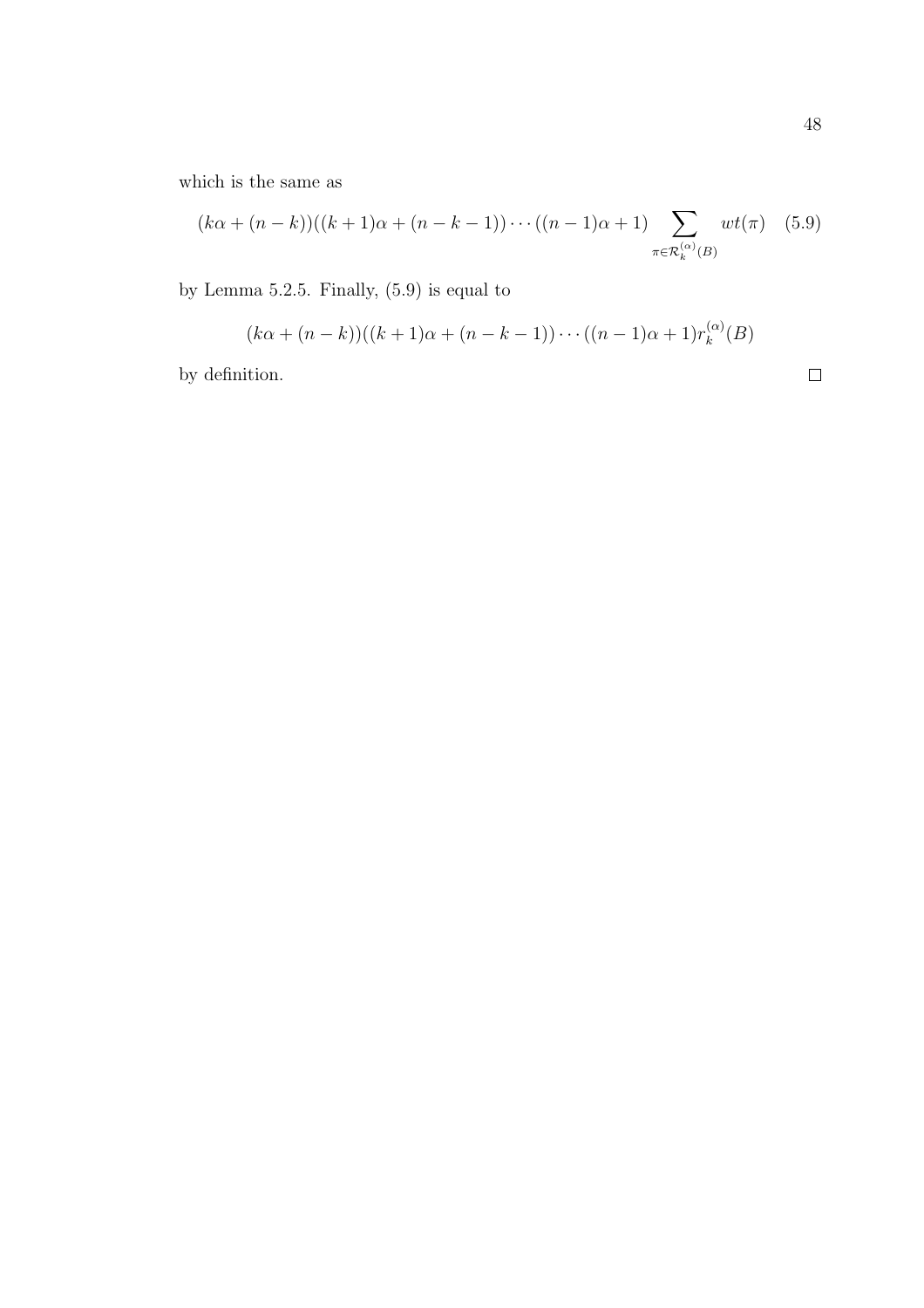which is the same as

$$
(k\alpha + (n-k))((k+1)\alpha + (n-k-1))\cdots((n-1)\alpha + 1)\sum_{\pi \in \mathcal{R}_k^{(\alpha)}(B)} wt(\pi) \quad (5.9)
$$

by Lemma 5.2.5. Finally, (5.9) is equal to

$$
(k\alpha + (n-k))((k+1)\alpha + (n-k-1)) \cdots ((n-1)\alpha + 1)r_k^{(\alpha)}(B)
$$

by definition.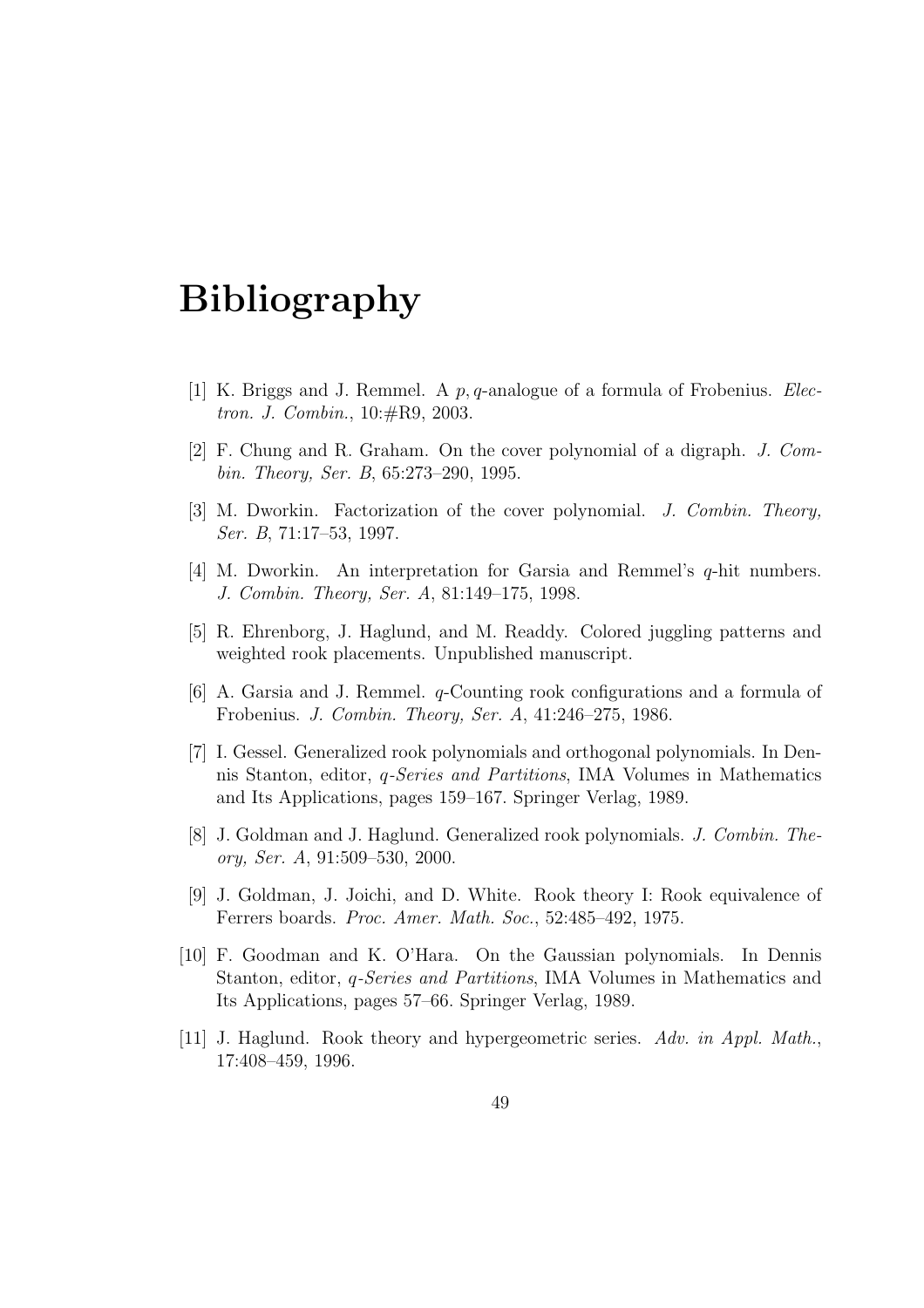## Bibliography

- [1] K. Briggs and J. Remmel. A  $p, q$ -analogue of a formula of Frobenius. *Elec*tron. J. Combin., 10:#R9, 2003.
- [2] F. Chung and R. Graham. On the cover polynomial of a digraph. J. Combin. Theory, Ser. B, 65:273–290, 1995.
- [3] M. Dworkin. Factorization of the cover polynomial. J. Combin. Theory, Ser. B, 71:17–53, 1997.
- [4] M. Dworkin. An interpretation for Garsia and Remmel's q-hit numbers. J. Combin. Theory, Ser. A, 81:149–175, 1998.
- [5] R. Ehrenborg, J. Haglund, and M. Readdy. Colored juggling patterns and weighted rook placements. Unpublished manuscript.
- [6] A. Garsia and J. Remmel. q-Counting rook configurations and a formula of Frobenius. J. Combin. Theory, Ser. A, 41:246–275, 1986.
- [7] I. Gessel. Generalized rook polynomials and orthogonal polynomials. In Dennis Stanton, editor, q-Series and Partitions, IMA Volumes in Mathematics and Its Applications, pages 159–167. Springer Verlag, 1989.
- [8] J. Goldman and J. Haglund. Generalized rook polynomials. J. Combin. Theory, Ser. A, 91:509–530, 2000.
- [9] J. Goldman, J. Joichi, and D. White. Rook theory I: Rook equivalence of Ferrers boards. Proc. Amer. Math. Soc., 52:485–492, 1975.
- [10] F. Goodman and K. O'Hara. On the Gaussian polynomials. In Dennis Stanton, editor, q-Series and Partitions, IMA Volumes in Mathematics and Its Applications, pages 57–66. Springer Verlag, 1989.
- [11] J. Haglund. Rook theory and hypergeometric series. Adv. in Appl. Math., 17:408–459, 1996.